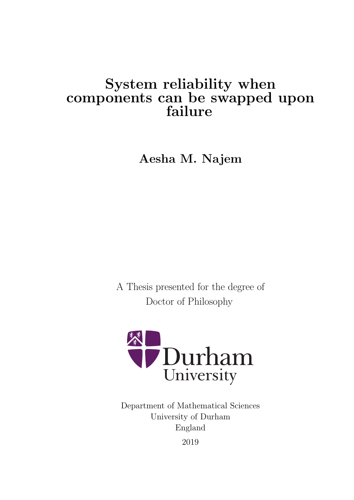# System reliability when components can be swapped upon failure

Aesha M. Najem

A Thesis presented for the degree of Doctor of Philosophy



Department of Mathematical Sciences University of Durham England 2019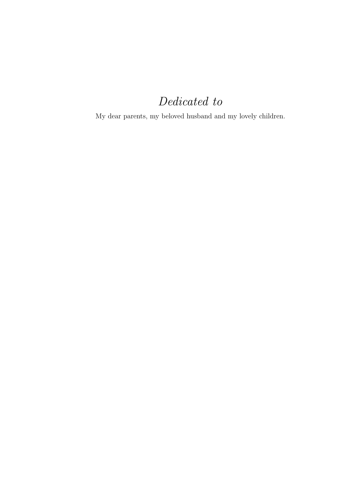# Dedicated to

My dear parents, my beloved husband and my lovely children.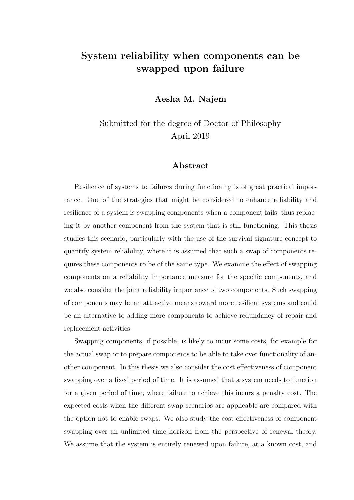### System reliability when components can be swapped upon failure

Aesha M. Najem

Submitted for the degree of Doctor of Philosophy April 2019

#### Abstract

Resilience of systems to failures during functioning is of great practical importance. One of the strategies that might be considered to enhance reliability and resilience of a system is swapping components when a component fails, thus replacing it by another component from the system that is still functioning. This thesis studies this scenario, particularly with the use of the survival signature concept to quantify system reliability, where it is assumed that such a swap of components requires these components to be of the same type. We examine the effect of swapping components on a reliability importance measure for the specific components, and we also consider the joint reliability importance of two components. Such swapping of components may be an attractive means toward more resilient systems and could be an alternative to adding more components to achieve redundancy of repair and replacement activities.

Swapping components, if possible, is likely to incur some costs, for example for the actual swap or to prepare components to be able to take over functionality of another component. In this thesis we also consider the cost effectiveness of component swapping over a fixed period of time. It is assumed that a system needs to function for a given period of time, where failure to achieve this incurs a penalty cost. The expected costs when the different swap scenarios are applicable are compared with the option not to enable swaps. We also study the cost effectiveness of component swapping over an unlimited time horizon from the perspective of renewal theory. We assume that the system is entirely renewed upon failure, at a known cost, and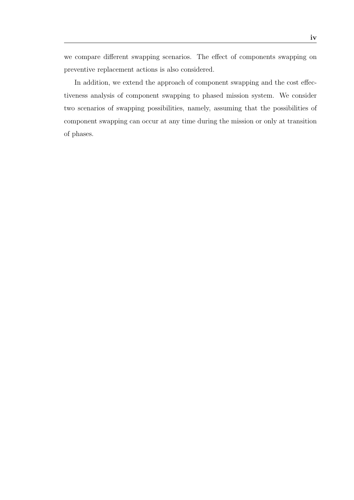we compare different swapping scenarios. The effect of components swapping on preventive replacement actions is also considered.

In addition, we extend the approach of component swapping and the cost effectiveness analysis of component swapping to phased mission system. We consider two scenarios of swapping possibilities, namely, assuming that the possibilities of component swapping can occur at any time during the mission or only at transition of phases.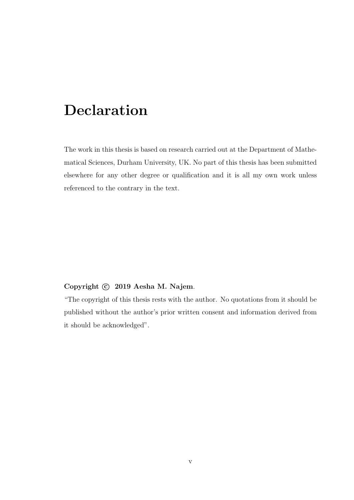# Declaration

The work in this thesis is based on research carried out at the Department of Mathematical Sciences, Durham University, UK. No part of this thesis has been submitted elsewhere for any other degree or qualification and it is all my own work unless referenced to the contrary in the text.

#### Copyright  $\odot$  2019 Aesha M. Najem.

"The copyright of this thesis rests with the author. No quotations from it should be published without the author's prior written consent and information derived from it should be acknowledged".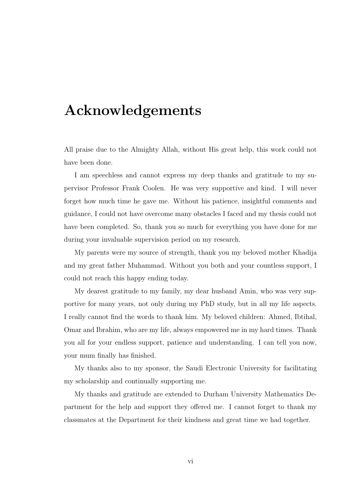# Acknowledgements

All praise due to the Almighty Allah, without His great help, this work could not have been done.

I am speechless and cannot express my deep thanks and gratitude to my supervisor Professor Frank Coolen. He was very supportive and kind. I will never forget how much time he gave me. Without his patience, insightful comments and guidance, I could not have overcome many obstacles I faced and my thesis could not have been completed. So, thank you so much for everything you have done for me during your invaluable supervision period on my research.

My parents were my source of strength, thank you my beloved mother Khadija and my great father Muhammad. Without you both and your countless support, I could not reach this happy ending today.

My dearest gratitude to my family, my dear husband Amin, who was very supportive for many years, not only during my PhD study, but in all my life aspects. I really cannot find the words to thank him. My beloved children: Ahmed, Ibtihal, Omar and Ibrahim, who are my life, always empowered me in my hard times. Thank you all for your endless support, patience and understanding. I can tell you now, your mum finally has finished.

My thanks also to my sponsor, the Saudi Electronic University for facilitating my scholarship and continually supporting me.

My thanks and gratitude are extended to Durham University Mathematics Department for the help and support they offered me. I cannot forget to thank my classmates at the Department for their kindness and great time we had together.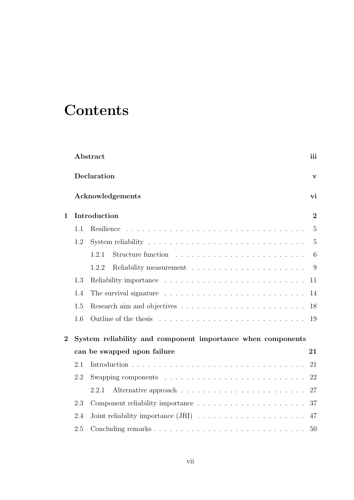# **Contents**

|                |                             | Abstract                                                                               | iii            |  |  |  |
|----------------|-----------------------------|----------------------------------------------------------------------------------------|----------------|--|--|--|
|                |                             | Declaration                                                                            | $\mathbf{v}$   |  |  |  |
|                |                             | Acknowledgements                                                                       | vi             |  |  |  |
| $\mathbf{1}$   | Introduction                | $\overline{2}$                                                                         |                |  |  |  |
|                | 1.1                         | Resilience                                                                             | $\overline{5}$ |  |  |  |
|                | 1.2                         | System reliability $\dots \dots \dots \dots \dots \dots \dots \dots \dots \dots \dots$ | $\overline{5}$ |  |  |  |
|                |                             | 1.2.1                                                                                  | 6              |  |  |  |
|                |                             | 1.2.2                                                                                  | 9              |  |  |  |
|                | 1.3                         |                                                                                        | 11             |  |  |  |
|                | 1.4                         | The survival signature $\ldots \ldots \ldots \ldots \ldots \ldots \ldots \ldots$       | 14             |  |  |  |
|                | 1.5                         |                                                                                        | 18             |  |  |  |
|                | 1.6                         |                                                                                        | 19             |  |  |  |
| $\overline{2}$ |                             | System reliability and component importance when components                            |                |  |  |  |
|                | can be swapped upon failure |                                                                                        |                |  |  |  |
|                | 2.1                         |                                                                                        | 21             |  |  |  |
|                | 2.2                         |                                                                                        | 22             |  |  |  |
|                |                             | 2.2.1                                                                                  | 27             |  |  |  |
|                | 2.3                         |                                                                                        | 37             |  |  |  |
|                | 2.4                         |                                                                                        | 47             |  |  |  |
|                | 2.5                         |                                                                                        | 50             |  |  |  |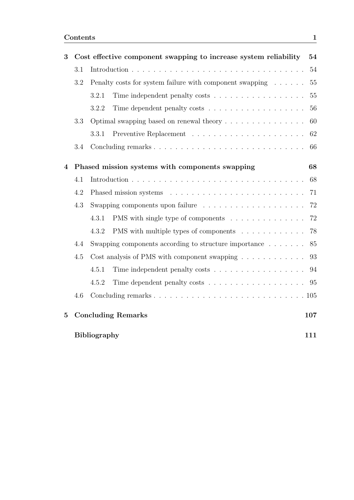| 3              |     | Cost effective component swapping to increase system reliability                         | 54  |
|----------------|-----|------------------------------------------------------------------------------------------|-----|
|                | 3.1 |                                                                                          | 54  |
|                | 3.2 | Penalty costs for system failure with component swapping                                 | 55  |
|                |     | Time independent penalty costs<br>3.2.1                                                  | 55  |
|                |     | 3.2.2                                                                                    | 56  |
|                | 3.3 |                                                                                          | 60  |
|                |     | 3.3.1                                                                                    | 62  |
|                | 3.4 |                                                                                          | 66  |
| $\overline{4}$ |     | Phased mission systems with components swapping                                          | 68  |
|                | 4.1 |                                                                                          | 68  |
|                | 4.2 |                                                                                          | 71  |
|                | 4.3 | Swapping components upon failure $\dots \dots \dots \dots \dots \dots \dots$             | 72  |
|                |     | PMS with single type of components<br>4.3.1                                              | 72  |
|                |     | PMS with multiple types of components<br>4.3.2                                           | 78  |
|                | 4.4 | Swapping components according to structure importance $\dots \dots$                      | 85  |
|                | 4.5 | Cost analysis of PMS with component swapping $\dots \dots \dots \dots$                   | 93  |
|                |     | 4.5.1                                                                                    | 94  |
|                |     | 4.5.2<br>Time dependent penalty costs $\ldots \ldots \ldots \ldots \ldots \ldots$ . $95$ |     |
|                | 4.6 |                                                                                          |     |
| $\bf{5}$       |     | <b>Concluding Remarks</b>                                                                | 107 |
|                |     | <b>Bibliography</b>                                                                      | 111 |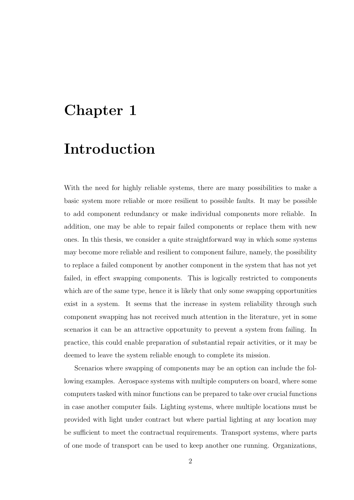# Chapter 1

# Introduction

With the need for highly reliable systems, there are many possibilities to make a basic system more reliable or more resilient to possible faults. It may be possible to add component redundancy or make individual components more reliable. In addition, one may be able to repair failed components or replace them with new ones. In this thesis, we consider a quite straightforward way in which some systems may become more reliable and resilient to component failure, namely, the possibility to replace a failed component by another component in the system that has not yet failed, in effect swapping components. This is logically restricted to components which are of the same type, hence it is likely that only some swapping opportunities exist in a system. It seems that the increase in system reliability through such component swapping has not received much attention in the literature, yet in some scenarios it can be an attractive opportunity to prevent a system from failing. In practice, this could enable preparation of substantial repair activities, or it may be deemed to leave the system reliable enough to complete its mission.

Scenarios where swapping of components may be an option can include the following examples. Aerospace systems with multiple computers on board, where some computers tasked with minor functions can be prepared to take over crucial functions in case another computer fails. Lighting systems, where multiple locations must be provided with light under contract but where partial lighting at any location may be sufficient to meet the contractual requirements. Transport systems, where parts of one mode of transport can be used to keep another one running. Organizations,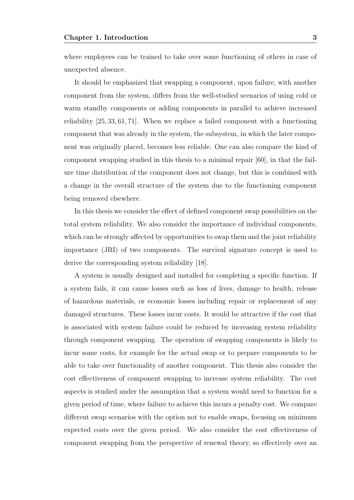where employees can be trained to take over some functioning of others in case of unexpected absence.

It should be emphasized that swapping a component, upon failure, with another component from the system, differs from the well-studied scenarios of using cold or warm standby components or adding components in parallel to achieve increased reliability [25, 33, 61, 71]. When we replace a failed component with a functioning component that was already in the system, the subsystem, in which the later component was originally placed, becomes less reliable. One can also compare the kind of component swapping studied in this thesis to a minimal repair [60], in that the failure time distribution of the component does not change, but this is combined with a change in the overall structure of the system due to the functioning component being removed elsewhere.

In this thesis we consider the effect of defined component swap possibilities on the total system reliability. We also consider the importance of individual components, which can be strongly affected by opportunities to swap them and the joint reliability importance (JRI) of two components. The survival signature concept is used to derive the corresponding system reliability [18].

A system is usually designed and installed for completing a specific function. If a system fails, it can cause losses such as loss of lives, damage to health, release of hazardous materials, or economic losses including repair or replacement of any damaged structures. These losses incur costs. It would be attractive if the cost that is associated with system failure could be reduced by increasing system reliability through component swapping. The operation of swapping components is likely to incur some costs, for example for the actual swap or to prepare components to be able to take over functionality of another component. This thesis also consider the cost effectiveness of component swapping to increase system reliability. The cost aspects is studied under the assumption that a system would need to function for a given period of time, where failure to achieve this incurs a penalty cost. We compare different swap scenarios with the option not to enable swaps, focusing on minimum expected costs over the given period. We also consider the cost effectiveness of component swapping from the perspective of renewal theory, so effectively over an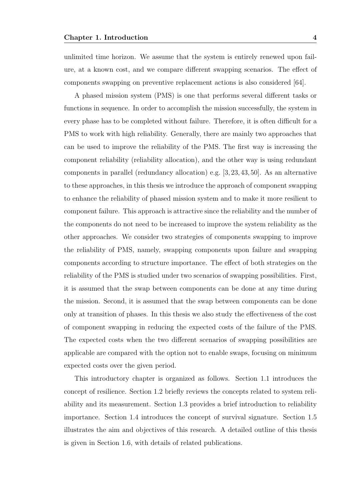unlimited time horizon. We assume that the system is entirely renewed upon failure, at a known cost, and we compare different swapping scenarios. The effect of components swapping on preventive replacement actions is also considered [64].

A phased mission system (PMS) is one that performs several different tasks or functions in sequence. In order to accomplish the mission successfully, the system in every phase has to be completed without failure. Therefore, it is often difficult for a PMS to work with high reliability. Generally, there are mainly two approaches that can be used to improve the reliability of the PMS. The first way is increasing the component reliability (reliability allocation), and the other way is using redundant components in parallel (redundancy allocation) e.g. [3, 23, 43, 50]. As an alternative to these approaches, in this thesis we introduce the approach of component swapping to enhance the reliability of phased mission system and to make it more resilient to component failure. This approach is attractive since the reliability and the number of the components do not need to be increased to improve the system reliability as the other approaches. We consider two strategies of components swapping to improve the reliability of PMS, namely, swapping components upon failure and swapping components according to structure importance. The effect of both strategies on the reliability of the PMS is studied under two scenarios of swapping possibilities. First, it is assumed that the swap between components can be done at any time during the mission. Second, it is assumed that the swap between components can be done only at transition of phases. In this thesis we also study the effectiveness of the cost of component swapping in reducing the expected costs of the failure of the PMS. The expected costs when the two different scenarios of swapping possibilities are applicable are compared with the option not to enable swaps, focusing on minimum expected costs over the given period.

This introductory chapter is organized as follows. Section 1.1 introduces the concept of resilience. Section 1.2 briefly reviews the concepts related to system reliability and its measurement. Section 1.3 provides a brief introduction to reliability importance. Section 1.4 introduces the concept of survival signature. Section 1.5 illustrates the aim and objectives of this research. A detailed outline of this thesis is given in Section 1.6, with details of related publications.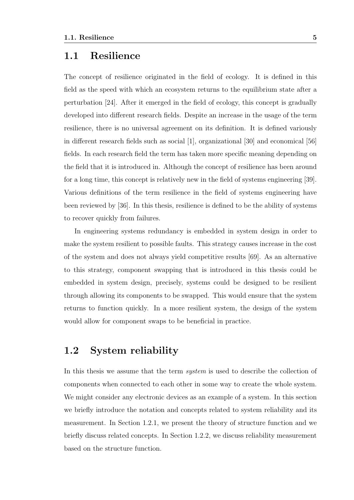### 1.1 Resilience

The concept of resilience originated in the field of ecology. It is defined in this field as the speed with which an ecosystem returns to the equilibrium state after a perturbation [24]. After it emerged in the field of ecology, this concept is gradually developed into different research fields. Despite an increase in the usage of the term resilience, there is no universal agreement on its definition. It is defined variously in different research fields such as social [1], organizational [30] and economical [56] fields. In each research field the term has taken more specific meaning depending on the field that it is introduced in. Although the concept of resilience has been around for a long time, this concept is relatively new in the field of systems engineering [39]. Various definitions of the term resilience in the field of systems engineering have been reviewed by [36]. In this thesis, resilience is defined to be the ability of systems to recover quickly from failures.

In engineering systems redundancy is embedded in system design in order to make the system resilient to possible faults. This strategy causes increase in the cost of the system and does not always yield competitive results [69]. As an alternative to this strategy, component swapping that is introduced in this thesis could be embedded in system design, precisely, systems could be designed to be resilient through allowing its components to be swapped. This would ensure that the system returns to function quickly. In a more resilient system, the design of the system would allow for component swaps to be beneficial in practice.

### 1.2 System reliability

In this thesis we assume that the term system is used to describe the collection of components when connected to each other in some way to create the whole system. We might consider any electronic devices as an example of a system. In this section we briefly introduce the notation and concepts related to system reliability and its measurement. In Section 1.2.1, we present the theory of structure function and we briefly discuss related concepts. In Section 1.2.2, we discuss reliability measurement based on the structure function.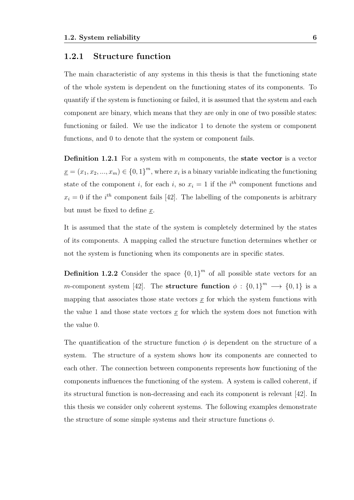#### 1.2.1 Structure function

The main characteristic of any systems in this thesis is that the functioning state of the whole system is dependent on the functioning states of its components. To quantify if the system is functioning or failed, it is assumed that the system and each component are binary, which means that they are only in one of two possible states: functioning or failed. We use the indicator 1 to denote the system or component functions, and 0 to denote that the system or component fails.

**Definition 1.2.1** For a system with  $m$  components, the **state vector** is a vector  $\underline{x} = (x_1, x_2, ..., x_m) \in \{0, 1\}^m$ , where  $x_i$  is a binary variable indicating the functioning state of the component *i*, for each *i*, so  $x_i = 1$  if the *i*<sup>th</sup> component functions and  $x_i = 0$  if the  $i^{th}$  component fails [42]. The labelling of the components is arbitrary but must be fixed to define x.

It is assumed that the state of the system is completely determined by the states of its components. A mapping called the structure function determines whether or not the system is functioning when its components are in specific states.

**Definition 1.2.2** Consider the space  $\{0,1\}^m$  of all possible state vectors for an m-component system [42]. The **structure function**  $\phi : \{0,1\}^m \longrightarrow \{0,1\}$  is a mapping that associates those state vectors  $\underline{x}$  for which the system functions with the value 1 and those state vectors  $\underline{x}$  for which the system does not function with the value 0.

The quantification of the structure function  $\phi$  is dependent on the structure of a system. The structure of a system shows how its components are connected to each other. The connection between components represents how functioning of the components influences the functioning of the system. A system is called coherent, if its structural function is non-decreasing and each its component is relevant [42]. In this thesis we consider only coherent systems. The following examples demonstrate the structure of some simple systems and their structure functions  $\phi$ .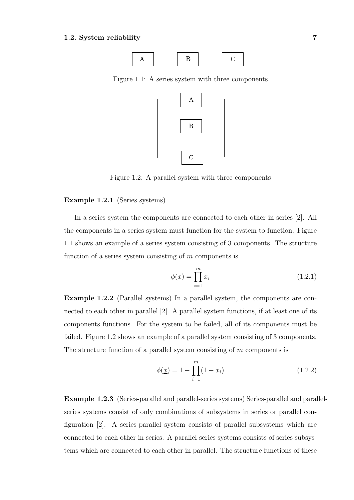

Figure 1.1: A series system with three components



Figure 1.2: A parallel system with three components

#### Example 1.2.1 (Series systems)

In a series system the components are connected to each other in series [2]. All the components in a series system must function for the system to function. Figure 1.1 shows an example of a series system consisting of 3 components. The structure function of a series system consisting of  $m$  components is

$$
\phi(\underline{x}) = \prod_{i=1}^{m} x_i \tag{1.2.1}
$$

Example 1.2.2 (Parallel systems) In a parallel system, the components are connected to each other in parallel [2]. A parallel system functions, if at least one of its components functions. For the system to be failed, all of its components must be failed. Figure 1.2 shows an example of a parallel system consisting of 3 components. The structure function of a parallel system consisting of  $m$  components is

$$
\phi(\underline{x}) = 1 - \prod_{i=1}^{m} (1 - x_i)
$$
\n(1.2.2)

Example 1.2.3 (Series-parallel and parallel-series systems) Series-parallel and parallelseries systems consist of only combinations of subsystems in series or parallel configuration [2]. A series-parallel system consists of parallel subsystems which are connected to each other in series. A parallel-series systems consists of series subsystems which are connected to each other in parallel. The structure functions of these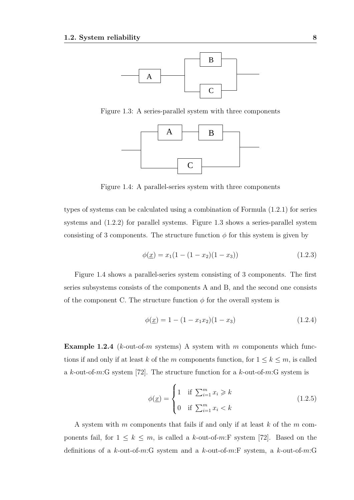

Figure 1.3: A series-parallel system with three components



Figure 1.4: A parallel-series system with three components

types of systems can be calculated using a combination of Formula (1.2.1) for series systems and (1.2.2) for parallel systems. Figure 1.3 shows a series-parallel system consisting of 3 components. The structure function  $\phi$  for this system is given by

$$
\phi(\underline{x}) = x_1(1 - (1 - x_2)(1 - x_3))\tag{1.2.3}
$$

Figure 1.4 shows a parallel-series system consisting of 3 components. The first series subsystems consists of the components A and B, and the second one consists of the component C. The structure function  $\phi$  for the overall system is

$$
\phi(\underline{x}) = 1 - (1 - x_1 x_2)(1 - x_3) \tag{1.2.4}
$$

**Example 1.2.4** ( $k$ -out-of-m systems) A system with m components which functions if and only if at least k of the m components function, for  $1 \leq k \leq m$ , is called a k-out-of-m:G system [72]. The structure function for a k-out-of-m:G system is

$$
\phi(\underline{x}) = \begin{cases} 1 & \text{if } \sum_{i=1}^{m} x_i \ge k \\ 0 & \text{if } \sum_{i=1}^{m} x_i < k \end{cases} \tag{1.2.5}
$$

A system with m components that fails if and only if at least  $k$  of the m components fail, for  $1 \leq k \leq m$ , is called a k-out-of-m:F system [72]. Based on the definitions of a k-out-of-m:G system and a k-out-of-m:F system, a k-out-of-m:G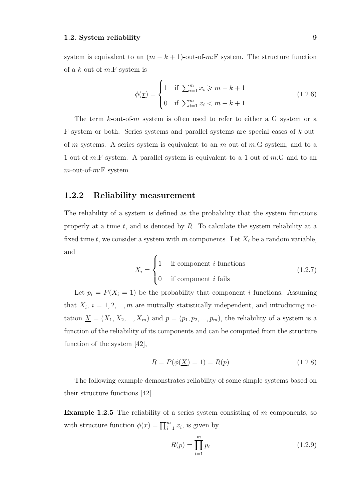system is equivalent to an  $(m - k + 1)$ -out-of-m:F system. The structure function of a k-out-of- $m$ : F system is

$$
\phi(\underline{x}) = \begin{cases} 1 & \text{if } \sum_{i=1}^{m} x_i \ge m - k + 1 \\ 0 & \text{if } \sum_{i=1}^{m} x_i < m - k + 1 \end{cases} \tag{1.2.6}
$$

The term k-out-of-m system is often used to refer to either a G system or a  $F$  system or both. Series systems and parallel systems are special cases of  $k$ -outof-m systems. A series system is equivalent to an  $m$ -out-of-m:G system, and to a 1-out-of-m:F system. A parallel system is equivalent to a 1-out-of-m:G and to an  $m$ -out-of- $m$ :F system.

#### 1.2.2 Reliability measurement

The reliability of a system is defined as the probability that the system functions properly at a time  $t$ , and is denoted by  $R$ . To calculate the system reliability at a fixed time t, we consider a system with m components. Let  $X_i$  be a random variable, and

$$
X_i = \begin{cases} 1 & \text{if component } i \text{ functions} \\ 0 & \text{if component } i \text{ fails} \end{cases} \tag{1.2.7}
$$

Let  $p_i = P(X_i = 1)$  be the probability that component i functions. Assuming that  $X_i$ ,  $i = 1, 2, ..., m$  are mutually statistically independent, and introducing notation  $\underline{X} = (X_1, X_2, ..., X_m)$  and  $p = (p_1, p_2, ..., p_m)$ , the reliability of a system is a function of the reliability of its components and can be computed from the structure function of the system [42],

$$
R = P(\phi(\underline{X}) = 1) = R(p)
$$
\n(1.2.8)

The following example demonstrates reliability of some simple systems based on their structure functions [42].

**Example 1.2.5** The reliability of a series system consisting of  $m$  components, so with structure function  $\phi(\underline{x}) = \prod_{i=1}^{m} x_i$ , is given by

$$
R(\underline{p}) = \prod_{i=1}^{m} p_i \tag{1.2.9}
$$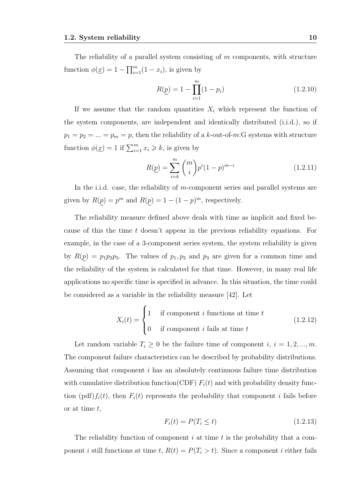The reliability of a parallel system consisting of  $m$  components, with structure function  $\phi(\underline{x}) = 1 - \prod_{i=1}^{m} (1 - x_i)$ , is given by

$$
R(\underline{p}) = 1 - \prod_{i=1}^{m} (1 - p_i)
$$
 (1.2.10)

If we assume that the random quantities  $X_i$  which represent the function of the system components, are independent and identically distributed (i.i.d.), so if  $p_1 = p_2 = \ldots = p_m = p$ , then the reliability of a k-out-of-m:G systems with structure function  $\phi(\underline{x}) = 1$  if  $\sum_{i=1}^{m} x_i \geq k$ , is given by

$$
R(\underline{p}) = \sum_{i=k}^{m} {m \choose i} p^i (1-p)^{m-i}
$$
 (1.2.11)

In the i.i.d. case, the reliability of m-component series and parallel systems are given by  $R(p) = p^m$  and  $R(p) = 1 - (1 - p)^m$ , respectively.

The reliability measure defined above deals with time as implicit and fixed because of this the time t doesn't appear in the previous reliability equations. For example, in the case of a 3-component series system, the system reliability is given by  $R(p) = p_1 p_2 p_3$ . The values of  $p_1, p_2$  and  $p_3$  are given for a common time and the reliability of the system is calculated for that time. However, in many real life applications no specific time is specified in advance. In this situation, the time could be considered as a variable in the reliability measure [42]. Let

$$
X_i(t) = \begin{cases} 1 & \text{if component } i \text{ functions at time } t \\ 0 & \text{if component } i \text{ fails at time } t \end{cases}
$$
 (1.2.12)

Let random variable  $T_i \geq 0$  be the failure time of component i,  $i = 1, 2, ..., m$ . The component failure characteristics can be described by probability distributions. Assuming that component i has an absolutely continuous failure time distribution with cumulative distribution function(CDF)  $F_i(t)$  and with probability density function  $(\text{pdf})f_i(t)$ , then  $F_i(t)$  represents the probability that component i fails before or at time  $t$ ,

$$
F_i(t) = P(T_i \le t) \tag{1.2.13}
$$

The reliability function of component  $i$  at time  $t$  is the probability that a component *i* still functions at time *t*,  $R(t) = P(T_i > t)$ . Since a component *i* either fails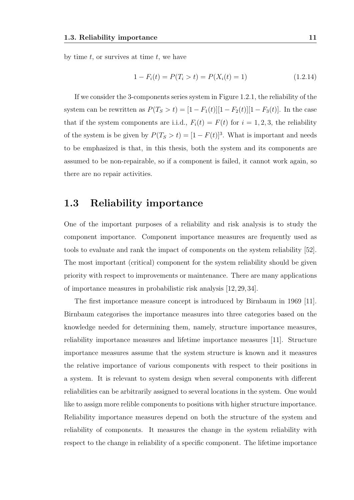by time  $t$ , or survives at time  $t$ , we have

$$
1 - F_i(t) = P(T_i > t) = P(X_i(t) = 1)
$$
\n(1.2.14)

If we consider the 3-components series system in Figure 1.2.1, the reliability of the system can be rewritten as  $P(T_S > t) = [1 - F_1(t)][1 - F_2(t)][1 - F_3(t)]$ . In the case that if the system components are i.i.d.,  $F_i(t) = F(t)$  for  $i = 1, 2, 3$ , the reliability of the system is be given by  $P(T_S > t) = [1 - F(t)]^3$ . What is important and needs to be emphasized is that, in this thesis, both the system and its components are assumed to be non-repairable, so if a component is failed, it cannot work again, so there are no repair activities.

#### 1.3 Reliability importance

One of the important purposes of a reliability and risk analysis is to study the component importance. Component importance measures are frequently used as tools to evaluate and rank the impact of components on the system reliability [52]. The most important (critical) component for the system reliability should be given priority with respect to improvements or maintenance. There are many applications of importance measures in probabilistic risk analysis [12, 29, 34].

The first importance measure concept is introduced by Birnbaum in 1969 [11]. Birnbaum categorises the importance measures into three categories based on the knowledge needed for determining them, namely, structure importance measures, reliability importance measures and lifetime importance measures [11]. Structure importance measures assume that the system structure is known and it measures the relative importance of various components with respect to their positions in a system. It is relevant to system design when several components with different reliabilities can be arbitrarily assigned to several locations in the system. One would like to assign more relible components to positions with higher structure importance. Reliability importance measures depend on both the structure of the system and reliability of components. It measures the change in the system reliability with respect to the change in reliability of a specific component. The lifetime importance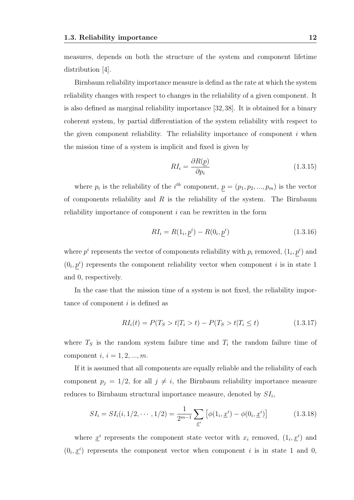measures, depends on both the structure of the system and component lifetime distribution [4].

Birnbaum reliability importance measure is defind as the rate at which the system reliability changes with respect to changes in the reliability of a given component. It is also defined as marginal reliability importance [32,38]. It is obtained for a binary coherent system, by partial differentiation of the system reliability with respect to the given component reliability. The reliability importance of component  $i$  when the mission time of a system is implicit and fixed is given by

$$
RI_i = \frac{\partial R(p)}{\partial p_i} \tag{1.3.15}
$$

where  $p_i$  is the reliability of the  $i^{th}$  component,  $p = (p_1, p_2, ..., p_m)$  is the vector of components reliability and  $R$  is the reliability of the system. The Birnbaum reliability importance of component  $i$  can be rewritten in the form

$$
RI_i = R(1_i, \underline{p}^i) - R(0_i, \underline{p}^i)
$$
\n(1.3.16)

where  $p^i$  represents the vector of components reliability with  $p_i$  removed,  $(1_i, p^i)$  and  $(0_i, p^i)$  represents the component reliability vector when component i is in state 1 and 0, respectively.

In the case that the mission time of a system is not fixed, the reliability importance of component *i* is defined as

$$
RI_i(t) = P(T_S > t | T_i > t) - P(T_S > t | T_i \le t)
$$
\n(1.3.17)

where  $T<sub>S</sub>$  is the random system failure time and  $T<sub>i</sub>$  the random failure time of component  $i, i = 1, 2, ..., m$ .

If it is assumed that all components are equally reliable and the reliability of each component  $p_j = 1/2$ , for all  $j \neq i$ , the Birnbaum reliability importance measure reduces to Birnbaum structural importance measure, denoted by  $SI_i$ ,

$$
SI_i = SI_i(i, 1/2, \cdots, 1/2) = \frac{1}{2^{m-1}} \sum_{\underline{x}^i} \left[ \phi(1_i, \underline{x}^i) - \phi(0_i, \underline{x}^i) \right]
$$
(1.3.18)

where  $\underline{x}^i$  represents the component state vector with  $x_i$  removed,  $(1_i, \underline{x}^i)$  and  $(0_i, \underline{x}^i)$  represents the component vector when component i is in state 1 and 0,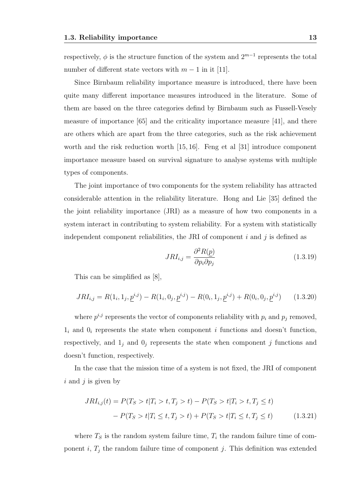respectively,  $\phi$  is the structure function of the system and  $2^{m-1}$  represents the total number of different state vectors with  $m - 1$  in it [11].

Since Birnbaum reliability importance measure is introduced, there have been quite many different importance measures introduced in the literature. Some of them are based on the three categories defind by Birnbaum such as Fussell-Vesely measure of importance [65] and the criticality importance measure [41], and there are others which are apart from the three categories, such as the risk achievement worth and the risk reduction worth [15, 16]. Feng et al [31] introduce component importance measure based on survival signature to analyse systems with multiple types of components.

The joint importance of two components for the system reliability has attracted considerable attention in the reliability literature. Hong and Lie [35] defined the the joint reliability importance (JRI) as a measure of how two components in a system interact in contributing to system reliability. For a system with statistically independent component reliabilities, the JRI of component  $i$  and  $j$  is defined as

$$
JRI_{i,j} = \frac{\partial^2 R(p)}{\partial p_i \partial p_j} \tag{1.3.19}
$$

This can be simplified as [8],

$$
JRI_{i,j} = R(1_i, 1_j, \underline{p}^{i,j}) - R(1_i, 0_j, \underline{p}^{i,j}) - R(0_i, 1_j, \underline{p}^{i,j}) + R(0_i, 0_j, \underline{p}^{i,j}) \tag{1.3.20}
$$

where  $p^{i,j}$  represents the vector of components reliability with  $p_i$  and  $p_j$  removed,  $1_i$  and  $0_i$  represents the state when component i functions and doesn't function, respectively, and  $1_j$  and  $0_j$  represents the state when component j functions and doesn't function, respectively.

In the case that the mission time of a system is not fixed, the JRI of component  $i$  and  $j$  is given by

$$
JRI_{i,j}(t) = P(T_S > t | T_i > t, T_j > t) - P(T_S > t | T_i > t, T_j \le t)
$$

$$
- P(T_S > t | T_i \le t, T_j > t) + P(T_S > t | T_i \le t, T_j \le t) \tag{1.3.21}
$$

where  $T<sub>S</sub>$  is the random system failure time,  $T<sub>i</sub>$  the random failure time of component i,  $T_j$  the random failure time of component j. This definition was extended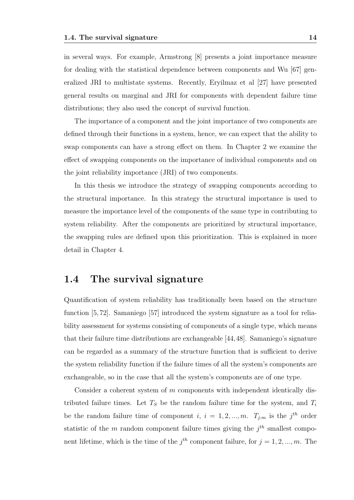in several ways. For example, Armstrong [8] presents a joint importance measure for dealing with the statistical dependence between components and Wu [67] generalized JRI to multistate systems. Recently, Eryilmaz et al [27] have presented general results on marginal and JRI for components with dependent failure time distributions; they also used the concept of survival function.

The importance of a component and the joint importance of two components are defined through their functions in a system, hence, we can expect that the ability to swap components can have a strong effect on them. In Chapter 2 we examine the effect of swapping components on the importance of individual components and on the joint reliability importance (JRI) of two components.

In this thesis we introduce the strategy of swapping components according to the structural importance. In this strategy the structural importance is used to measure the importance level of the components of the same type in contributing to system reliability. After the components are prioritized by structural importance, the swapping rules are defined upon this prioritization. This is explained in more detail in Chapter 4.

### 1.4 The survival signature

Quantification of system reliability has traditionally been based on the structure function [5, 72]. Samaniego [57] introduced the system signature as a tool for reliability assessment for systems consisting of components of a single type, which means that their failure time distributions are exchangeable [44,48]. Samaniego's signature can be regarded as a summary of the structure function that is sufficient to derive the system reliability function if the failure times of all the system's components are exchangeable, so in the case that all the system's components are of one type.

Consider a coherent system of m components with independent identically distributed failure times. Let  $T<sub>S</sub>$  be the random failure time for the system, and  $T<sub>i</sub>$ be the random failure time of component i,  $i = 1, 2, ..., m$ .  $T_{j:m}$  is the j<sup>th</sup> order statistic of the m random component failure times giving the  $j<sup>th</sup>$  smallest component lifetime, which is the time of the  $j<sup>th</sup>$  component failure, for  $j = 1, 2, ..., m$ . The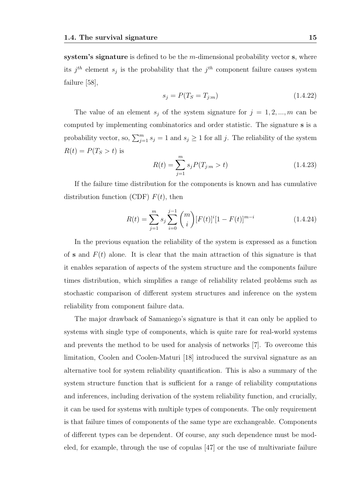system's signature is defined to be the  $m$ -dimensional probability vector s, where its  $j<sup>th</sup>$  element  $s_j$  is the probability that the  $j<sup>th</sup>$  component failure causes system failure [58],

$$
s_j = P(T_S = T_{j:m})
$$
\n(1.4.22)

The value of an element  $s_j$  of the system signature for  $j = 1, 2, ..., m$  can be computed by implementing combinatorics and order statistic. The signature s is a probability vector, so,  $\sum_{j=1}^{m} s_j = 1$  and  $s_j \geq 1$  for all j. The reliability of the system  $R(t) = P(T<sub>S</sub> > t)$  is

$$
R(t) = \sum_{j=1}^{m} s_j P(T_{j:m} > t)
$$
\n(1.4.23)

If the failure time distribution for the components is known and has cumulative distribution function (CDF)  $F(t)$ , then

$$
R(t) = \sum_{j=1}^{m} s_j \sum_{i=0}^{j-1} {m \choose i} [F(t)]^i [1 - F(t)]^{m-i}
$$
 (1.4.24)

In the previous equation the reliability of the system is expressed as a function of s and  $F(t)$  alone. It is clear that the main attraction of this signature is that it enables separation of aspects of the system structure and the components failure times distribution, which simplifies a range of reliability related problems such as stochastic comparison of different system structures and inference on the system reliability from component failure data.

The major drawback of Samaniego's signature is that it can only be applied to systems with single type of components, which is quite rare for real-world systems and prevents the method to be used for analysis of networks [7]. To overcome this limitation, Coolen and Coolen-Maturi [18] introduced the survival signature as an alternative tool for system reliability quantification. This is also a summary of the system structure function that is sufficient for a range of reliability computations and inferences, including derivation of the system reliability function, and crucially, it can be used for systems with multiple types of components. The only requirement is that failure times of components of the same type are exchangeable. Components of different types can be dependent. Of course, any such dependence must be modeled, for example, through the use of copulas [47] or the use of multivariate failure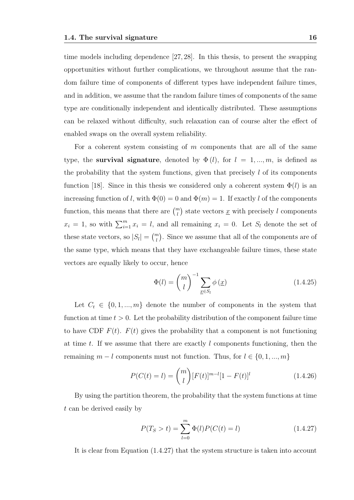time models including dependence [27, 28]. In this thesis, to present the swapping opportunities without further complications, we throughout assume that the random failure time of components of different types have independent failure times, and in addition, we assume that the random failure times of components of the same type are conditionally independent and identically distributed. These assumptions can be relaxed without difficulty, such relaxation can of course alter the effect of enabled swaps on the overall system reliability.

For a coherent system consisting of  $m$  components that are all of the same type, the survival signature, denoted by  $\Phi(l)$ , for  $l = 1, ..., m$ , is defined as the probability that the system functions, given that precisely  $l$  of its components function [18]. Since in this thesis we considered only a coherent system  $\Phi(l)$  is an increasing function of l, with  $\Phi(0) = 0$  and  $\Phi(m) = 1$ . If exactly l of the components function, this means that there are  $\binom{m}{l}$  state vectors  $\underline{x}$  with precisely l components  $x_i = 1$ , so with  $\sum_{i=1}^m x_i = l$ , and all remaining  $x_i = 0$ . Let  $S_l$  denote the set of these state vectors, so  $|S_l| = \binom{m}{l}$ . Since we assume that all of the components are of the same type, which means that they have exchangeable failure times, these state vectors are equally likely to occur, hence

$$
\Phi(l) = \binom{m}{l}^{-1} \sum_{\underline{x} \in S_l} \phi(\underline{x}) \tag{1.4.25}
$$

Let  $C_t \in \{0, 1, ..., m\}$  denote the number of components in the system that function at time  $t > 0$ . Let the probability distribution of the component failure time to have CDF  $F(t)$ .  $F(t)$  gives the probability that a component is not functioning at time t. If we assume that there are exactly  $l$  components functioning, then the remaining  $m - l$  components must not function. Thus, for  $l \in \{0, 1, ..., m\}$ 

$$
P(C(t) = l) = {m \choose l} [F(t)]^{m-l} [1 - F(t)]^{l}
$$
\n(1.4.26)

By using the partition theorem, the probability that the system functions at time t can be derived easily by

$$
P(T_S > t) = \sum_{l=0}^{m} \Phi(l) P(C(t) = l)
$$
\n(1.4.27)

It is clear from Equation (1.4.27) that the system structure is taken into account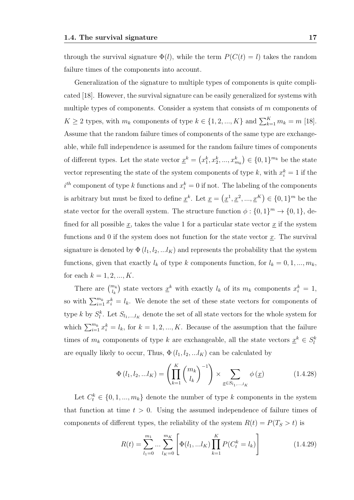through the survival signature  $\Phi(l)$ , while the term  $P(C(t) = l)$  takes the random failure times of the components into account.

Generalization of the signature to multiple types of components is quite complicated [18]. However, the survival signature can be easily generalized for systems with multiple types of components. Consider a system that consists of m components of  $K \geq 2$  types, with  $m_k$  components of type  $k \in \{1, 2, ..., K\}$  and  $\sum_{k=1}^{K} m_k = m$  [18]. Assume that the random failure times of components of the same type are exchangeable, while full independence is assumed for the random failure times of components of different types. Let the state vector  $\underline{x}^k = (x_1^k, x_2^k, ..., x_{m_k}^k) \in \{0, 1\}^{m_k}$  be the state vector representing the state of the system components of type k, with  $x_i^k = 1$  if the  $i^{th}$  component of type k functions and  $x_i^k = 0$  if not. The labeling of the components is arbitrary but must be fixed to define  $\underline{x}^k$ . Let  $\underline{x} = (\underline{x}^1, \underline{x}^2, ..., \underline{x}^K) \in \{0, 1\}^m$  be the state vector for the overall system. The structure function  $\phi: \{0,1\}^m \to \{0,1\}$ , defined for all possible  $\underline{x}$ , takes the value 1 for a particular state vector  $\underline{x}$  if the system functions and 0 if the system does not function for the state vector  $x$ . The survival signature is denoted by  $\Phi(l_1, l_2, ... l_K)$  and represents the probability that the system functions, given that exactly  $l_k$  of type k components function, for  $l_k = 0, 1, ..., m_k$ , for each  $k = 1, 2, ..., K$ .

There are  $\binom{m_k}{l_k}$  state vectors  $\underline{x}^k$  with exactly  $l_k$  of its  $m_k$  components  $x_i^k = 1$ , so with  $\sum_{i=1}^{m_k} x_i^k = l_k$ . We denote the set of these state vectors for components of type k by  $S_l^k$ . Let  $S_{l_1,\dots,l_K}$  denote the set of all state vectors for the whole system for which  $\sum_{i=1}^{m_k} x_i^k = l_k$ , for  $k = 1, 2, ..., K$ . Because of the assumption that the failure times of  $m_k$  components of type k are exchangeable, all the state vectors  $\underline{x}^k \in S_l^k$ are equally likely to occur, Thus,  $\Phi(l_1, l_2, ... l_K)$  can be calculated by

$$
\Phi(l_1, l_2, ... l_K) = \left(\prod_{k=1}^K {m_k \choose l_k}^{-1}\right) \times \sum_{\underline{x} \in S_{l_1,...,l_K}} \phi(\underline{x})
$$
\n(1.4.28)

Let  $C_t^k \in \{0, 1, ..., m_k\}$  denote the number of type k components in the system that function at time  $t > 0$ . Using the assumed independence of failure times of components of different types, the reliability of the system  $R(t) = P(T<sub>S</sub> > t)$  is

$$
R(t) = \sum_{l_1=0}^{m_1} \dots \sum_{l_K=0}^{m_K} \left[ \Phi(l_1, \dots l_K) \prod_{k=1}^K P(C_t^k = l_k) \right]
$$
 (1.4.29)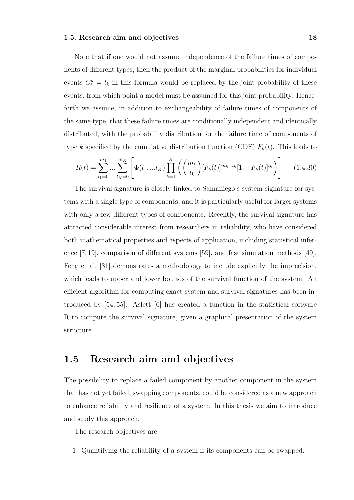Note that if one would not assume independence of the failure times of components of different types, then the product of the marginal probabilities for individual events  $C_t^k = l_k$  in this formula would be replaced by the joint probability of these events, from which point a model must be assumed for this joint probability. Henceforth we assume, in addition to exchangeability of failure times of components of the same type, that these failure times are conditionally independent and identically distributed, with the probability distribution for the failure time of components of type k specified by the cumulative distribution function (CDF)  $F_k(t)$ . This leads to

$$
R(t) = \sum_{l_1=0}^{m_1} \dots \sum_{l_K=0}^{m_K} \left[ \Phi(l_1, \dots, l_K) \prod_{k=1}^K \left( \binom{m_k}{l_k} [F_k(t)]^{m_k - l_k} [1 - F_k(t)]^{l_k} \right) \right] \tag{1.4.30}
$$

The survival signature is closely linked to Samaniego's system signature for systems with a single type of components, and it is particularly useful for larger systems with only a few different types of components. Recently, the survival signature has attracted considerable interest from researchers in reliability, who have considered both mathematical properties and aspects of application, including statistical inference [7, 19], comparison of different systems [59], and fast simulation methods [49]. Feng et al. [31] demonstrates a methodology to include explicitly the imprecision, which leads to upper and lower bounds of the survival function of the system. An efficient algorithm for computing exact system and survival signatures has been introduced by [54, 55]. Aslett [6] has created a function in the statistical software R to compute the survival signature, given a graphical presentation of the system structure.

### 1.5 Research aim and objectives

The possibility to replace a failed component by another component in the system that has not yet failed, swapping components, could be considered as a new approach to enhance reliability and resilience of a system. In this thesis we aim to introduce and study this approach.

The research objectives are:

1. Quantifying the reliability of a system if its components can be swapped.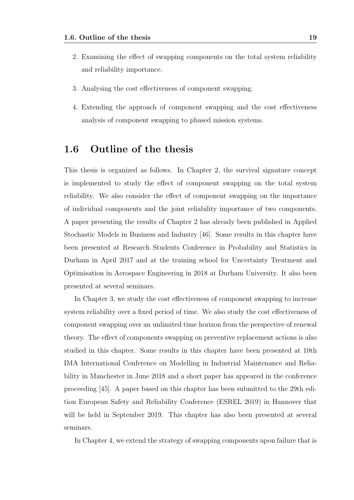- 2. Examining the effect of swapping components on the total system reliability and reliability importance.
- 3. Analysing the cost effectiveness of component swapping.
- 4. Extending the approach of component swapping and the cost effectiveness analysis of component swapping to phased mission systems.

### 1.6 Outline of the thesis

This thesis is organized as follows. In Chapter 2, the survival signature concept is implemented to study the effect of component swapping on the total system reliability. We also consider the effect of component swapping on the importance of individual components and the joint reliability importance of two components. A paper presenting the results of Chapter 2 has already been published in Applied Stochastic Models in Business and Industry [46]. Some results in this chapter have been presented at Research Students Conference in Probability and Statistics in Durham in April 2017 and at the training school for Uncertainty Treatment and Optimisation in Aerospace Engineering in 2018 at Durham University. It also been presented at several seminars.

In Chapter 3, we study the cost effectiveness of component swapping to increase system reliability over a fixed period of time. We also study the cost effectiveness of component swapping over an unlimited time horizon from the perspective of renewal theory. The effect of components swapping on preventive replacement actions is also studied in this chapter. Some results in this chapter have been presented at 10th IMA International Conference on Modelling in Industrial Maintenance and Reliability in Manchester in June 2018 and a short paper has appeared in the conference proceeding [45]. A paper based on this chapter has been submitted to the 29th edition European Safety and Reliability Conference (ESREL 2019) in Hannover that will be held in September 2019. This chapter has also been presented at several seminars.

In Chapter 4, we extend the strategy of swapping components upon failure that is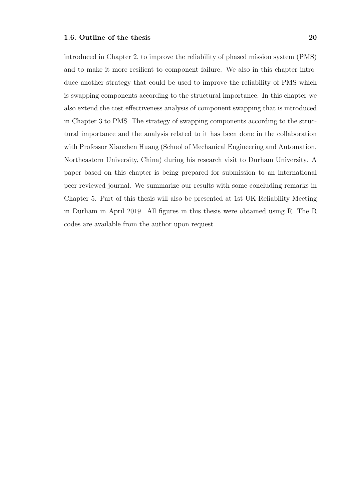introduced in Chapter 2, to improve the reliability of phased mission system (PMS) and to make it more resilient to component failure. We also in this chapter introduce another strategy that could be used to improve the reliability of PMS which is swapping components according to the structural importance. In this chapter we also extend the cost effectiveness analysis of component swapping that is introduced in Chapter 3 to PMS. The strategy of swapping components according to the structural importance and the analysis related to it has been done in the collaboration with Professor Xianzhen Huang (School of Mechanical Engineering and Automation, Northeastern University, China) during his research visit to Durham University. A paper based on this chapter is being prepared for submission to an international peer-reviewed journal. We summarize our results with some concluding remarks in Chapter 5. Part of this thesis will also be presented at 1st UK Reliability Meeting in Durham in April 2019. All figures in this thesis were obtained using R. The R codes are available from the author upon request.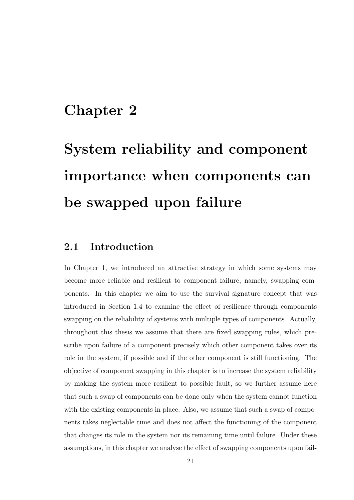## Chapter 2

# System reliability and component importance when components can be swapped upon failure

### 2.1 Introduction

In Chapter 1, we introduced an attractive strategy in which some systems may become more reliable and resilient to component failure, namely, swapping components. In this chapter we aim to use the survival signature concept that was introduced in Section 1.4 to examine the effect of resilience through components swapping on the reliability of systems with multiple types of components. Actually, throughout this thesis we assume that there are fixed swapping rules, which prescribe upon failure of a component precisely which other component takes over its role in the system, if possible and if the other component is still functioning. The objective of component swapping in this chapter is to increase the system reliability by making the system more resilient to possible fault, so we further assume here that such a swap of components can be done only when the system cannot function with the existing components in place. Also, we assume that such a swap of components takes neglectable time and does not affect the functioning of the component that changes its role in the system nor its remaining time until failure. Under these assumptions, in this chapter we analyse the effect of swapping components upon fail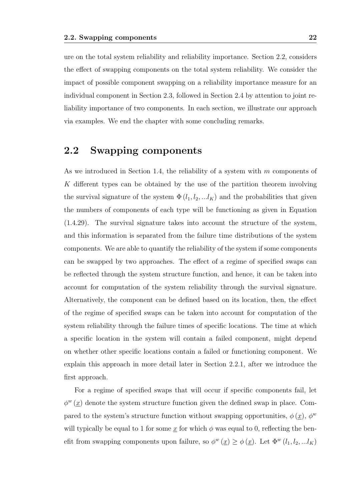ure on the total system reliability and reliability importance. Section 2.2, considers the effect of swapping components on the total system reliability. We consider the impact of possible component swapping on a reliability importance measure for an individual component in Section 2.3, followed in Section 2.4 by attention to joint reliability importance of two components. In each section, we illustrate our approach via examples. We end the chapter with some concluding remarks.

### 2.2 Swapping components

As we introduced in Section 1.4, the reliability of a system with m components of K different types can be obtained by the use of the partition theorem involving the survival signature of the system  $\Phi(l_1, l_2, ... l_K)$  and the probabilities that given the numbers of components of each type will be functioning as given in Equation (1.4.29). The survival signature takes into account the structure of the system, and this information is separated from the failure time distributions of the system components. We are able to quantify the reliability of the system if some components can be swapped by two approaches. The effect of a regime of specified swaps can be reflected through the system structure function, and hence, it can be taken into account for computation of the system reliability through the survival signature. Alternatively, the component can be defined based on its location, then, the effect of the regime of specified swaps can be taken into account for computation of the system reliability through the failure times of specific locations. The time at which a specific location in the system will contain a failed component, might depend on whether other specific locations contain a failed or functioning component. We explain this approach in more detail later in Section 2.2.1, after we introduce the first approach.

For a regime of specified swaps that will occur if specific components fail, let  $\phi^w(\underline{x})$  denote the system structure function given the defined swap in place. Compared to the system's structure function without swapping opportunities,  $\phi(\underline{x})$ ,  $\phi^{\underline{w}}$ will typically be equal to 1 for some  $\underline{x}$  for which  $\phi$  was equal to 0, reflecting the benefit from swapping components upon failure, so  $\phi^w(\underline{x}) \ge \phi(\underline{x})$ . Let  $\Phi^w(l_1, l_2, ... l_K)$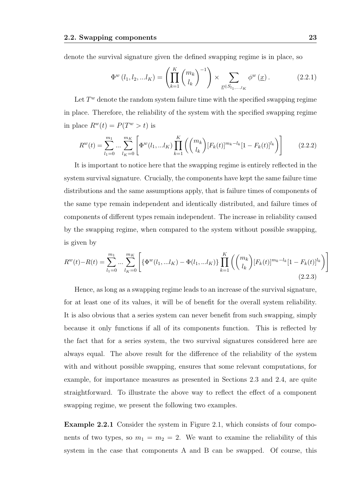denote the survival signature given the defined swapping regime is in place, so

$$
\Phi^{w} (l_1, l_2, ... l_K) = \left( \prod_{k=1}^{K} {m_k \choose l_k}^{-1} \right) \times \sum_{\underline{x} \in S_{l_1, ..., l_K}} \phi^{w} (\underline{x}) . \tag{2.2.1}
$$

Let  $T^w$  denote the random system failure time with the specified swapping regime in place. Therefore, the reliability of the system with the specified swapping regime in place  $R^w(t) = P(T^w > t)$  is

$$
R^{w}(t) = \sum_{l_1=0}^{m_1} \dots \sum_{l_K=0}^{m_K} \left[ \Phi^{w}(l_1, \dots, l_K) \prod_{k=1}^K \left( \binom{m_k}{l_k} [F_k(t)]^{m_k-l_k} [1 - F_k(t)]^{l_k} \right) \right]
$$
(2.2.2)

It is important to notice here that the swapping regime is entirely reflected in the system survival signature. Crucially, the components have kept the same failure time distributions and the same assumptions apply, that is failure times of components of the same type remain independent and identically distributed, and failure times of components of different types remain independent. The increase in reliability caused by the swapping regime, when compared to the system without possible swapping, is given by

$$
R^{w}(t) - R(t) = \sum_{l_1=0}^{m_1} \dots \sum_{l_K=0}^{m_K} \left[ \{ \Phi^{w}(l_1, \dots l_K) - \Phi(l_1, \dots l_K) \} \prod_{k=1}^K \left( \binom{m_k}{l_k} [F_k(t)]^{m_k - l_k} [1 - F_k(t)]^{l_k} \right) \right]
$$
\n(2.2.3)

Hence, as long as a swapping regime leads to an increase of the survival signature, for at least one of its values, it will be of benefit for the overall system reliability. It is also obvious that a series system can never benefit from such swapping, simply because it only functions if all of its components function. This is reflected by the fact that for a series system, the two survival signatures considered here are always equal. The above result for the difference of the reliability of the system with and without possible swapping, ensures that some relevant computations, for example, for importance measures as presented in Sections 2.3 and 2.4, are quite straightforward. To illustrate the above way to reflect the effect of a component swapping regime, we present the following two examples.

Example 2.2.1 Consider the system in Figure 2.1, which consists of four components of two types, so  $m_1 = m_2 = 2$ . We want to examine the reliability of this system in the case that components A and B can be swapped. Of course, this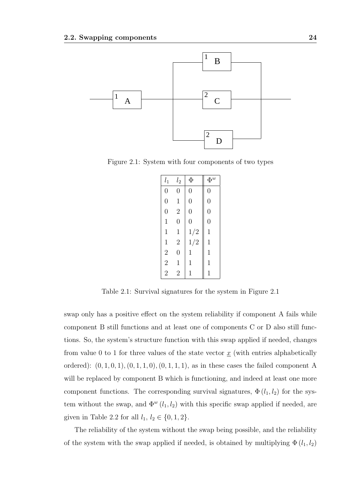

Figure 2.1: System with four components of two types

| $l_1$                                      | $l_2$          | Φ              | $\Phi^w$       |
|--------------------------------------------|----------------|----------------|----------------|
| $\overline{0}$                             | $\overline{0}$ | $\overline{0}$ | $\overline{0}$ |
| $\overline{0}$                             | $\mathbf 1$    | $\overline{0}$ | $\overline{0}$ |
| $\overline{0}$                             | $\overline{2}$ | $\overline{0}$ | $\overline{0}$ |
| $\mathbf 1$                                | $\overline{0}$ | $\overline{0}$ | $\overline{0}$ |
| $\mathbf 1$                                | $\mathbf{1}$   | 1/2            | $\mathbf 1$    |
| $\mathbf 1$                                | $\overline{2}$ | 1/2            | $\mathbf 1$    |
|                                            | $\overline{0}$ | $\mathbf 1$    | $\mathbf 1$    |
| $\begin{array}{c} 2 \\ 2 \\ 2 \end{array}$ | $\mathbf 1$    | $\mathbf 1$    | $\mathbf 1$    |
|                                            | $\overline{2}$ | 1              | $\mathbf 1$    |

Table 2.1: Survival signatures for the system in Figure 2.1

swap only has a positive effect on the system reliability if component A fails while component B still functions and at least one of components C or D also still functions. So, the system's structure function with this swap applied if needed, changes from value 0 to 1 for three values of the state vector  $\underline{x}$  (with entries alphabetically ordered):  $(0, 1, 0, 1), (0, 1, 1, 0), (0, 1, 1, 1),$  as in these cases the failed component A will be replaced by component B which is functioning, and indeed at least one more component functions. The corresponding survival signatures,  $\Phi(l_1, l_2)$  for the system without the swap, and  $\Phi^w(l_1, l_2)$  with this specific swap applied if needed, are given in Table 2.2 for all  $l_1, l_2 \in \{0, 1, 2\}.$ 

The reliability of the system without the swap being possible, and the reliability of the system with the swap applied if needed, is obtained by multiplying  $\Phi(l_1, l_2)$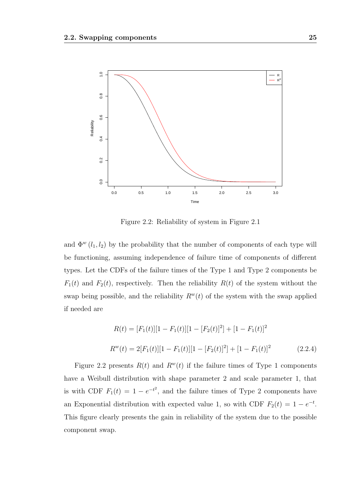

Figure 2.2: Reliability of system in Figure 2.1

and  $\Phi^w(l_1, l_2)$  by the probability that the number of components of each type will be functioning, assuming independence of failure time of components of different types. Let the CDFs of the failure times of the Type 1 and Type 2 components be  $F_1(t)$  and  $F_2(t)$ , respectively. Then the reliability  $R(t)$  of the system without the swap being possible, and the reliability  $R^w(t)$  of the system with the swap applied if needed are

$$
R(t) = [F_1(t)][1 - F_1(t)][1 - [F_2(t)]^2] + [1 - F_1(t)]^2
$$
  
\n
$$
R^w(t) = 2[F_1(t)][1 - F_1(t)][1 - [F_2(t)]^2] + [1 - F_1(t)]^2
$$
\n(2.2.4)

Figure 2.2 presents  $R(t)$  and  $R^w(t)$  if the failure times of Type 1 components have a Weibull distribution with shape parameter 2 and scale parameter 1, that is with CDF  $F_1(t) = 1 - e^{-t^2}$ , and the failure times of Type 2 components have an Exponential distribution with expected value 1, so with CDF  $F_2(t) = 1 - e^{-t}$ . This figure clearly presents the gain in reliability of the system due to the possible component swap.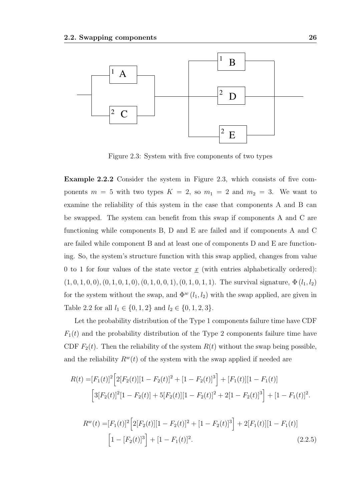

Figure 2.3: System with five components of two types

Example 2.2.2 Consider the system in Figure 2.3, which consists of five components  $m = 5$  with two types  $K = 2$ , so  $m_1 = 2$  and  $m_2 = 3$ . We want to examine the reliability of this system in the case that components A and B can be swapped. The system can benefit from this swap if components A and C are functioning while components B, D and E are failed and if components A and C are failed while component B and at least one of components D and E are functioning. So, the system's structure function with this swap applied, changes from value 0 to 1 for four values of the state vector  $x$  (with entries alphabetically ordered):  $(1, 0, 1, 0, 0), (0, 1, 0, 1, 0), (0, 1, 0, 0, 1), (0, 1, 0, 1, 1).$  The survival signature,  $\Phi(l_1, l_2)$ for the system without the swap, and  $\Phi^w(l_1, l_2)$  with the swap applied, are given in Table 2.2 for all  $l_1 \in \{0, 1, 2\}$  and  $l_2 \in \{0, 1, 2, 3\}.$ 

Let the probability distribution of the Type 1 components failure time have CDF  $F_1(t)$  and the probability distribution of the Type 2 components failure time have CDF  $F_2(t)$ . Then the reliability of the system  $R(t)$  without the swap being possible, and the reliability  $R^w(t)$  of the system with the swap applied if needed are

$$
R(t) = [F_1(t)]^2 \Big[ 2[F_2(t)][1 - F_2(t)]^2 + [1 - F_2(t)]^3 \Big] + [F_1(t)][1 - F_1(t)]
$$
  

$$
\Big[ 3[F_2(t)]^2 [1 - F_2(t)] + 5[F_2(t)][1 - F_2(t)]^2 + 2[1 - F_2(t)]^3 \Big] + [1 - F_1(t)]^2.
$$

$$
R^{w}(t) = [F_1(t)]^2 \Big[ 2[F_2(t)][1 - F_2(t)]^2 + [1 - F_2(t)]^3 \Big] + 2[F_1(t)][1 - F_1(t)]
$$
  

$$
\Big[ 1 - [F_2(t)]^3 \Big] + [1 - F_1(t)]^2.
$$
 (2.2.5)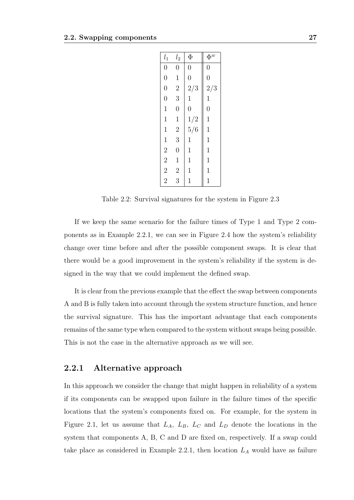| $l_{1}$                                    | $l_2$          | Φ              | $\Phi^w$       |
|--------------------------------------------|----------------|----------------|----------------|
| $\overline{0}$                             | $\overline{0}$ | $\overline{0}$ | $\overline{0}$ |
| $\overline{0}$                             | $\mathbf{1}$   | $\overline{0}$ | $\overline{0}$ |
| $\overline{0}$                             | $\overline{2}$ | 2/3            | 2/3            |
| $\overline{0}$                             | 3              | $\mathbf 1$    | $\mathbf{1}$   |
| $\mathbf 1$                                | $\overline{0}$ | $\overline{0}$ | $\overline{0}$ |
| $\mathbf 1$                                | $\mathbf{1}$   | 1/2            | $\mathbf{1}$   |
| $\mathbf{1}$                               | $\frac{2}{3}$  | 5/6            | $\mathbf{1}$   |
| $\mathbf{1}$                               |                | $\mathbf{1}$   | $\mathbf{1}$   |
|                                            | $\overline{0}$ | $\mathbf{1}$   | $\mathbf{1}$   |
|                                            | $\mathbf 1$    | $\mathbf 1$    | $\mathbf{1}$   |
| $\begin{array}{c} 2 \\ 2 \\ 2 \end{array}$ | $\overline{2}$ | $\mathbf 1$    | $\mathbf 1$    |
|                                            | 3              | 1              | 1              |

Table 2.2: Survival signatures for the system in Figure 2.3

If we keep the same scenario for the failure times of Type 1 and Type 2 components as in Example 2.2.1, we can see in Figure 2.4 how the system's reliability change over time before and after the possible component swaps. It is clear that there would be a good improvement in the system's reliability if the system is designed in the way that we could implement the defined swap.

It is clear from the previous example that the effect the swap between components A and B is fully taken into account through the system structure function, and hence the survival signature. This has the important advantage that each components remains of the same type when compared to the system without swaps being possible. This is not the case in the alternative approach as we will see.

#### 2.2.1 Alternative approach

In this approach we consider the change that might happen in reliability of a system if its components can be swapped upon failure in the failure times of the specific locations that the system's components fixed on. For example, for the system in Figure 2.1, let us assume that  $L_A$ ,  $L_B$ ,  $L_C$  and  $L_D$  denote the locations in the system that components A, B, C and D are fixed on, respectively. If a swap could take place as considered in Example 2.2.1, then location  $L_A$  would have as failure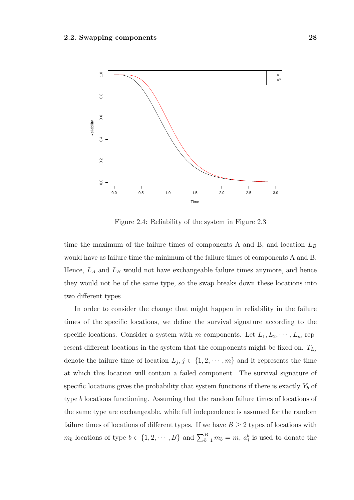

Figure 2.4: Reliability of the system in Figure 2.3

time the maximum of the failure times of components A and B, and location  $L_B$ would have as failure time the minimum of the failure times of components A and B. Hence,  $L_A$  and  $L_B$  would not have exchangeable failure times anymore, and hence they would not be of the same type, so the swap breaks down these locations into two different types.

In order to consider the change that might happen in reliability in the failure times of the specific locations, we define the survival signature according to the specific locations. Consider a system with m components. Let  $L_1, L_2, \cdots, L_m$  represent different locations in the system that the components might be fixed on.  $T_{L_i}$ denote the failure time of location  $L_j, j \in \{1, 2, \dots, m\}$  and it represents the time at which this location will contain a failed component. The survival signature of specific locations gives the probability that system functions if there is exactly  $Y_b$  of type b locations functioning. Assuming that the random failure times of locations of the same type are exchangeable, while full independence is assumed for the random failure times of locations of different types. If we have  $B \geq 2$  types of locations with  $m_b$  locations of type  $b \in \{1, 2, \dots, B\}$  and  $\sum_{b=1}^B m_b = m$ ,  $a_j^b$  is used to donate the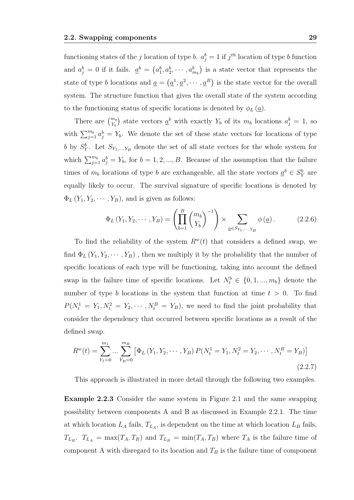functioning states of the j location of type b.  $a_j^b = 1$  if  $j^{th}$  location of type b function and  $a_j^b = 0$  if it fails.  $\underline{a}^b = (a_1^b, a_2^b, \cdots, a_{m_b}^b)$  is a state vector that represents the state of type b locations and  $\underline{a} = (\underline{a}^1, \underline{a}^2, \cdots, \underline{a}^B)$  is the state vector for the overall system. The structure function that gives the overall state of the system according to the functioning status of specific locations is denoted by  $\phi_L(\underline{a})$ .

There are  $\binom{m_b}{Y_b}$  state vectors  $\underline{a}^b$  with exactly  $Y_b$  of its  $m_b$  locations  $a_j^b = 1$ , so with  $\sum_{j=1}^{m_b} a_j^b = Y_b$ . We denote the set of these state vectors for locations of type b by  $S_Y^b$ . Let  $S_{Y_1,...,Y_B}$  denote the set of all state vectors for the whole system for which  $\sum_{j=1}^{m_b} a_j^b = Y_b$ , for  $b = 1, 2, ..., B$ . Because of the assumption that the failure times of  $m_b$  locations of type b are exchangeable, all the state vectors  $\underline{a}^b \in S_Y^b$  are equally likely to occur. The survival signature of specific locations is denoted by  $\Phi_L(Y_1, Y_2, \cdots, Y_B)$ , and is given as follows:

$$
\Phi_L(Y_1, Y_2, \cdots, Y_B) = \left(\prod_{b=1}^B \binom{m_b}{Y_b}^{-1}\right) \times \sum_{\underline{a} \in S_{Y_1, \cdots, Y_B}} \phi(\underline{a}). \tag{2.2.6}
$$

To find the reliability of the system  $R^w(t)$  that considers a defined swap, we find  $\Phi_L(Y_1, Y_2, \dots, Y_B)$ , then we multiply it by the probability that the number of specific locations of each type will be functioning, taking into account the defined swap in the failure time of specific locations. Let  $N_t^b \in \{0, 1, ..., m_b\}$  denote the number of type b locations in the system that function at time  $t > 0$ . To find  $P(N_t^1 = Y_1, N_t^2 = Y_2, \cdots, N_t^B = Y_B)$ , we need to find the joint probability that consider the dependency that occurred between specific locations as a result of the defined swap.

$$
R^{w}(t) = \sum_{Y_1=0}^{m_1} \dots \sum_{Y_B=0}^{m_B} \left[ \Phi_L \left( Y_1, Y_2, \dots, Y_B \right) P(N_t^1 = Y_1, N_t^2 = Y_2, \dots, N_t^B = Y_B) \right]
$$
\n(2.2.7)

This approach is illustrated in more detail through the following two examples.

Example 2.2.3 Consider the same system in Figure 2.1 and the same swapping possibility between components A and B as discussed in Example 2.2.1. The time at which location  $L_A$  fails,  $T_{L_A}$ , is dependent on the time at which location  $L_B$  fails,  $T_{L_B}$ .  $T_{L_A} = \max(T_A, T_B)$  and  $T_{L_B} = \min(T_A, T_B)$  where  $T_A$  is the failure time of component A with disregard to its location and  $T_B$  is the failure time of component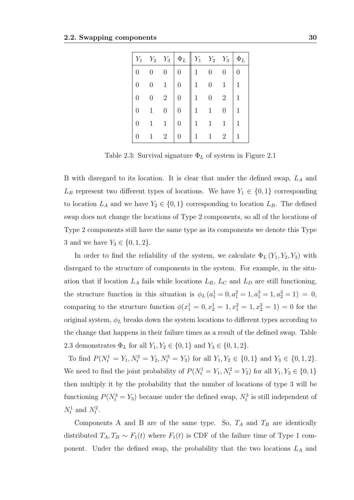| $Y_1$          | $Y_2$ | $Y_3$            | $\Phi_L$ | $Y_1$        | $Y_2$ | $Y_3$          | $\Phi_L$ |
|----------------|-------|------------------|----------|--------------|-------|----------------|----------|
| $\overline{0}$ | 0     | $\boldsymbol{0}$ | 0        | 1            | 0     | 0              | 0        |
| 0              | 0     | 1                | 0        | 1            | 0     | 1              | 1        |
| 0              | 0     | $\overline{2}$   | 0        |              | 0     | $\overline{2}$ | 1        |
| 0              |       | $\overline{0}$   | 0        | $\mathbf{1}$ |       | 0              | 1        |
| 0              |       | 1                | 0        | 1            |       | 1              | 1        |
| 0              |       | $\overline{2}$   |          |              |       | 2              | 1        |

Table 2.3: Survival signature  $\Phi_L$  of system in Figure 2.1

B with disregard to its location. It is clear that under the defined swap,  $L_A$  and  $L_B$  represent two different types of locations. We have  $Y_1 \in \{0,1\}$  corresponding to location  $L_A$  and we have  $Y_2 \in \{0,1\}$  corresponding to location  $L_B$ . The defined swap does not change the locations of Type 2 components, so all of the locations of Type 2 components still have the same type as its components we denote this Type 3 and we have  $Y_3 \in \{0, 1, 2\}.$ 

In order to find the reliability of the system, we calculate  $\Phi_L(Y_1, Y_2, Y_3)$  with disregard to the structure of components in the system. For example, in the situation that if location  $L_A$  fails while locations  $L_B$ ,  $L_C$  and  $L_D$  are still functioning, the structure function in this situation is  $\phi_L (a_1^1 = 0, a_1^2 = 1, a_1^3 = 1, a_2^3 = 1) = 0$ , comparing to the structure function  $\phi(x_1^1 = 0, x_2^1 = 1, x_1^2 = 1, x_2^2 = 1) = 0$  for the original system,  $\phi_L$  breaks down the system locations to different types according to the change that happens in their failure times as a result of the defined swap. Table 2.3 demonstrates  $\Phi_L$  for all  $Y_1, Y_2 \in \{0, 1\}$  and  $Y_3 \in \{0, 1, 2\}$ .

To find  $P(N_t^1 = Y_1, N_t^2 = Y_2, N_t^3 = Y_3)$  for all  $Y_1, Y_2 \in \{0, 1\}$  and  $Y_3 \in \{0, 1, 2\}$ . We need to find the joint probability of  $P(N_t^1 = Y_1, N_t^2 = Y_2)$  for all  $Y_1, Y_2 \in \{0, 1\}$ then multiply it by the probability that the number of locations of type 3 will be functioning  $P(N_t^3 = Y_3)$  because under the defined swap,  $N_t^3$  is still independent of  $N_t^1$  and  $N_t^2$ .

Components A and B are of the same type. So,  $T_A$  and  $T_B$  are identically distributed  $T_A, T_B \sim F_1(t)$  where  $F_1(t)$  is CDF of the failure time of Type 1 component. Under the defined swap, the probability that the two locations  $L_A$  and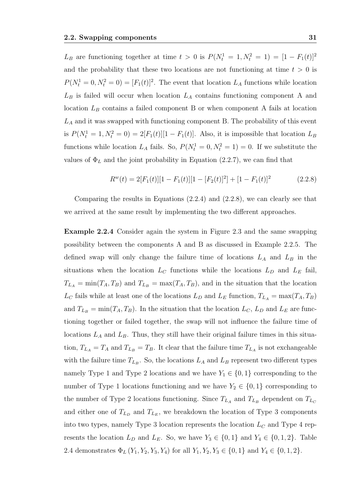$L_B$  are functioning together at time  $t > 0$  is  $P(N_t^1 = 1, N_t^2 = 1) = [1 - F_1(t)]^2$ and the probability that these two locations are not functioning at time  $t > 0$  is  $P(N_t^1 = 0, N_t^2 = 0) = [F_1(t)]^2$ . The event that location  $L_A$  functions while location  $L_B$  is failed will occur when location  $L_A$  contains functioning component A and location  $L_B$  contains a failed component B or when component A fails at location  $L_A$  and it was swapped with functioning component B. The probability of this event is  $P(N_t^1 = 1, N_t^2 = 0) = 2[F_1(t)][1 - F_1(t)]$ . Also, it is impossible that location  $L_B$ functions while location  $L_A$  fails. So,  $P(N_t^1 = 0, N_t^2 = 1) = 0$ . If we substitute the values of  $\Phi_L$  and the joint probability in Equation (2.2.7), we can find that

$$
R^{w}(t) = 2[F_1(t)][1 - F_1(t)][1 - [F_2(t)]^2] + [1 - F_1(t)]^2
$$
\n(2.2.8)

Comparing the results in Equations (2.2.4) and (2.2.8), we can clearly see that we arrived at the same result by implementing the two different approaches.

Example 2.2.4 Consider again the system in Figure 2.3 and the same swapping possibility between the components A and B as discussed in Example 2.2.5. The defined swap will only change the failure time of locations  $L_A$  and  $L_B$  in the situations when the location  $L<sub>C</sub>$  functions while the locations  $L<sub>D</sub>$  and  $L<sub>E</sub>$  fail,  $T_{LA} = \min(T_A, T_B)$  and  $T_{LB} = \max(T_A, T_B)$ , and in the situation that the location  $L_C$  fails while at least one of the locations  $L_D$  and  $L_E$  function,  $T_{L_A} = \max(T_A, T_B)$ and  $T_{L_B} = \min(T_A, T_B)$ . In the situation that the location  $L_C$ ,  $L_D$  and  $L_E$  are functioning together or failed together, the swap will not influence the failure time of locations  $L_A$  and  $L_B$ . Thus, they still have their original failure times in this situation,  $T_{L_A} = T_A$  and  $T_{L_B} = T_B$ . It clear that the failure time  $T_{L_A}$  is not exchangeable with the failure time  $T_{L_B}$ . So, the locations  $L_A$  and  $L_B$  represent two different types namely Type 1 and Type 2 locations and we have  $Y_1 \in \{0, 1\}$  corresponding to the number of Type 1 locations functioning and we have  $Y_2 \in \{0,1\}$  corresponding to the number of Type 2 locations functioning. Since  $T_{L_A}$  and  $T_{L_B}$  dependent on  $T_{L_C}$ and either one of  $T_{L_D}$  and  $T_{L_E}$ , we breakdown the location of Type 3 components into two types, namely Type 3 location represents the location  $L<sub>C</sub>$  and Type 4 represents the location  $L_D$  and  $L_E$ . So, we have  $Y_3 \in \{0,1\}$  and  $Y_4 \in \{0,1,2\}$ . Table 2.4 demonstrates  $\Phi_L(Y_1, Y_2, Y_3, Y_4)$  for all  $Y_1, Y_2, Y_3 \in \{0, 1\}$  and  $Y_4 \in \{0, 1, 2\}$ .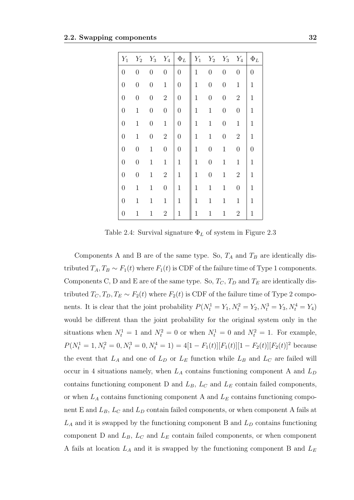| $Y_1$            | $Y_2$            | $Y_3$            | $Y_4$            | $\Phi_L$         | $Y_1$        | $Y_2$            | $Y_3$            | $Y_4$            | $\Phi_L$         |
|------------------|------------------|------------------|------------------|------------------|--------------|------------------|------------------|------------------|------------------|
| $\overline{0}$   | $\overline{0}$   | $\overline{0}$   | $\overline{0}$   | $\boldsymbol{0}$ | $\mathbf{1}$ | $\overline{0}$   | $\overline{0}$   | $\boldsymbol{0}$ | $\boldsymbol{0}$ |
| $\overline{0}$   | $\boldsymbol{0}$ | $\overline{0}$   | $\mathbf 1$      | $\boldsymbol{0}$ | $\mathbf 1$  | $\overline{0}$   | $\boldsymbol{0}$ | $\mathbf 1$      | $\mathbf{1}$     |
| $\overline{0}$   | $\overline{0}$   | $\boldsymbol{0}$ | $\overline{2}$   | $\boldsymbol{0}$ | $\mathbf 1$  | $\overline{0}$   | $\boldsymbol{0}$ | $\overline{2}$   | $\mathbf{1}$     |
| $\overline{0}$   | $\mathbf{1}$     | $\overline{0}$   | $\overline{0}$   | $\overline{0}$   | $\mathbf{1}$ | $\mathbf{1}$     | $\boldsymbol{0}$ | $\boldsymbol{0}$ | $\mathbf{1}$     |
| $\overline{0}$   | $\mathbf 1$      | $\overline{0}$   | $\mathbf{1}$     | $\boldsymbol{0}$ | $\mathbf{1}$ | $\,1$            | $\boldsymbol{0}$ | $\,1$            | $\mathbf{1}$     |
| $\boldsymbol{0}$ | $\mathbf{1}$     | $\overline{0}$   | $\overline{2}$   | $\boldsymbol{0}$ | $\mathbf{1}$ | $\,1$            | $\overline{0}$   | $\sqrt{2}$       | $\mathbf{1}$     |
| $\boldsymbol{0}$ | $\boldsymbol{0}$ | $\mathbf 1$      | $\overline{0}$   | $\boldsymbol{0}$ | $\mathbf 1$  | $\boldsymbol{0}$ | $\mathbf{1}$     | $\boldsymbol{0}$ | $\overline{0}$   |
| $\boldsymbol{0}$ | $\boldsymbol{0}$ | $\mathbf{1}$     | $\mathbf{1}$     | $\mathbf{1}$     | $\mathbf{1}$ | $\overline{0}$   | $\mathbf{1}$     | $\mathbf{1}$     | $\mathbf{1}$     |
| $\boldsymbol{0}$ | $\boldsymbol{0}$ | $\mathbf{1}$     | $\overline{2}$   | $\mathbf{1}$     | $\mathbf{1}$ | $\boldsymbol{0}$ | $\mathbf{1}$     | $\sqrt{2}$       | $\mathbf{1}$     |
| $\boldsymbol{0}$ | $\mathbf 1$      | $\mathbf{1}$     | $\boldsymbol{0}$ | $\mathbf{1}$     | $\mathbf{1}$ | $\mathbf{1}$     | $\mathbf{1}$     | $\boldsymbol{0}$ | $\mathbf{1}$     |
| $\overline{0}$   | $\mathbf 1$      | $\mathbf{1}$     | $\mathbf{1}$     | $\mathbf{1}$     | $\mathbf{1}$ | $\mathbf{1}$     | $\mathbf{1}$     | $\mathbf 1$      | $\mathbf{1}$     |
| $\boldsymbol{0}$ | $\mathbf 1$      | $\mathbf{1}$     | $\overline{2}$   | $\mathbf{1}$     | $\mathbf{1}$ | $\mathbf{1}$     | $\mathbf{1}$     | $\sqrt{2}$       | $\mathbf 1$      |

Table 2.4: Survival signature  $\Phi_L$  of system in Figure 2.3

Components A and B are of the same type. So,  $T_A$  and  $T_B$  are identically distributed  $T_A, T_B \sim F_1(t)$  where  $F_1(t)$  is CDF of the failure time of Type 1 components. Components C, D and E are of the same type. So,  $T_C$ ,  $T_D$  and  $T_E$  are identically distributed  $T_C, T_D, T_E \sim F_2(t)$  where  $F_2(t)$  is CDF of the failure time of Type 2 components. It is clear that the joint probability  $P(N_t^1 = Y_1, N_t^2 = Y_2, N_t^3 = Y_3, N_t^4 = Y_4)$ would be different than the joint probability for the original system only in the situations when  $N_t^1 = 1$  and  $N_t^2 = 0$  or when  $N_t^1 = 0$  and  $N_t^2 = 1$ . For example,  $P(N_t^1 = 1, N_t^2 = 0, N_t^3 = 0, N_t^4 = 1) = 4[1 - F_1(t)][F_1(t)][1 - F_2(t)][F_2(t)]^2$  because the event that  $L_A$  and one of  $L_D$  or  $L_E$  function while  $L_B$  and  $L_C$  are failed will occur in 4 situations namely, when  $L_A$  contains functioning component A and  $L_D$ contains functioning component D and  $L_B$ ,  $L_C$  and  $L_E$  contain failed components, or when  $L_A$  contains functioning component A and  $L_E$  contains functioning component E and  $L_B$ ,  $L_C$  and  $L_D$  contain failed components, or when component A fails at  $L_A$  and it is swapped by the functioning component B and  $L_D$  contains functioning component D and  $L_B$ ,  $L_C$  and  $L_E$  contain failed components, or when component A fails at location  $L_A$  and it is swapped by the functioning component B and  $L_E$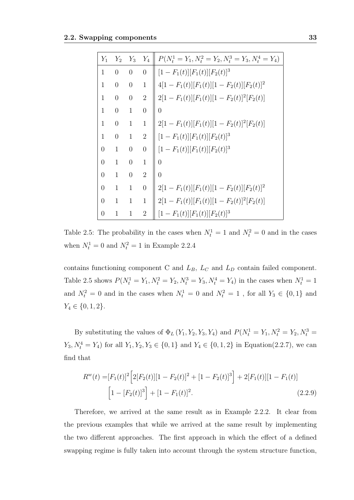| $Y_1$          | $Y_2$          | $Y_3$          | $Y_4$          | $P(N_t^1 = Y_1, N_t^2 = Y_2, N_t^3 = Y_3, N_t^4 = Y_4)$ |
|----------------|----------------|----------------|----------------|---------------------------------------------------------|
| 1              | $\theta$       | $\overline{0}$ | $\overline{0}$ | $[1 - F_1(t)][F_1(t)][F_2(t)]^3$                        |
| $\mathbf{1}$   | $\overline{0}$ | $\theta$       | $\mathbf{1}$   | $4[1 - F_1(t)][F_1(t)][1 - F_2(t)][F_2(t)]^2$           |
| 1              | $\theta$       | $\overline{0}$ | $\overline{2}$ | $2[1 - F_1(t)][F_1(t)][1 - F_2(t)]^2[F_2(t)]$           |
| $\mathbf{1}$   | $\theta$       | $\mathbf{1}$   | $\overline{0}$ | $\theta$                                                |
| $\mathbf{1}$   | $\overline{0}$ | $\mathbf{1}$   | $\mathbf{1}$   | $2[1 - F_1(t)][F_1(t)][1 - F_2(t)]^2[F_2(t)]$           |
| $\mathbf{1}$   | $\theta$       | $\mathbf{1}$   | $\overline{2}$ | $[1 - F_1(t)][F_1(t)][F_2(t)]^3$                        |
| $\overline{0}$ | $\mathbf{1}$   | $\overline{0}$ | $\overline{0}$ | $[1 - F_1(t)][F_1(t)][F_2(t)]^3$                        |
| $\overline{0}$ | $\mathbf{1}$   | $\overline{0}$ | $\mathbf{1}$   | $\overline{0}$                                          |
| $\overline{0}$ | $\mathbf{1}$   | $\overline{0}$ | $\overline{2}$ | $\overline{0}$                                          |
| $\overline{0}$ | $\mathbf{1}$   | 1              | $\overline{0}$ | $2[1 - F_1(t)][F_1(t)][1 - F_2(t)][F_2(t)]^2$           |
| $\overline{0}$ | 1              | 1              | 1              | $2[1 - F_1(t)][F_1(t)][1 - F_2(t)]^2[F_2(t)]$           |
| $\overline{0}$ | $\mathbf{1}$   | $\mathbf{1}$   | $\overline{2}$ | $[1 - F_1(t)][F_1(t)][F_2(t)]^3$                        |

Table 2.5: The probability in the cases when  $N_t^1 = 1$  and  $N_t^2 = 0$  and in the cases when  $N_t^1 = 0$  and  $N_t^2 = 1$  in Example 2.2.4

contains functioning component C and  $L_B$ ,  $L_C$  and  $L_D$  contain failed component. Table 2.5 shows  $P(N_t^1 = Y_1, N_t^2 = Y_2, N_t^3 = Y_3, N_t^4 = Y_4)$  in the cases when  $N_t^1 = 1$ and  $N_t^2 = 0$  and in the cases when  $N_t^1 = 0$  and  $N_t^2 = 1$ , for all  $Y_3 \in \{0, 1\}$  and  $Y_4 \in \{0, 1, 2\}.$ 

By substituting the values of  $\Phi_L(Y_1, Y_2, Y_3, Y_4)$  and  $P(N_t^1 = Y_1, N_t^2 = Y_2, N_t^3 =$  $Y_3, N_t^4 = Y_4$  for all  $Y_1, Y_2, Y_3 \in \{0, 1\}$  and  $Y_4 \in \{0, 1, 2\}$  in Equation(2.2.7), we can find that

$$
R^{w}(t) = [F_1(t)]^2 \left[ 2[F_2(t)][1 - F_2(t)]^2 + [1 - F_2(t)]^3 \right] + 2[F_1(t)][1 - F_1(t)]
$$
  

$$
\left[ 1 - [F_2(t)]^3 \right] + [1 - F_1(t)]^2.
$$
 (2.2.9)

Therefore, we arrived at the same result as in Example 2.2.2. It clear from the previous examples that while we arrived at the same result by implementing the two different approaches. The first approach in which the effect of a defined swapping regime is fully taken into account through the system structure function,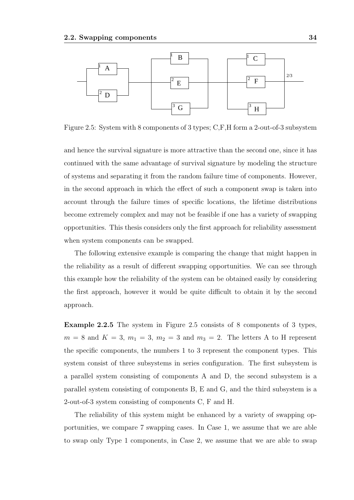

Figure 2.5: System with 8 components of 3 types; C,F,H form a 2-out-of-3 subsystem

and hence the survival signature is more attractive than the second one, since it has continued with the same advantage of survival signature by modeling the structure of systems and separating it from the random failure time of components. However, in the second approach in which the effect of such a component swap is taken into account through the failure times of specific locations, the lifetime distributions become extremely complex and may not be feasible if one has a variety of swapping opportunities. This thesis considers only the first approach for reliability assessment when system components can be swapped.

The following extensive example is comparing the change that might happen in the reliability as a result of different swapping opportunities. We can see through this example how the reliability of the system can be obtained easily by considering the first approach, however it would be quite difficult to obtain it by the second approach.

Example 2.2.5 The system in Figure 2.5 consists of 8 components of 3 types,  $m = 8$  and  $K = 3$ ,  $m_1 = 3$ ,  $m_2 = 3$  and  $m_3 = 2$ . The letters A to H represent the specific components, the numbers 1 to 3 represent the component types. This system consist of three subsystems in series configuration. The first subsystem is a parallel system consisting of components A and D, the second subsystem is a parallel system consisting of components B, E and G, and the third subsystem is a 2-out-of-3 system consisting of components C, F and H.

The reliability of this system might be enhanced by a variety of swapping opportunities, we compare 7 swapping cases. In Case 1, we assume that we are able to swap only Type 1 components, in Case 2, we assume that we are able to swap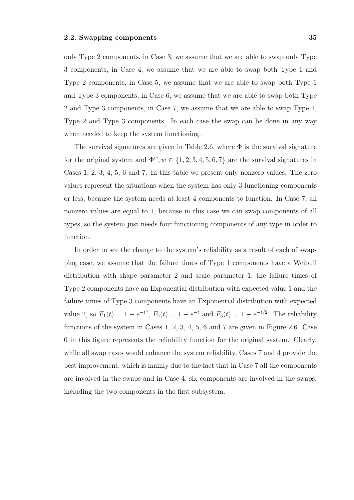only Type 2 components, in Case 3, we assume that we are able to swap only Type 3 components, in Case 4, we assume that we are able to swap both Type 1 and Type 2 components, in Case 5, we assume that we are able to swap both Type 1 and Type 3 components, in Case 6, we assume that we are able to swap both Type 2 and Type 3 components, in Case 7, we assume that we are able to swap Type 1, Type 2 and Type 3 components. In each case the swap can be done in any way when needed to keep the system functioning.

The survival signatures are given in Table 2.6, where  $\Phi$  is the survival signature for the original system and  $\Phi^w, w \in \{1, 2, 3, 4, 5, 6, 7\}$  are the survival signatures in Cases 1, 2, 3, 4, 5, 6 and 7. In this table we present only nonzero values. The zero values represent the situations when the system has only 3 functioning components or less, because the system needs at least 4 components to function. In Case 7, all nonzero values are equal to 1, because in this case we can swap components of all types, so the system just needs four functioning components of any type in order to function.

In order to see the change to the system's reliability as a result of each of swapping case, we assume that the failure times of Type 1 components have a Weibull distribution with shape parameter 2 and scale parameter 1, the failure times of Type 2 components have an Exponential distribution with expected value 1 and the failure times of Type 3 components have an Exponential distribution with expected value 2, so  $F_1(t) = 1 - e^{-t^2}$ ,  $F_2(t) = 1 - e^{-t}$  and  $F_3(t) = 1 - e^{-t/2}$ . The reliability functions of the system in Cases 1, 2, 3, 4, 5, 6 and 7 are given in Figure 2.6. Case 0 in this figure represents the reliability function for the original system. Clearly, while all swap cases would enhance the system reliability, Cases 7 and 4 provide the best improvement, which is mainly due to the fact that in Case 7 all the components are involved in the swaps and in Case 4, six components are involved in the swaps, including the two components in the first subsystem.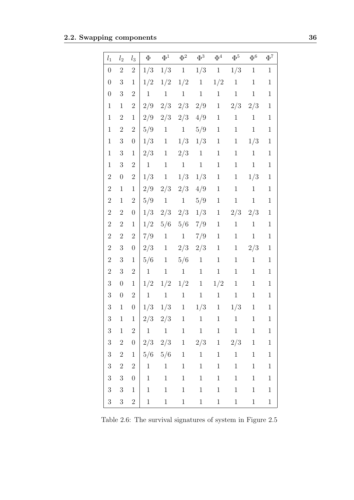| $l_1$            | $l_2$            | $l_3$            | $\Phi$                 | $\Phi^1$                                                       | $\Phi^2$               | $\Phi^3$     | $\Phi^4$                    | $\Phi^5$               | $\Phi^6$                                                                                                                                                                                                                                                                                                                                                                                                                                                                                                                                                                                                                                                     | $\Phi^7$     |
|------------------|------------------|------------------|------------------------|----------------------------------------------------------------|------------------------|--------------|-----------------------------|------------------------|--------------------------------------------------------------------------------------------------------------------------------------------------------------------------------------------------------------------------------------------------------------------------------------------------------------------------------------------------------------------------------------------------------------------------------------------------------------------------------------------------------------------------------------------------------------------------------------------------------------------------------------------------------------|--------------|
| $\boldsymbol{0}$ | $\boldsymbol{2}$ | $\overline{2}$   | 1/3                    | 1/3                                                            | 1                      | 1/3          | 1                           | 1/3                    | $\mathbf{1}$                                                                                                                                                                                                                                                                                                                                                                                                                                                                                                                                                                                                                                                 | $\mathbf{1}$ |
| $\boldsymbol{0}$ | 3                | $\mathbf{1}$     | 1/2                    | 1/2                                                            | 1/2                    | 1            | 1/2                         | $\mathbf{1}$           | $\mathbf{1}$                                                                                                                                                                                                                                                                                                                                                                                                                                                                                                                                                                                                                                                 | $\mathbf 1$  |
| $\boldsymbol{0}$ | 3                | $\overline{2}$   | $\mathbf{1}$           | $\mathbf{1}$                                                   | $\mathbf{1}$           | $\mathbf{1}$ | $\mathbf{1}$                | $\mathbf{1}$           | $\mathbf{1}$                                                                                                                                                                                                                                                                                                                                                                                                                                                                                                                                                                                                                                                 | $\mathbf 1$  |
| $\mathbf{1}$     | $\mathbf{1}$     | $\overline{2}$   | 2/9                    | 2/3                                                            | 2/3                    | 2/9          | $\mathbf{1}$                | 2/3                    | 2/3                                                                                                                                                                                                                                                                                                                                                                                                                                                                                                                                                                                                                                                          | $\mathbf{1}$ |
| $\mathbf{1}$     | $\overline{2}$   | $\mathbf{1}$     | 2/9                    | 2/3                                                            | 2/3                    | 4/9          | $\mathbf{1}$                | $\mathbf{1}$           | $\mathbf{1}$                                                                                                                                                                                                                                                                                                                                                                                                                                                                                                                                                                                                                                                 | $\mathbf 1$  |
| $\mathbf{1}$     | $\sqrt{2}$       | $\overline{2}$   | 5/9                    | $\mathbf{1}$                                                   | $\mathbf{1}$           | 5/9          | $\mathbf{1}$                | $\mathbf{1}$           | $\mathbf{1}$                                                                                                                                                                                                                                                                                                                                                                                                                                                                                                                                                                                                                                                 | $\mathbf 1$  |
| $\mathbf{1}$     | $\sqrt{3}$       | $\boldsymbol{0}$ | 1/3                    | $\mathbf{1}$                                                   | 1/3                    | 1/3          | $\mathbf{1}$                | $\mathbf{1}$           | 1/3                                                                                                                                                                                                                                                                                                                                                                                                                                                                                                                                                                                                                                                          | $\mathbf 1$  |
| $\mathbf{1}$     | $\sqrt{3}$       | $\mathbf{1}$     | 2/3                    | $\mathbf{1}$                                                   | 2/3                    | $\mathbf{1}$ | $\mathbf{1}$                | $\mathbf{1}$           | $\mathbf{1}$                                                                                                                                                                                                                                                                                                                                                                                                                                                                                                                                                                                                                                                 | $\mathbf 1$  |
| $\mathbf{1}$     | 3                | $\overline{2}$   | $\,1\,$                | $\mathbf{1}$                                                   | $\mathbf{1}$           | $\mathbf{1}$ | $\mathbf{1}$                | $\mathbf{1}$           | $\mathbf{1}$                                                                                                                                                                                                                                                                                                                                                                                                                                                                                                                                                                                                                                                 | $\mathbf 1$  |
| $\sqrt{2}$       | $\boldsymbol{0}$ | $\overline{2}$   | 1/3                    | 1                                                              | 1/3                    | 1/3          | $\mathbf{1}$                | $\mathbf{1}$           | 1/3                                                                                                                                                                                                                                                                                                                                                                                                                                                                                                                                                                                                                                                          | $\mathbf 1$  |
| $\boldsymbol{2}$ | $\mathbf{1}$     | $\mathbf{1}$     | 2/9                    | 2/3                                                            | 2/3                    | 4/9          | $\mathbf{1}$                | $\mathbf{1}$           | $\mathbf{1}$                                                                                                                                                                                                                                                                                                                                                                                                                                                                                                                                                                                                                                                 | $\mathbf 1$  |
| $\sqrt{2}$       | $\mathbf{1}$     | $\overline{2}$   | 5/9                    | $\mathbf{1}$                                                   | $\mathbf{1}$           | 5/9          | $\mathbf{1}$                | $\mathbf{1}$           | $\mathbf{1}$                                                                                                                                                                                                                                                                                                                                                                                                                                                                                                                                                                                                                                                 | $\mathbf 1$  |
| $\sqrt{2}$       | $\sqrt{2}$       | $\boldsymbol{0}$ | 1/3                    | 2/3                                                            | 2/3                    | 1/3          | $\mathbf{1}$                | 2/3                    | 2/3                                                                                                                                                                                                                                                                                                                                                                                                                                                                                                                                                                                                                                                          | $\mathbf 1$  |
| $\sqrt{2}$       | $\overline{2}$   | $\mathbf{1}$     | 1/2                    | 5/6                                                            | 5/6                    | 7/9          | $\mathbf{1}$                | $\mathbf{1}$           | $\mathbf{1}$                                                                                                                                                                                                                                                                                                                                                                                                                                                                                                                                                                                                                                                 | $\mathbf 1$  |
| $\overline{2}$   | $\overline{2}$   | $\overline{2}$   | 7/9                    | $\mathbf{1}$                                                   | $\mathbf{1}$           | 7/9          | $\mathbf{1}$                | $\mathbf{1}$           | $\mathbf{1}$                                                                                                                                                                                                                                                                                                                                                                                                                                                                                                                                                                                                                                                 | $\mathbf 1$  |
| $\sqrt{2}$       | $\sqrt{3}$       | $\boldsymbol{0}$ | 2/3                    | $\mathbf{1}$                                                   | 2/3                    | 2/3          | $\mathbf{1}$                | $\mathbf{1}$           | 2/3                                                                                                                                                                                                                                                                                                                                                                                                                                                                                                                                                                                                                                                          | $\mathbf 1$  |
| $\sqrt{2}$       | $\sqrt{3}$       | $\mathbf{1}$     | 5/6                    | $\mathbf{1}$                                                   | 5/6                    | $\mathbf{1}$ | $\mathbf{1}$                | $\mathbf{1}$           | $\mathbf{1}$                                                                                                                                                                                                                                                                                                                                                                                                                                                                                                                                                                                                                                                 | $\mathbf 1$  |
| $\sqrt{2}$       | 3                | $\overline{2}$   | $\mathbf 1$            | $\mathbf{1}$                                                   | $\mathbf{1}$           | $\mathbf{1}$ | $\mathbf{1}$                | $\mathbf{1}$           | $\mathbf{1}$                                                                                                                                                                                                                                                                                                                                                                                                                                                                                                                                                                                                                                                 | $\mathbf 1$  |
| $\sqrt{3}$       | $\boldsymbol{0}$ | $\mathbf{1}$     | 1/2                    | 1/2                                                            | 1/2                    | $\mathbf{1}$ | 1/2                         | $\mathbf{1}$           | $\mathbf{1}$                                                                                                                                                                                                                                                                                                                                                                                                                                                                                                                                                                                                                                                 | $\mathbf 1$  |
| $\boldsymbol{3}$ | $\boldsymbol{0}$ | $\overline{2}$   | $\mathbf{1}$           | $\mathbf{1}$                                                   | $\mathbf{1}$           | $\mathbf{1}$ | $\mathbf{1}$                | $\mathbf{1}$           | $\mathbf{1}$                                                                                                                                                                                                                                                                                                                                                                                                                                                                                                                                                                                                                                                 | $\mathbf{1}$ |
| 3                | $\mathbf 1$      | $\overline{0}$   | 1/3                    | 1/3                                                            | $1 \quad$              | 1/3          | $\mathbf{1}$                | 1/3                    | $\mathbf 1$                                                                                                                                                                                                                                                                                                                                                                                                                                                                                                                                                                                                                                                  | $\mathbf 1$  |
| 3                | $\mathbf{1}$     | $\mathbf{1}$     |                        | $2/3$ $2/3$ 1 1 1                                              |                        |              |                             | $\overline{1}$         | $\begin{array}{\begin{array}{\small \begin{array}{\small \begin{array}{\small \end{array}}}}\\{\small \end{array}}\\{\small \end{array}}\\{\small \end{array}}{\small \end{array}}{\small \begin{array}{\small \end{array}}{\small \begin{array}{\small \end{array}}{\small \begin{array}{\small \end{array}}}{\small \begin{array}{\small \end{array}}{\small \begin{array}{\small \end{array}}{\small \end{array}}}{\small \begin{array}{\small \end{array}}{\small \begin{array}{\small \end{array}}{\small \begin{array}{\small \end{array}}{\small \begin{array}{\small \end{array}}{\small \begin{array}{\small \end{array}}}}{\small \begin{array}{\$ | $\mathbf{1}$ |
| $\overline{3}$   | $\,1$            | $\,2$            |                        | $\begin{array}{ccccccccc} 1 & & 1 & & 1 & & 1 & & \end{array}$ |                        |              |                             | $1 \qquad 1$           | $1\,$                                                                                                                                                                                                                                                                                                                                                                                                                                                                                                                                                                                                                                                        | $\,1$        |
| $\overline{3}$   | $\boldsymbol{2}$ | $\boldsymbol{0}$ |                        |                                                                |                        |              | $2/3$ $2/3$ 1 $2/3$ 1 $2/3$ |                        | 1                                                                                                                                                                                                                                                                                                                                                                                                                                                                                                                                                                                                                                                            | $\mathbf{1}$ |
| $\sqrt{3}$       | $\sqrt{2}$       | $\,1$            |                        | $5/6$ $5/6$ 1                                                  |                        | 1            | $\mathbf{1}$                | $1 \quad \blacksquare$ | 1                                                                                                                                                                                                                                                                                                                                                                                                                                                                                                                                                                                                                                                            | $\mathbf{1}$ |
| $\overline{3}$   | $\overline{2}$   | $\overline{2}$   |                        | $1 \qquad 1$                                                   | 1                      | 1            | $1 \quad \blacksquare$      | 1                      | 1                                                                                                                                                                                                                                                                                                                                                                                                                                                                                                                                                                                                                                                            | $\mathbf{1}$ |
| $\overline{3}$   | $\boldsymbol{3}$ | $\boldsymbol{0}$ | $\,1\,$                | 1                                                              | $1 \quad \blacksquare$ | 1            | 1                           | 1                      | 1                                                                                                                                                                                                                                                                                                                                                                                                                                                                                                                                                                                                                                                            | $\,1$        |
| $\overline{3}$   | $\sqrt{3}$       | $\mathbf{1}$     | $\,1\,$                | 1                                                              | 1                      | 1            | $\,1$                       | 1                      | 1                                                                                                                                                                                                                                                                                                                                                                                                                                                                                                                                                                                                                                                            | $\mathbf{1}$ |
| $\overline{3}$   | 3 <sup>1</sup>   | $\overline{2}$   | $1 \quad \blacksquare$ | $1 \quad \blacksquare$                                         | $1 \quad \blacksquare$ | 1            | 1                           | 1                      | 1                                                                                                                                                                                                                                                                                                                                                                                                                                                                                                                                                                                                                                                            | $\,1$        |

Table 2.6: The survival signatures of system in Figure 2.5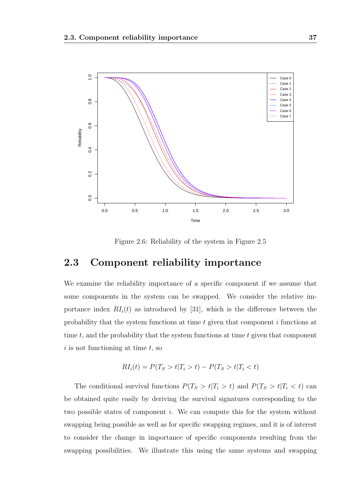

Figure 2.6: Reliability of the system in Figure 2.5

#### 2.3 Component reliability importance

We examine the reliability importance of a specific component if we assume that some components in the system can be swapped. We consider the relative importance index  $RI_i(t)$  as introduced by [31], which is the difference between the probability that the system functions at time t given that component i functions at time  $t$ , and the probability that the system functions at time  $t$  given that component  $i$  is not functioning at time  $t$ , so

$$
RI_i(t) = P(T_S > t | T_i > t) - P(T_S > t | T_i < t)
$$

The conditional survival functions  $P(T_S > t | T_i > t)$  and  $P(T_S > t | T_i < t)$  can be obtained quite easily by deriving the survival signatures corresponding to the two possible states of component i. We can compute this for the system without swapping being possible as well as for specific swapping regimes, and it is of interest to consider the change in importance of specific components resulting from the swapping possibilities. We illustrate this using the same systems and swapping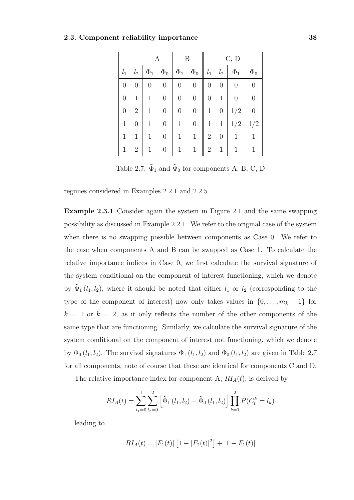|                |                |                  |                  |                  | В                | C, D           |                  |                  |                  |  |
|----------------|----------------|------------------|------------------|------------------|------------------|----------------|------------------|------------------|------------------|--|
| $l_1$          | $l_{2}$        | $\tilde{\Phi}_1$ | $\tilde{\Phi}_0$ | $\tilde{\Phi}_1$ | $\tilde{\Phi}_0$ | $l_1$          | $l_2$            | $\tilde{\Phi}_1$ | $\tilde{\Phi}_0$ |  |
| $\overline{0}$ | $\overline{0}$ | 0                | $\boldsymbol{0}$ | $\boldsymbol{0}$ | $\boldsymbol{0}$ | $\overline{0}$ | $\boldsymbol{0}$ | $\overline{0}$   | 0                |  |
| $\overline{0}$ | $\mathbf{1}$   | 1                | $\boldsymbol{0}$ | $\boldsymbol{0}$ | $\boldsymbol{0}$ | 0              | $\mathbf 1$      | 0                | $\overline{0}$   |  |
| $\overline{0}$ | $\overline{2}$ | 1                | $\overline{0}$   |                  | $\boldsymbol{0}$ | 1              | 0                | 1/2              | $\overline{0}$   |  |
| $\mathbf{1}$   | $\overline{0}$ | 1                | 0                | 1                | 0                | 1              | $\mathbf 1$      | 1/2              | 1/2              |  |
| 1              | $\mathbf{1}$   | 1                | $\boldsymbol{0}$ | $\mathbf{1}$     | $\mathbf 1$      | $\overline{2}$ | $\boldsymbol{0}$ |                  |                  |  |
| 1              | $\overline{2}$ |                  | $\boldsymbol{0}$ | 1                | 1                | $\overline{2}$ | $\mathbf 1$      |                  |                  |  |

Table 2.7:  $\tilde{\Phi}_1$  and  $\tilde{\Phi}_0$  for components A, B, C, D

regimes considered in Examples 2.2.1 and 2.2.5.

Example 2.3.1 Consider again the system in Figure 2.1 and the same swapping possibility as discussed in Example 2.2.1. We refer to the original case of the system when there is no swapping possible between components as Case 0. We refer to the case when components A and B can be swapped as Case 1. To calculate the relative importance indices in Case 0, we first calculate the survival signature of the system conditional on the component of interest functioning, which we denote by  $\tilde{\Phi}_1(l_1, l_2)$ , where it should be noted that either  $l_1$  or  $l_2$  (corresponding to the type of the component of interest) now only takes values in  $\{0, \ldots, m_k - 1\}$  for  $k = 1$  or  $k = 2$ , as it only reflects the number of the other components of the same type that are functioning. Similarly, we calculate the survival signature of the system conditional on the component of interest not functioning, which we denote by  $\tilde{\Phi}_0(l_1, l_2)$ . The survival signatures  $\tilde{\Phi}_1(l_1, l_2)$  and  $\tilde{\Phi}_0(l_1, l_2)$  are given in Table 2.7 for all components, note of course that these are identical for components C and D.

The relative importance index for component A,  $RI_A(t)$ , is derived by

$$
RI_A(t) = \sum_{l_1=0}^{1} \sum_{l_2=0}^{2} \left[ \tilde{\Phi}_1(l_1, l_2) - \tilde{\Phi}_0(l_1, l_2) \right] \prod_{k=1}^{2} P(C_t^k = l_k)
$$

leading to

$$
RI_A(t) = [F_1(t)] [1 - [F_2(t)]^2] + [1 - F_1(t)]
$$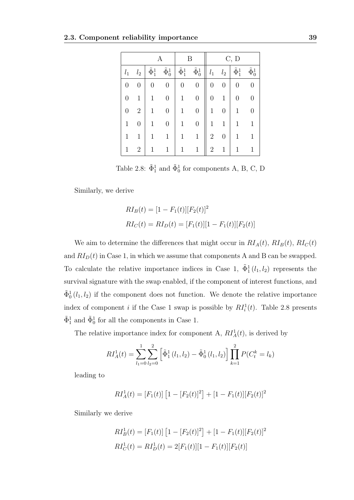|                  |                  |                    |                    | В                  |                    | C, D           |                  |                    |                    |  |
|------------------|------------------|--------------------|--------------------|--------------------|--------------------|----------------|------------------|--------------------|--------------------|--|
| $l_1$            | $l_2$            | $\tilde{\Phi}_1^1$ | $\tilde{\Phi}^1_0$ | $\tilde{\Phi}_1^1$ | $\tilde{\Phi}^1_0$ | $l_1$          | $l_{2}$          | $\tilde{\Phi}_1^1$ | $\tilde{\Phi}^1_0$ |  |
| $\boldsymbol{0}$ | 0                | 0                  | $\boldsymbol{0}$   | 0                  | $\boldsymbol{0}$   | 0              | 0                | 0                  | $\boldsymbol{0}$   |  |
| 0                | 1                |                    | $\overline{0}$     |                    | $\overline{0}$     |                | 1                | $\boldsymbol{0}$   | 0                  |  |
| $\overline{0}$   | $\overline{2}$   |                    | $\overline{0}$     |                    | $\overline{0}$     | 1              | $\boldsymbol{0}$ | $\mathbf{1}$       | 0                  |  |
| 1                | $\boldsymbol{0}$ |                    | $\overline{0}$     | 1                  | $\overline{0}$     | 1              | 1                | 1                  | 1                  |  |
| 1                | 1                |                    | 1                  | 1                  | $\mathbf{1}$       | $\overline{2}$ | 0                | $\mathbf{1}$       |                    |  |
| 1                | $\overline{2}$   |                    | 1                  | 1                  | 1                  | $\overline{2}$ | 1                | $\mathbf{1}$       |                    |  |

Table 2.8:  $\tilde{\Phi}_1^1$  and  $\tilde{\Phi}_0^1$  for components A, B, C, D

Similarly, we derive

$$
RI_B(t) = [1 - F_1(t)][F_2(t)]^2
$$
  

$$
RI_C(t) = RI_D(t) = [F_1(t)][1 - F_1(t)][F_2(t)]
$$

We aim to determine the differences that might occur in  $RI_A(t)$ ,  $RI_B(t)$ ,  $RI_C(t)$ and  $RI_D(t)$  in Case 1, in which we assume that components A and B can be swapped. To calculate the relative importance indices in Case 1,  $\tilde{\Phi}^1_1(l_1, l_2)$  represents the survival signature with the swap enabled, if the component of interest functions, and  $\tilde{\Phi}_0^1(l_1, l_2)$  if the component does not function. We denote the relative importance index of component *i* if the Case 1 swap is possible by  $RI_i^1(t)$ . Table 2.8 presents  $\tilde{\Phi}_1^1$  and  $\tilde{\Phi}_0^1$  for all the components in Case 1.

The relative importance index for component A,  $RI_A^1(t)$ , is derived by

$$
RI_A^1(t) = \sum_{l_1=0}^1 \sum_{l_2=0}^2 \left[ \tilde{\Phi}_1^1(l_1, l_2) - \tilde{\Phi}_0^1(l_1, l_2) \right] \prod_{k=1}^2 P(C_t^k = l_k)
$$

leading to

$$
RI_A^1(t) = [F_1(t)] [1 - [F_2(t)]^2] + [1 - F_1(t)][F_2(t)]^2
$$

Similarly we derive

$$
RI_B^1(t) = [F_1(t)] [1 - [F_2(t)]^2] + [1 - F_1(t)][F_2(t)]^2
$$
  

$$
RI_C^1(t) = RI_D^1(t) = 2[F_1(t)][1 - F_1(t)][F_2(t)]
$$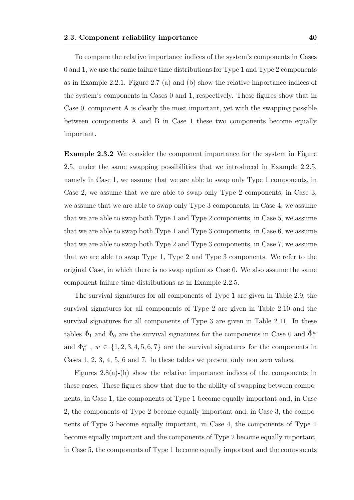To compare the relative importance indices of the system's components in Cases 0 and 1, we use the same failure time distributions for Type 1 and Type 2 components as in Example 2.2.1. Figure 2.7 (a) and (b) show the relative importance indices of the system's components in Cases 0 and 1, respectively. These figures show that in Case 0, component A is clearly the most important, yet with the swapping possible between components A and B in Case 1 these two components become equally important.

Example 2.3.2 We consider the component importance for the system in Figure 2.5, under the same swapping possibilities that we introduced in Example 2.2.5, namely in Case 1, we assume that we are able to swap only Type 1 components, in Case 2, we assume that we are able to swap only Type 2 components, in Case 3, we assume that we are able to swap only Type 3 components, in Case 4, we assume that we are able to swap both Type 1 and Type 2 components, in Case 5, we assume that we are able to swap both Type 1 and Type 3 components, in Case 6, we assume that we are able to swap both Type 2 and Type 3 components, in Case 7, we assume that we are able to swap Type 1, Type 2 and Type 3 components. We refer to the original Case, in which there is no swap option as Case 0. We also assume the same component failure time distributions as in Example 2.2.5.

The survival signatures for all components of Type 1 are given in Table 2.9, the survival signatures for all components of Type 2 are given in Table 2.10 and the survival signatures for all components of Type 3 are given in Table 2.11. In these tables  $\tilde{\Phi}_1$  and  $\tilde{\Phi}_0$  are the survival signatures for the components in Case 0 and  $\tilde{\Phi}_1^w$ and  $\tilde{\Phi}_0^w$ ,  $w \in \{1, 2, 3, 4, 5, 6, 7\}$  are the survival signatures for the components in Cases 1, 2, 3, 4, 5, 6 and 7. In these tables we present only non zero values.

Figures 2.8(a)-(h) show the relative importance indices of the components in these cases. These figures show that due to the ability of swapping between components, in Case 1, the components of Type 1 become equally important and, in Case 2, the components of Type 2 become equally important and, in Case 3, the components of Type 3 become equally important, in Case 4, the components of Type 1 become equally important and the components of Type 2 become equally important, in Case 5, the components of Type 1 become equally important and the components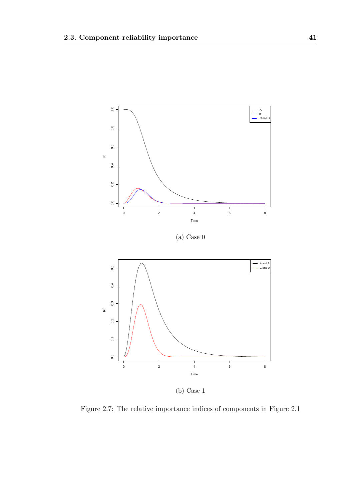

(b) Case 1

Figure 2.7: The relative importance indices of components in Figure 2.1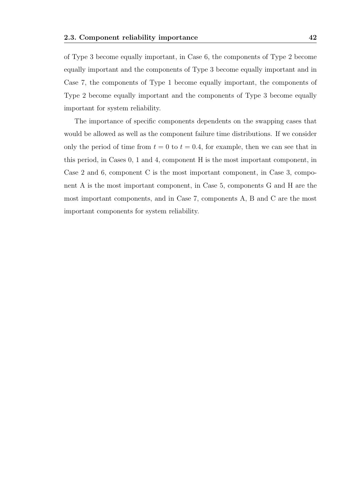of Type 3 become equally important, in Case 6, the components of Type 2 become equally important and the components of Type 3 become equally important and in Case 7, the components of Type 1 become equally important, the components of Type 2 become equally important and the components of Type 3 become equally important for system reliability.

The importance of specific components dependents on the swapping cases that would be allowed as well as the component failure time distributions. If we consider only the period of time from  $t = 0$  to  $t = 0.4$ , for example, then we can see that in this period, in Cases 0, 1 and 4, component H is the most important component, in Case 2 and 6, component C is the most important component, in Case 3, component A is the most important component, in Case 5, components G and H are the most important components, and in Case 7, components A, B and C are the most important components for system reliability.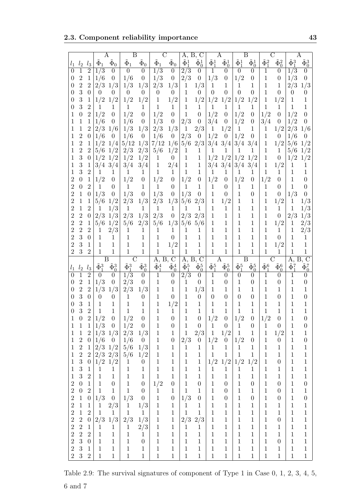2.3. Component reliability importance 43

|                              |                  |                                |                              | Α                            | $_{\rm B}$           |                              | C                            |                              | Α,                      | Ъ, С                         |                       | А                     |                       | Β                  | С                     |                       | Α                     |                              |
|------------------------------|------------------|--------------------------------|------------------------------|------------------------------|----------------------|------------------------------|------------------------------|------------------------------|-------------------------|------------------------------|-----------------------|-----------------------|-----------------------|--------------------|-----------------------|-----------------------|-----------------------|------------------------------|
| $l_1$                        | l <sub>2</sub>   | $l_3$                          | $\Phi_1$                     | $\tilde{\Phi}_0$             | $\tilde{\Phi}_1$     | $\Phi_0$                     | $\tilde{\Phi}_1$             | $\tilde{\Phi}_0$             | $\tilde{\Phi}_1^1$      | $\tilde{\Phi}^1_0$           | $\tilde{\Phi}_1^1$    | $\tilde{\Phi}^1_0$    | $\tilde{\Phi}_1^1$    | $\tilde{\Phi}_0^1$ | $\tilde{\Phi}_1^2$    | $\tilde{\Phi}_0^2$    | $\tilde{\Phi}_1^3$    | $\tilde{\Phi}_0^3$           |
| 0                            | $\mathbf 1$      | $\overline{2}$                 | 1/3                          | $\theta$                     | $\boldsymbol{0}$     | $\theta$                     | $\overline{1/3}$             | $\boldsymbol{0}$             | 2/3                     | $\boldsymbol{0}$             | 1                     | $\boldsymbol{0}$      | $\boldsymbol{0}$      | $\theta$           | 1                     | 0                     | 1/3                   | $\boldsymbol{0}$             |
| $\theta$                     | $\overline{2}$   | 1                              | 1/6                          | $\boldsymbol{0}$             | 1/6                  | $\boldsymbol{0}$             | 1/3                          | $\theta$                     | 2/3                     | $\boldsymbol{0}$             | 1/3                   | $\boldsymbol{0}$      | 1/2                   | 0                  | 1                     | $\overline{0}$        | 1/3                   | $\boldsymbol{0}$             |
| 0                            | $\overline{2}$   | $\overline{2}$                 | 2/3                          | 1/3                          | 1/3                  | 1/3                          |                              | 1/3                          |                         | 1/3                          |                       | 1                     |                       | 1                  |                       | 1                     |                       | 1/3                          |
|                              |                  |                                |                              |                              |                      |                              | 2/3                          |                              | 1                       |                              | 1                     |                       | 1                     |                    | 1                     |                       | 2/3                   |                              |
| 0                            | 3                | $\theta$                       | $\overline{0}$               | $\theta$                     | $\boldsymbol{0}$     | $\overline{0}$               | $\boldsymbol{0}$             | $\overline{0}$               | 1                       | $\overline{0}$               | $\overline{0}$        | $\overline{0}$        | $\overline{0}$        | 0                  | 1                     | $\overline{0}$        | $\boldsymbol{0}$      | $\boldsymbol{0}$             |
| 0                            | 3                | 1                              | 1/2                          | 1/2                          | 1/2                  | 1/2                          | 1                            | 1/2                          | 1                       | 1/2                          | 1/2                   | 1/2                   | 1/2                   | 1/2                | 1                     | 1/2                   | $\mathbf{1}$          | $\mathbf 1$                  |
| 0                            | 3                | $\overline{2}$                 | 1                            | 1                            | $\mathbf{1}$         | 1                            | $\mathbf{1}$                 | 1                            | 1                       | 1                            | 1                     | 1                     | 1                     | 1                  | 1                     | $\mathbf{1}$          | $\mathbf{1}$          | 1                            |
|                              | 0                | $\overline{2}$                 | 1/2                          | $\theta$                     | 1/2                  | $\boldsymbol{0}$             | 1/2                          | $\boldsymbol{0}$             | 1                       | $\boldsymbol{0}$             | 1/2                   | $\boldsymbol{0}$      | 1/2                   | $\boldsymbol{0}$   | 1/2                   | $\boldsymbol{0}$      | 1/2                   | $\boldsymbol{0}$             |
| 1                            | 1                | 1                              | 1/6                          | $\theta$                     | 1/6                  | $\boldsymbol{0}$             | 1/3                          | $\theta$                     | 2/3                     | $\theta$                     | 3/4                   | $\boldsymbol{0}$      | 1/2                   | $\boldsymbol{0}$   | 3/4                   | $\overline{0}$        | 1/2                   | $\boldsymbol{0}$             |
| 1                            | 1                | $\overline{2}$                 | 2/3                          | 1/6                          | 1/3                  | 1/3                          | 2/3                          | 1/3                          | 1                       | 2/3                          | $\mathbf 1$           | 1/2                   | 1                     | 1                  | 1                     | 1/2                   | 2/3                   | 1/6                          |
| 1                            | $\overline{2}$   | $\theta$                       | 1/6                          | $\overline{0}$               | 1/6                  | $\boldsymbol{0}$             | 1/6                          | $\theta$                     | 2/3                     | $\boldsymbol{0}$             | 1/2                   | $\boldsymbol{0}$      | 1/2                   | $\boldsymbol{0}$   | 1                     | $\theta$              | 1/6                   | $\boldsymbol{0}$             |
| 1                            | $\overline{2}$   | 1                              | 1/2                          | 1/4                          | 5/12                 | 1/3                          | 7/12                         | 1/6                          | 5/6                     | 2/3                          | 3/4                   | 3/4                   | 3/4                   | 3/4                | 1                     | 1/2                   | 5/6                   | 1/2                          |
|                              | $\overline{2}$   | $\overline{2}$                 | 5/6                          | 1/2                          | 2/3                  | 2/3                          | 5/6                          | 1/2                          | 1                       | 1                            | 1                     | 1                     | 1                     | 1                  | 1                     | 1                     | 5/6                   | 1/2                          |
|                              | 3                |                                |                              |                              |                      |                              |                              |                              |                         |                              |                       | 1/2                   |                       | 1/2                |                       | $\overline{0}$        | 1/2                   |                              |
|                              |                  | $\boldsymbol{0}$               | 1/2                          | 1/2                          | 1/2                  | 1/2                          | 1                            | $\theta$                     | 1                       | 1                            | 1/2                   |                       | 1/2                   |                    | 1                     |                       |                       | 1/2                          |
|                              | 3                | 1                              | 3/4                          | 3/4                          | 3/4                  | 3/4                          | $\mathbf{1}$                 | 2/4                          | $\mathbf 1$             | $\mathbf{1}$                 | 3/4                   | 3/4                   | 3/4                   | 3/4                | 1                     | 1/2                   | 1                     | 1                            |
|                              | 3                | $\overline{2}$                 | 1                            | 1                            | $\mathbf 1$          | 1                            | $\mathbf{1}$                 | 1                            | $\mathbf{1}$            | $\mathbf{1}$                 | 1                     | 1                     | 1                     | 1                  | $\mathbf 1$           | $\mathbf{1}$          | $\mathbf{1}$          | $\mathbf 1$                  |
| 2                            | $\overline{0}$   | 1                              | 1/2                          | $\boldsymbol{0}$             | 1/2                  | $\boldsymbol{0}$             | 1/2                          | $\boldsymbol{0}$             | 1/2                     | $\boldsymbol{0}$             | 1/2                   | $\boldsymbol{0}$      | 1/2                   | $\boldsymbol{0}$   | 1/2                   | $\boldsymbol{0}$      | 1                     | $\boldsymbol{0}$             |
| 2                            | $\overline{0}$   | $\overline{2}$                 | $\mathbf 1$                  | $\boldsymbol{0}$             | $\mathbf{1}$         | $\mathbf{1}$                 | $\mathbf{1}$                 | $\theta$                     | 1                       | 1                            | $\mathbf{1}$          | $\overline{0}$        | $\mathbf 1$           | 1                  | 1                     | $\boldsymbol{0}$      | $\mathbf{1}$          | $\boldsymbol{0}$             |
| $\overline{2}$               | 1                | $\boldsymbol{0}$               | 1/3                          | $\boldsymbol{0}$             | 1/3                  | $\boldsymbol{0}$             | 1/3                          | $\boldsymbol{0}$             | 1/3                     | $\boldsymbol{0}$             | $\mathbf 1$           | $\overline{0}$        | 1                     | $\overline{0}$     | 1                     | $\overline{0}$        | 1/3                   | $\boldsymbol{0}$             |
| $\overline{2}$               | 1                | $\mathbf 1$                    | 5/6                          | 1/2                          | 2/3                  | $1/3\,$                      | 2/3                          | 1/3                          | 5/6                     | 2/3                          | 1                     | 1/2                   | 1                     | 1                  | 1                     | 1/2                   | 1                     | 1/3                          |
| $\overline{2}$               | $\mathbf 1$      | $\overline{2}$                 | 1                            | 1/3                          | 1                    | $\mathbf{1}$                 | $\mathbf{1}$                 | $\mathbf{1}$                 | 1                       | 1                            | 1                     | 1                     | 1                     | 1                  | 1                     | 1                     | 1                     | 1/3                          |
| $\overline{2}$               | $\overline{2}$   | $\boldsymbol{0}$               | 2/3                          | 1/3                          | 2/3                  | 1/3                          | 2/3                          | $\boldsymbol{0}$             | 2/3                     | 2/3                          | 1                     | $\mathbf 1$           | 1                     | 1                  | 1                     | $\overline{0}$        | 2/3                   | 1/3                          |
| $\overline{2}$               | $\overline{2}$   | 1                              | 5/6                          | 1/2                          | 5/6                  | 2/3                          | 5/6                          | 1/3                          | 5/6                     | 5/6                          | 1                     | $\mathbf 1$           | 1                     | 1                  | 1                     | 1/2                   | 1                     | 2/3                          |
| $\overline{2}$               | $\overline{2}$   | $\overline{2}$                 |                              |                              |                      | 1                            | 1                            | 1                            |                         | 1                            | $\mathbf 1$           | $\mathbf 1$           | 1                     | 1                  | 1                     | 1                     | 1                     |                              |
|                              |                  |                                | 1                            | 2/3                          | 1                    |                              |                              |                              | 1                       |                              |                       |                       |                       |                    |                       |                       |                       | 2/3                          |
| $\overline{2}$               | 3                | $\overline{0}$                 | 1                            | 1                            | 1                    | 1                            | $\mathbf 1$                  | $\boldsymbol{0}$             | 1                       | 1                            | 1                     | $\mathbf 1$           | 1                     | 1                  | 1                     | $\boldsymbol{0}$      | 1                     | 1                            |
| $\overline{2}$               | 3                | 1                              | 1                            | $\mathbf 1$                  | 1                    | 1                            | 1                            | 1/2                          | 1                       | 1                            | $\mathbf 1$           | $\mathbf 1$           | 1                     | 1                  | 1                     | 1/2                   | 1                     | $\mathbf 1$                  |
| $\overline{2}$               | 3                | $\overline{2}$                 | 1                            | 1                            | $\mathbf 1$          | 1                            | 1                            | 1                            | 1                       | 1                            | $\mathbf 1$           | $\mathbf 1$           | 1                     | 1                  | 1                     | 1                     | 1                     | $\mathbf 1$                  |
|                              |                  |                                | B                            |                              | $\rm C$              |                              | А,<br>Β,                     | $\overline{C}$               | A,                      | $B, \overline{C}$            |                       | Α                     |                       | Β                  |                       | С                     | Α,                    | $B, \overline{C}$            |
| $l_1$                        | l <sub>2</sub>   | $l_3$                          | $\tilde{\Phi}_1^3$           | $\tilde{\Phi}_0^3$           | $\tilde{\Phi}_1^3$   | $\tilde{\Phi}_0^3$           | $\tilde{\Phi}_1^4$           | $\tilde{\Phi}_0^4$           | $\tilde{\Phi}_1^5$      | $\tilde{\Phi}_0^5$           | $\tilde{\Phi}_1^5$    | $\tilde{\Phi}_0^5$    | $\tilde{\Phi}_1^5$    | $\tilde{\Phi}_0^5$ | $\tilde{\Phi}_1^6$    | $\tilde{\Phi}_0^6$    | $\tilde{\Phi}_1^7$    | $\tilde{\Phi}_0^7$           |
|                              |                  | $\overline{2}$                 | $\Omega$                     | $\boldsymbol{0}$             | $\overline{1/3}$     | $\boldsymbol{0}$             | 1                            | $\theta$                     | 2/3                     | $\boldsymbol{0}$             | $\mathbf 1$           | $\overline{0}$        | $\boldsymbol{0}$      | $\overline{0}$     | 1                     | $\overline{0}$        | 1                     | $\overline{0}$               |
| 0                            | $\overline{2}$   | $\mathbf{1}$                   | 1/3                          | $\overline{0}$               | 2/3                  | $\boldsymbol{0}$             | $\mathbf 1$                  | $\theta$                     | 1                       | $\overline{0}$               | $\mathbf 1$           | $\boldsymbol{0}$      | 1                     | 0                  | $\mathbf 1$           | $\overline{0}$        | 1                     | $\overline{0}$               |
| 0                            | $\overline{2}$   | $\overline{2}$                 | 1/3                          | 1/3                          | 2/3                  | 1/3                          | 1                            | 1                            | $\mathbf{1}$            | 1/3                          | 1                     | 1                     | 1                     | 1                  | 1                     | 1                     | 1                     | $\mathbf 1$                  |
| 0                            | 3                | $\theta$                       | $\theta$                     | $\theta$                     | 1                    | $\theta$                     | 1                            | $\theta$                     | 1                       | $\boldsymbol{0}$             | 0                     | $\boldsymbol{0}$      | 0                     | $\overline{0}$     | 1                     | $\overline{0}$        | 1                     | $\overline{0}$               |
| 0                            | 3                | 1                              | $\mathbf{1}$                 |                              |                      | 1                            |                              | 1/2                          |                         | $\mathbf 1$                  | $\mathbf 1$           | $\mathbf 1$           | 1                     | 1                  | 1                     | $\mathbf 1$           | 1                     | $\mathbf 1$                  |
|                              |                  |                                |                              | 1                            | $\mathbf{1}$         |                              | $\mathbf{1}$                 |                              | 1                       |                              |                       |                       |                       |                    |                       |                       |                       |                              |
| 0                            | 3                | $\overline{2}$                 | $\mathbf 1$                  | 1                            | $\mathbf 1$          | 1                            | 1                            | 1                            | 1                       | 1                            | 1                     | $\mathbf{1}$          | 1                     | 1                  | $\mathbf 1$           | $\mathbf{1}$          | $\mathbf 1$           | $\mathbf 1$                  |
| T                            | $\boldsymbol{0}$ | $\overline{c}$                 | $\frac{1/2}{1/3}$            | $\boldsymbol{0}$             | 1/2                  | $\boldsymbol{0}$             | $\mathbf 1$                  | $\boldsymbol{0}$             | $\mathbf 1$             | $\boldsymbol{0}$             | $1/2\,$               | $\boldsymbol{0}$      | $1/2\,$               | $\boldsymbol{0}$   | 1/2                   | $\boldsymbol{0}$      | 1                     | $\boldsymbol{0}$             |
| $\mathbf{1}$                 | $\mathbf{1}$     | $1\,$                          |                              | $\boldsymbol{0}$             | 1/2                  | $\boldsymbol{0}$             | $\,1\,$                      | $\boldsymbol{0}$             | $\,1$                   | $\boldsymbol{0}$             | $\,1$                 | $\boldsymbol{0}$      | $\mathbf{1}$          | $\boldsymbol{0}$   | $\mathbf{1}$          | $\boldsymbol{0}$      | $\,1$                 | $\boldsymbol{0}$             |
| $\mathbf{1}$                 | $\,1$            | $\sqrt{2}$                     | 1/3                          | 1/3                          | 2/3                  | 1/3                          | $\,1\,$                      | $\mathbf 1$                  | $1\,$                   | 2/3                          | $\,1\,$               | 1/2                   | $\,1\,$               | $\mathbf 1$        | $\mathbf 1$           | 1/2                   | $\,1$                 | $\mathbf{1}$                 |
| $\mathbf{1}$                 | $\sqrt{2}$       | 0                              | 1/6                          | $\boldsymbol{0}$             | 1/6                  | $\boldsymbol{0}$             | $\mathbf 1$                  | $\boldsymbol{0}$             | $2/3\,$                 | $\boldsymbol{0}$             | 1/2                   | $\boldsymbol{0}$      | 1/2                   | $\boldsymbol{0}$   | $\mathbf 1$           | $\boldsymbol{0}$      | $\mathbf{1}$          | $\boldsymbol{0}$             |
| $\mathbf{1}$                 | $\boldsymbol{2}$ | $\,1\,$                        | 2/3                          | 1/2                          | 5/6                  | 1/3                          | $\,1\,$                      | $\mathbf{1}$                 | $\mathbf{1}$            | $\mathbf{1}$                 | $\mathbf{1}$          | $\,1$                 | $\mathbf{1}$          | $\mathbf 1$        | $\,1$                 | $\mathbf{1}$          | $\,1$                 | $\,1$                        |
| $\mathbf{1}$                 | $\frac{2}{3}$    | $\sqrt{2}$                     | $2/3\,$                      | $2/3\,$                      | 5/6                  | 1/2                          | $\mathbf{1}$                 | $\,1$                        | $\,1\,$                 | $\,1$                        | $\mathbf 1$           | $\,1$                 | $\mathbf 1$           | $\mathbf{1}$       | $\mathbf 1$           | $\mathbf{1}$          | $\,1$                 | $\,1$                        |
| $\mathbf{1}$                 |                  | $\overline{0}$                 | 1/2                          | $1/2\,$                      | $\mathbf{1}$         | $\theta$                     | $\,1\,$                      | $\,1$                        | $\,1$                   | $\,1\,$                      | 1/2                   | 1/2                   | 1/2                   | 1/2                | $1\,$                 | $\boldsymbol{0}$      | $\,1$                 | $\,1$                        |
| 1                            | $\overline{3}$   | $1\,$                          | $\mathbf{1}$                 | $\mathbf{1}$                 | $\,1$                | $\mathbf{1}$                 | $\,1\,$                      | $\,1$                        | $\mathbf{1}$            | $\mathbf{1}$                 | $\,1$                 | $\mathbf 1$           | $\mathbf 1$           | 1                  | $\mathbf{1}$          | $\mathbf 1$           | $\,1$                 | $\,1\,$                      |
| $\mathbf 1$                  | 3                | $\,2$                          | $\,1\,$                      | $\,1\,$                      | $\,1\,$              | $\mathbf{1}$                 | $\mathbf 1$                  | $\,1$                        | $\mathbf{1}$            | $\mathbf{1}$                 | $\,1\,$               | $\mathbf 1$           | $\,1$                 | 1                  | $\mathbf 1$           | $\mathbf{1}$          | $\,1$                 | $\,1\,$                      |
|                              |                  |                                |                              |                              |                      |                              |                              |                              |                         |                              |                       |                       |                       |                    |                       |                       |                       |                              |
| $\boldsymbol{2}$             | $\boldsymbol{0}$ | $\,1$                          | $\,1\,$                      | $\boldsymbol{0}$             | $\,1\,$              | $\boldsymbol{0}$             | 1/2                          | $\boldsymbol{0}$             | $\,1\,$                 | $\boldsymbol{0}$             | $\,1$                 | $\boldsymbol{0}$      | $\mathbf 1$           | $\boldsymbol{0}$   | $\mathbf 1$           | $\boldsymbol{0}$      | $\,1$                 | $\boldsymbol{0}$             |
| $\overline{2}$               | $\boldsymbol{0}$ | $\,2$                          | $\mathbf 1$                  | $\,1\,$                      | $\mathbf 1$          | $\boldsymbol{0}$             | $\overline{1}$               | $\mathbf{1}$                 | $\mathbf 1$             | $\,1$                        | $\,1$                 | $\boldsymbol{0}$      | $\mathbf 1$           | 1                  | $\mathbf 1$           | $\boldsymbol{0}$      | $\,1$                 | $\,1$                        |
| $\overline{2}$               | $\,1$            | $\boldsymbol{0}$               | 1/3                          | $\boldsymbol{0}$             | 1/3                  | $\boldsymbol{0}$             | $\mathbf 1$                  | $\boldsymbol{0}$             | 1/3                     | $\boldsymbol{0}$             | $\,1$                 | $\boldsymbol{0}$      | $\,1$                 | $\boldsymbol{0}$   | $\,1$                 | $\boldsymbol{0}$      | $\,1$                 | $\boldsymbol{0}$             |
|                              |                  |                                |                              | $2/3\,$                      | $\,1$                | 1/3                          | $\,1\,$                      | $\mathbf{1}$                 | $\mathbf{1}$            | $\mathbf 1$                  | $\,1$                 | $\mathbf 1$           | $\,1$                 | 1                  | $1\,$                 | $\mathbf 1$           | $\,1$                 | $\,1$                        |
| $\sqrt{2}$                   | $\,1$            | $\mathbf{1}$                   | $\mathbf{1}$                 |                              |                      |                              |                              |                              |                         |                              |                       |                       |                       |                    |                       |                       |                       |                              |
| $\sqrt{2}$                   | $\,1$            | $\sqrt{2}$                     | $\mathbf{1}$                 | $\mathbf{1}$                 | $\,1$                | $\mathbf{1}$                 | $\,1$                        | $\mathbf{1}$                 | $\mathbf 1$             | $\mathbf 1$                  | $\,1$                 | $\mathbf{1}$          | $\,1$                 | $\mathbf 1$        | $1\,$                 | $\mathbf{1}$          | $\,1$                 | $\,1\,$                      |
| $\sqrt{2}$                   | $\sqrt{2}$       | $\boldsymbol{0}$               | 2/3                          |                              |                      | 1/3                          | $\mathbf{1}$                 | $\mathbf{1}$                 |                         |                              | $\,1\,$               | $\mathbf{1}$          | $\,1$                 | 1                  | $1\,$                 | $\boldsymbol{0}$      | $\,1$                 | $\,1\,$                      |
| $\sqrt{2}$                   | $\sqrt{2}$       | $\mathbf{1}$                   | $\mathbf{1}$                 | $1/3\,$<br>$\mathbf{1}$      | 2/3                  |                              | $\mathbf{1}$                 | $\mathbf{1}$                 | $2/3\,$<br>$\mathbf{1}$ | 2/3<br>$\mathbf{1}$          | $\mathbf{1}$          | $\mathbf 1$           | $1\,$                 | $\mathbf 1$        | $1\,$                 | $\mathbf{1}$          | $\,1$                 | $\mathbf{1}$                 |
|                              |                  |                                |                              |                              | $\mathbf{1}$         | 2/3                          |                              |                              |                         |                              |                       |                       |                       |                    |                       |                       |                       |                              |
| $\sqrt{2}$                   | $\sqrt{2}$       | $\overline{2}$                 | $\mathbf{1}$                 | $\mathbf{1}$                 | $\mathbf{1}$         | $\mathbf{1}$                 | $\mathbf 1$                  | $\mathbf{1}$                 | $\mathbf{1}$            | $\mathbf{1}$                 | $\,1$                 | $\mathbf 1$           | $1\,$                 | $\mathbf 1$        | $1\,$                 | $\mathbf{1}$          | $\,1$                 | $\mathbf{1}$                 |
| $\sqrt{2}$                   | 3                | $\boldsymbol{0}$               | $\mathbf{1}$                 | $\mathbf{1}$                 | $\mathbf{1}$         | $\boldsymbol{0}$             | $\mathbf 1$                  | $\mathbf{1}$                 | $\mathbf{1}$            | $\mathbf{1}$                 | $\,1$                 | $\,1$                 | $\,1$                 | $\mathbf 1$        | $\mathbf 1$           | $\boldsymbol{0}$      | $\,1$                 | $\mathbf{1}$                 |
| $\sqrt{2}$<br>$\overline{2}$ | 3<br>3           | $\mathbf{1}$<br>$\overline{2}$ | $\mathbf{1}$<br>$\mathbf{1}$ | $\mathbf{1}$<br>$\mathbf{1}$ | $\mathbf 1$<br>$\,1$ | $\mathbf{1}$<br>$\mathbf{1}$ | $\mathbf{1}$<br>$\mathbf{1}$ | $\mathbf{1}$<br>$\mathbf{1}$ | $\mathbf{1}$<br>$1\,$   | $\mathbf{1}$<br>$\mathbf{1}$ | $\,1$<br>$\mathbf{1}$ | $\,1$<br>$\mathbf{1}$ | $\,1$<br>$\mathbf{1}$ | $\,1$<br>$\,1$     | $\,1$<br>$\mathbf{1}$ | $\mathbf{1}$<br>$\,1$ | $\,1$<br>$\mathbf{1}$ | $\mathbf{1}$<br>$\mathbf{1}$ |

Table 2.9: The survival signatures of component of Type 1 in Case 0, 1, 2, 3, 4, 5,  $6$  and  $7\,$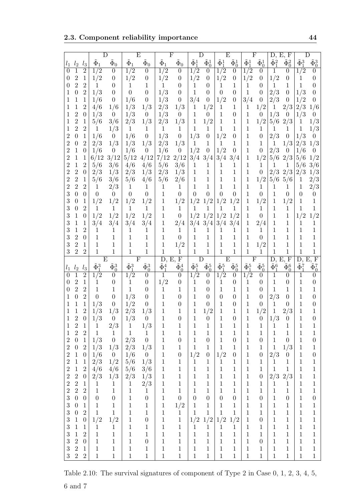2.3. Component reliability importance 44

|                  |                  |                                |                    |                    |                    | F)                 | F                  |                    |                    |                    |                    | E                  | F                  |                    | D, E, F            |                    |                    |                  |
|------------------|------------------|--------------------------------|--------------------|--------------------|--------------------|--------------------|--------------------|--------------------|--------------------|--------------------|--------------------|--------------------|--------------------|--------------------|--------------------|--------------------|--------------------|------------------|
| $l_1$            | $l_2$            | $l_3$                          | $\Phi_1$           | $\Phi_0$           | $\Phi_1$           | $\Phi_0$           | $\Phi_1$           | $\Phi_0$           | $\tilde{\Phi}^1_1$ | $\tilde{\Phi}^1_0$ | $\tilde{\Phi}^1_1$ | $\tilde{\Phi}^1_0$ | $\tilde{\Phi}^1_1$ | $\tilde{\Phi}^1_0$ | $\tilde{\Phi}_1^2$ | $\tilde{\Phi}^2_0$ | $\tilde{\Phi}_1^3$ |                  |
| $\theta$         |                  | $\overline{2}$                 | 1/2                | 0                  | 1/2                | $\theta$           | 1/2                | $\theta$           | 1/2                | $\overline{0}$     | 1/2                | $\overline{0}$     | 1/2                | 0                  | 1                  | $\theta$           | 1/2                | $\theta$         |
| $\theta$         | 2                | 1                              | 1/2                | 0                  | 1/2                | $\theta$           | 1/2                | 0                  | 1/2                | $\theta$           | 1/2                | 0                  | 1/2                | $\overline{0}$     | 1/2                | $\overline{0}$     | 1                  | 0                |
| 0                | 2                | 2                              | 1                  | 0                  | 1                  | 1                  | 1                  | $\theta$           | 1                  | 0                  | 1                  | 1                  | 1                  | $\theta$           | 1                  | 1                  | $\mathbf{1}$       | 0                |
| 1                |                  | 2                              | 1/3                | 0                  | $\overline{0}$     | 0                  | 1/3                | 0                  | 1                  | 0                  | $\theta$           | 0                  | 1                  | $\theta$           | 2/3                | $\overline{0}$     | 1/3                | 0                |
| 1                |                  | 1                              | 1/6                | 0                  | 1/6                | $\overline{0}$     | 1/3                | 0                  | 3/4                | $\overline{0}$     | 1/2                | 0                  | 3/4                | $\theta$           | 2/3                | $\theta$           | 1/2                |                  |
| 1                |                  | 2                              | 4/6                | 1/6                | 1/3                | 1/3                | 2/3                | 1/3                | 1                  | 1/2                | 1                  | 1                  | 1                  | 1/2                | 1                  | 2/3                | 2/3                | 1/6              |
| 1                | 2                | 0                              | 1/3                | $\overline{0}$     | 1/3                | $\overline{0}$     | 1/3                | $\theta$           | 1                  | $\theta$           | 1                  | $\theta$           | 1                  | $\overline{0}$     | 1/3                | $\theta$           | 1/3                | $\theta$         |
| 1                | 2                | 1                              | 5/6                | 3/6                | 2/3                | 1/3                | 2/3                | 1/3                | 1                  | 1/2                | 1                  | 1                  | 1                  | 1/2                | 5/6                | 2/3                | 1                  | 1/3              |
| 1                | 2                | $\overline{2}$                 | 1                  | 1/3                | $\mathbf{1}$       | 1                  | 1                  | 1                  | 1                  | 1                  | 1                  | 1                  | 1                  | 1                  | 1                  | 1                  | 1                  | 1/3              |
| 2                | 0                | 1                              | 1/6                | $\boldsymbol{0}$   | 1/6                | $\overline{0}$     | 1/3                | 0                  | 1/3                | $\theta$           | 1/2                | 0                  | 1                  | $\overline{0}$     | 2/3                | $\theta$           | 1/3                | 0                |
| 2                |                  | $\overline{2}$                 | 2/3                | 1/3                | 1/3                | 1/3                | 2/3                | 1/3                | 1                  | 1                  | 1                  | 1                  | 1                  | 1                  | 1                  | 1/3                | 2/3                | 1/3              |
| 2                |                  | $\theta$                       | 1/6                | $\boldsymbol{0}$   | 1/6                | $\theta$           | 1/6                | $\overline{0}$     | 1/2                | $\boldsymbol{0}$   | 1/2                | 0                  | 1                  | $\overline{0}$     | 2/3                | $\theta$           | 1/6                | U                |
| $\overline{2}$   |                  | 1                              | 6/12               | 3/12               | 5/12               | 4/12               | 7/12               | 2/12               | 3/4                | 3/4                | 3/4                | 3/4                | 1                  | 1/2                | 5/6                | 2/3                | 5/6                |                  |
| $\overline{2}$   |                  | $\overline{2}$                 |                    | 3/6                | 4/6                | 4/6                |                    | 3/6                |                    |                    |                    | 1                  | 1                  | $\mathbf{1}$       | 1                  |                    | 5/6                | 3/6              |
| $\overline{2}$   | 2                |                                | 5/6                | 1/3                |                    |                    | 5/6                |                    | 1                  | 1                  | 1                  |                    | 1                  | $\theta$           | 2/3                | 1<br>2/3           |                    |                  |
|                  |                  | $\theta$                       | 2/3                |                    | 2/3                | 1/3                | 2/3                | 1/3                | 1                  | 1                  | 1                  | 1                  |                    |                    |                    |                    | 2/3                | 1/3              |
| $\overline{2}$   | 2                | $\mathbf{1}$<br>$\overline{2}$ | 5/6                | 3/6                | 5/6                | 4/6                | 5/6                | 2/6                | 1                  | 1                  | 1                  | 1                  | 1                  | 1/2                | 5/6                | 5/6                | 1                  | 2/3              |
| $\overline{2}$   | 2                |                                | 1                  | 2/3                | $\mathbf{1}$       | 1                  | 1                  | 1                  | 1                  | 1                  | 1                  | 1                  | 1                  | $\mathbf{1}$       | 1                  | 1                  | 1                  | 2/3              |
| 3                | 0                | $\theta$                       | $\theta$           | $\overline{0}$     | $\boldsymbol{0}$   | $\overline{0}$     | 1                  | $\overline{0}$     | $\overline{0}$     | $\overline{0}$     | $\theta$           | 0                  | 1                  | $\overline{0}$     | 1                  | $\theta$           | $\theta$           | 0                |
| 3                |                  | 1                              | 1/2                | 1/2                | 1/2                | 1/2                | 1                  | 1/2                | 1/2                | 1/2                | 1/2                | 1/2                | 1                  | 1/2                | 1                  | 1/2                | 1                  | 1                |
| 3                | 0                | $\overline{2}$                 | 1                  | $\mathbf{1}$       | $\mathbf{1}$       | 1                  | 1                  | 1                  | 1                  | 1                  | 1                  | 1                  | 1                  | $\mathbf{1}$       | 1                  | 1                  | 1                  | 1                |
| 3                |                  | $\boldsymbol{0}$               | 1/2                | 1/2                | 1/2                | 1/2                | 1                  | $\boldsymbol{0}$   | 1/2                | 1/2                | 1/2                | /2<br>1            | 1                  | $\theta$           | 1                  | $\mathbf 1$        | 1/2                | 1/2              |
| 3                |                  | 1                              | 3/4                | 3/4                | 3/4                | 3/4                | 1                  | 2/4                | 3/4                | 3/4                | 3/4                | 3/4                | 1                  | 2/4                | 1                  | 1                  | 1                  | 1                |
| 3                |                  | $\overline{2}$                 | 1                  | 1                  | 1                  | 1                  | 1                  | 1                  | 1                  | 1                  | 1                  | 1                  | 1                  | 1                  | 1                  | 1                  | 1                  | 1                |
| 3                | 2                | $\theta$                       | 1                  | 1                  | 1                  | 1                  | 1                  | $\overline{0}$     | 1                  | 1                  | 1                  | 1                  | 1                  | $\theta$           | 1                  | 1                  | 1                  |                  |
| 3                | $\overline{2}$   | 1                              | 1                  | 1                  | 1                  | 1                  | 1                  | 1/2                | 1                  | 1                  | 1                  | 1                  | 1                  | 1/2                | 1                  | 1                  | 1                  |                  |
| 3                | $\overline{2}$   | $\overline{2}$                 | 1                  | 1                  | 1                  | 1                  | 1                  | 1                  | 1                  | 1                  | 1                  | 1                  | 1                  | 1                  | 1                  | 1                  | 1                  |                  |
|                  |                  |                                |                    |                    |                    |                    |                    |                    |                    |                    |                    |                    |                    |                    |                    |                    |                    |                  |
|                  |                  |                                | Ε                  |                    | F                  |                    | D,                 | $\mathbf{F}$<br>Е. |                    |                    | E                  |                    | F                  |                    | D.                 | E. F               | D.                 | F                |
| $l_1$            | $l_2$            | $l_3$                          | $\tilde{\Phi}_1^3$ | $\tilde{\Phi}_0^3$ | $\tilde{\Phi}_1^3$ | $\tilde{\Phi}_0^3$ | $\tilde{\Phi}_1^4$ | $\tilde{\Phi}_0^4$ | $\tilde{\Phi}_1^5$ | $\tilde{\Phi}_0^5$ | $\tilde{\Phi}_1^5$ | $\tilde{\Phi}_0^5$ | $\tilde{\Phi}_1^5$ | $\tilde{\Phi}_0^5$ | $\tilde{\Phi}^6_1$ | $\tilde{\Phi}_0^6$ | $\tilde{\Phi}_1^7$ | $\Phi_0^7$       |
| $\theta$         |                  | $\overline{2}$                 | 1/2                | 0                  | 1/2                | $\theta$           | 1                  | $\theta$           | 1/2                | $\theta$           | 1/2                | $\theta$           | $\frac{1}{2}$      | 0                  | 1                  | 0                  | 1                  | 0                |
| 0                | $\overline{2}$   | 1                              | 1                  | 0                  | $\mathbf{1}$       | $\theta$           | 1/2                | 0                  | 1                  | $\overline{0}$     | 1                  | $\theta$           | 1                  | 0                  | 1                  | 0                  | 1                  | 0                |
| 0                | 2                | $\overline{2}$                 | $\mathbf 1$        |                    | $\mathbf{1}$       | $\theta$           | 1                  | 1                  | 1                  | $\overline{0}$     | 1                  | 1                  | 1                  | 0                  | 1                  | 1                  | 1                  |                  |
| 1                |                  | $\overline{2}$                 | $\overline{0}$     | 0                  | 1/3                | $\overline{0}$     | 1                  | $\theta$           | 1                  | $\theta$           | $\theta$           | 0                  | 1                  | 0                  | 2/3                | 0                  | 1                  |                  |
| 1                |                  | 1                              | 1/3                | 0                  | 1/2                | $\overline{0}$     | 1                  | $\theta$           | 1                  | 0                  | 1                  | 0                  | 1                  | 0                  | 1                  | $\mathbf{0}$       | 1                  |                  |
|                  |                  | $\overline{2}$                 | 1/3                | 1/3                | 2/3                | 1/3                | 1                  | 1                  | 1                  | 1/2                | 1                  | 1                  | 1                  |                    | 1                  | 2/3                | 1                  |                  |
|                  | ∠                | $\boldsymbol{0}$               | 1/3                | $\overline{0}$     | 1/3                |                    | $\mathbf 1$        | $\theta$           | 1                  | $\boldsymbol{0}$   | $\mathbf 1$        | $\boldsymbol{0}$   | $\mathbf 1$        | $\boldsymbol{0}$   | 1/3                | $\boldsymbol{0}$   | Ŧ                  |                  |
| $\mathbf 1$      | $\sqrt{2}$       | $1\,$                          | $\mathbf{1}$       | 2/3                | $\mathbf{1}$       | 1/3                | $\,1$              | $\,1\,$            | $\mathbf{1}$       | $\mathbf 1$        | $\mathbf 1$        | $1\,$              | $\,1$              | $\mathbf 1$        | $1\,$              | $\mathbf 1$        | $\,1\,$            | $\,1\,$          |
| $\mathbf{1}$     | $\sqrt{2}$       | $\overline{2}$                 | $\mathbf{1}$       | $\mathbf{1}$       | $\mathbf{1}$       | $\mathbf{1}$       | $\mathbf{1}$       | $\mathbf 1$        | $\mathbf{1}$       | $\mathbf{1}$       | $\mathbf 1$        | $\mathbf 1$        | $\mathbf{1}$       | $\mathbf{1}$       | $\,1\,$            | $\mathbf{1}$       | $1\,$              | $\mathbf{1}$     |
| $\sqrt{2}$       | $\boldsymbol{0}$ | $\mathbf{1}$                   | 1/3                | $\boldsymbol{0}$   | 2/3                | $\boldsymbol{0}$   | $1\,$              | $\boldsymbol{0}$   | $\mathbf{1}$       | $\boldsymbol{0}$   | $\mathbf 1$        | $\boldsymbol{0}$   | $\,1$              | $\boldsymbol{0}$   | $1\,$              | $\boldsymbol{0}$   | $1\,$              | $\boldsymbol{0}$ |
| $\sqrt{2}$       | $\theta$         | $\sqrt{2}$                     | 1/3                | 1/3                | 2/3                | 1/3                | $\mathbf{1}$       | $\mathbf 1$        | $\mathbf{1}$       | $1\,$              | $\mathbf{1}$       | $\mathbf 1$        | $\mathbf{1}$       | $\mathbf{1}$       | $\,1\,$            | 1/3                | $\mathbf{1}$       | $\mathbf{1}$     |
| $\boldsymbol{2}$ | $\mathbf{1}$     | $\boldsymbol{0}$               | 1/6                | $\boldsymbol{0}$   | 1/6                | $\overline{0}$     | $\mathbf{1}$       | $\boldsymbol{0}$   | 1/2                | $\boldsymbol{0}$   | 1/2                | $\boldsymbol{0}$   | $\,1\,$            | $\boldsymbol{0}$   | 2/3                | $\overline{0}$     | $\mathbf{1}$       | $\boldsymbol{0}$ |
| $\boldsymbol{2}$ | $\mathbf 1$      | $\,1\,$                        | 2/3                | 1/2                | 5/6                | 1/3                | $\mathbf{1}$       | $\mathbf 1$        | $\mathbf{1}$       | $\mathbf{1}$       | $\mathbf{1}$       | $\,1$              | $1\,$              | $\mathbf{1}$       | $\mathbf{1}$       | $\mathbf{1}$       | $\mathbf{1}$       | $\,1$            |
| $\sqrt{2}$       | $\mathbf{1}$     | $\sqrt{2}$                     | 4/6                | 4/6                | 5/6                | 3/6                | $\mathbf{1}$       | $\mathbf 1$        | $\,1$              | $\mathbf{1}$       | $\mathbf 1$        | $\mathbf 1$        | $\,1\,$            | $\mathbf 1$        | $\,1\,$            | $\mathbf{1}$       | $\mathbf{1}$       | $\,1$            |
| $\overline{2}$   | $\sqrt{2}$       | $\overline{0}$                 | 2/3                | 1/3                | 2/3                | 1/3                | $\mathbf{1}$       | $\mathbf 1$        | $\,1$              | $\,1$              | $\,1\,$            | $\mathbf 1$        | $\,1\,$            | $\boldsymbol{0}$   | 2/3                | 2/3                | $\mathbf{1}$       | $\,1$            |
| $\overline{2}$   | $\sqrt{2}$       | $\mathbf{1}$                   | $\mathbf{1}$       | $\mathbf{1}$       | $\mathbf{1}$       | 2/3                | $\mathbf{1}$       | $\mathbf 1$        | $\mathbf{1}$       | $\mathbf{1}$       | $\mathbf 1$        | $\mathbf 1$        | $\mathbf{1}$       | $\mathbf{1}$       | $\mathbf{1}$       | $\mathbf 1$        | $\mathbf{1}$       | $\mathbf{1}$     |
| $\overline{2}$   | $\overline{2}$   | $\overline{2}$                 | $\mathbf{1}$       | $\mathbf{1}$       | $\,1\,$            | $\mathbf{1}$       | $\mathbf{1}$       | $\,1$              | $\mathbf{1}$       | $\mathbf{1}$       | $\mathbf 1$        | $\mathbf 1$        | $\mathbf{1}$       | $\mathbf{1}$       | $\,1\,$            | $\mathbf{1}$       | $\mathbf{1}$       | $\mathbf{1}$     |
| 3                | $\overline{0}$   | $\boldsymbol{0}$               | $\theta$           | $\boldsymbol{0}$   | $\,1$              | $\boldsymbol{0}$   | $\mathbf{1}$       | $\boldsymbol{0}$   | $\boldsymbol{0}$   | $\boldsymbol{0}$   | $\boldsymbol{0}$   | $\boldsymbol{0}$   | $\,1$              | $\boldsymbol{0}$   | $\mathbf{1}$       | $\boldsymbol{0}$   | $\mathbf{1}$       | $\boldsymbol{0}$ |
| 3                | $\boldsymbol{0}$ | $\mathbf{1}$                   | $\mathbf{1}$       | $\mathbf{1}$       | $\,1$              | $\mathbf{1}$       | $\mathbf{1}$       | 1/2                | $\mathbf{1}$       | $\mathbf{1}$       | $\mathbf 1$        | $\,1$              | $\,1$              | $\mathbf 1$        | $\mathbf{1}$       | $\mathbf{1}$       | $\mathbf{1}$       | $\mathbf{1}$     |
| 3                | $\overline{0}$   | $\overline{2}$                 | $\mathbf{1}$       | $\mathbf{1}$       | $\,1$              | $\mathbf{1}$       | $\mathbf{1}$       | $\mathbf{1}$       | $\mathbf{1}$       | $\mathbf{1}$       | $\mathbf{1}$       | $\mathbf{1}$       | $\,1$              | $\mathbf{1}$       | $\mathbf{1}$       | $\mathbf{1}$       | $\mathbf{1}$       | $\mathbf{1}$     |
| 3                | $\mathbf{1}$     | $\boldsymbol{0}$               | 1/2                | 1/2                | $\mathbf 1$        | $\boldsymbol{0}$   | $\mathbf{1}$       | $\mathbf{1}$       | 1/2                | 1/2                | 1/2                | 1/2                | $\,1\,$            | $\boldsymbol{0}$   | $\mathbf{1}$       | $\mathbf{1}$       | $\mathbf{1}$       | $\mathbf{1}$     |
| 3                | 1                | $\mathbf{1}$                   | $\mathbf{1}$       | $\mathbf{1}$       | $\!1\!$            | 1                  | $\mathbf{1}$       | $\mathbf{1}$       | $\mathbf{1}$       | $\mathbf{1}$       | $\mathbf{1}$       | $\mathbf{1}$       | $\mathbf{1}$       | $\mathbf{1}$       | $\mathbf{1}$       | $\mathbf{1}$       | $\mathbf{1}$       | $\mathbf{1}$     |
| 3                | 1                | $\overline{2}$                 | $\mathbf{1}$       | $\mathbf{1}$       | $\!1\!$            | $\mathbf{1}$       | $\mathbf{1}$       | $\,1$              | $\mathbf{1}$       | $\mathbf{1}$       | $\mathbf{1}$       | $\mathbf{1}$       | $\mathbf{1}$       | $\mathbf{1}$       | $\mathbf{1}$       | $\mathbf{1}$       | $\mathbf{1}$       | $\mathbf{1}$     |
| 3                | $\overline{2}$   | $\overline{0}$                 | $\mathbf{1}$       | $\mathbf{1}$       | $\!1\!$            | $\boldsymbol{0}$   | $\mathbf{1}$       | $\mathbf{1}$       | $\mathbf{1}$       | $\mathbf{1}$       | $\mathbf{1}$       | 1                  | $\mathbf{1}$       | $\boldsymbol{0}$   | $\mathbf{1}$       | $\mathbf{1}$       | $\mathbf{1}$       | $\mathbf{1}$     |
| 3                | $\overline{2}$   | $\mathbf{1}$                   | $\mathbf{1}$       | $\mathbf{1}$       | $\!1\!$            | 1                  | $\mathbf{1}$       | $\,1$              | $\mathbf{1}$       | $\mathbf{1}$       | $\mathbf{1}$       | $\mathbf{1}$       | $\mathbf{1}$       | $\mathbf{1}$       | $\mathbf{1}$       | $\mathbf{1}$       | $\mathbf{1}$       | $\mathbf{1}$     |
| 3                | $\overline{2}$   | $\sqrt{2}$                     | $\mathbf{1}$       | $\mathbf{1}$       | $\mathbf{1}$       | $\mathbf{1}$       | $\mathbf{1}$       | $\mathbf{1}$       | $\mathbf{1}$       | $\mathbf{1}$       | $\mathbf{1}$       | $\mathbf{1}$       | $\mathbf{1}$       | $\mathbf{1}$       | $\mathbf{1}$       | $\mathbf{1}$       | $\mathbf{1}$       | $\mathbf{1}$     |

Table 2.10: The survival signatures of component of Type 2 in Case 0, 1, 2, 3, 4, 5,  $6$  and  $7\,$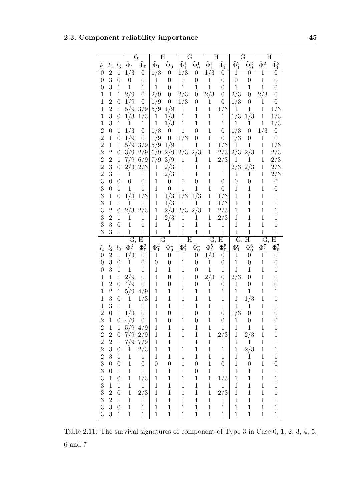#### 2.3. Component reliability importance 45

|                  |                  |                  |                    | G                  | $\overline{\mathrm{H}}$ |                    |                    | G                                |                    | Η                  |                          | G                  |                    | Η                  |
|------------------|------------------|------------------|--------------------|--------------------|-------------------------|--------------------|--------------------|----------------------------------|--------------------|--------------------|--------------------------|--------------------|--------------------|--------------------|
| $l_1$            | $l_{2}$          | $l_{3}$          | $\tilde{\Phi}_1$   | $\tilde{\Phi}_0$   | $\tilde{\Phi}_1$        | $\tilde{\Phi}_0$   | $\tilde{\Phi}_1^1$ | $\tilde{\Phi}^1_0$               | $\tilde{\Phi}_1^1$ | $\tilde{\Phi}_0^1$ | $\tilde{\Phi}_1^2$       | $\tilde{\Phi}_0^2$ | $\tilde{\Phi}_1^2$ | $\tilde{\Phi}_0^2$ |
| $\overline{0}$   | $\overline{2}$   | $\overline{1}$   | $1/\overline{3}$   | $\boldsymbol{0}$   | $1\overline{3}$         | $\overline{0}$     | 1/3                | $\boldsymbol{0}$                 | $1/\overline{3}$   | $\boldsymbol{0}$   | $\mathbf 1$              | $\boldsymbol{0}$   | $\mathbf{1}$       | 0                  |
| $\boldsymbol{0}$ | 3                | $\overline{0}$   | $\boldsymbol{0}$   | $\overline{0}$     | $\mathbf{1}$            | $\overline{0}$     | $\boldsymbol{0}$   | 0                                | $\mathbf{1}$       | 0                  | $\boldsymbol{0}$         | 0                  | $\mathbf{1}$       | 0                  |
| $\overline{0}$   | 3                | 1                | $\mathbf{1}$       | 1                  | $\mathbf 1$             | $\boldsymbol{0}$   | $\mathbf 1$        | $\mathbf{1}$                     | $\mathbf{1}$       | 0                  | $\mathbf{1}$             | $\mathbf{1}$       | $\mathbf{1}$       | $\overline{0}$     |
| 1                | $\mathbf{1}$     | 1                | 2/9                | $\overline{0}$     | 2/9                     | $\boldsymbol{0}$   | 2/3                | $\boldsymbol{0}$                 | 2/3                | $\boldsymbol{0}$   | 2/3                      | $\overline{0}$     | 2/3                | $\overline{0}$     |
| $\mathbf 1$      | $\overline{2}$   | $\overline{0}$   | 1/9                | $\boldsymbol{0}$   | 1/9                     | $\boldsymbol{0}$   | 1/3                | $\boldsymbol{0}$                 | $\mathbf{1}$       | $\theta$           | 1/3                      | $\overline{0}$     | 1                  | $\overline{0}$     |
| 1                | $\overline{2}$   | $\mathbf{1}$     | 5/9                | 3/9                | 5/9                     | 1/9                | 1                  | $\mathbf{1}$                     | $\mathbf{1}$       | 1/3                | $\mathbf 1$              | 1                  | $\mathbf{1}$       | 1/3                |
| $\mathbf 1$      | 3                | $\overline{0}$   | 1/3                | 1/3                | $\mathbf 1$             | 1/3                | $\mathbf 1$        | $\mathbf{1}$                     | $\mathbf{1}$       | 1                  | 1/3                      | 1/3                | $\mathbf{1}$       | 1/3                |
| $\mathbf 1$      | 3                | $\mathbf{1}$     | $\mathbf{1}$       | 1                  | $\mathbf 1$             | 1/3                | $\mathbf 1$        | $\mathbf 1$                      | $\mathbf{1}$       | $\mathbf 1$        | $\mathbf{1}$             | $\mathbf 1$        | $\mathbf 1$        | 1/3                |
| $\overline{2}$   | $\boldsymbol{0}$ | $\mathbf 1$      | 1/3                | $\boldsymbol{0}$   | 1/3                     | $\boldsymbol{0}$   | $\mathbf 1$        | $\boldsymbol{0}$                 | $\mathbf{1}$       | $\overline{0}$     | 1/3                      | $\overline{0}$     | 1/3                | $\boldsymbol{0}$   |
| $\overline{2}$   | $\mathbf 1$      | $\boldsymbol{0}$ | 1/9                | $\boldsymbol{0}$   | 1/9                     | $\boldsymbol{0}$   | 1/3                | $\boldsymbol{0}$                 | $\mathbf{1}$       | $\boldsymbol{0}$   | 1/3                      | $\overline{0}$     | 1                  | $\boldsymbol{0}$   |
| $\overline{2}$   | $\mathbf 1$      | $\mathbf{1}$     | 5/9                | 3/9                | 5/9                     | 1/9                | $\mathbf 1$        | $\mathbf 1$                      | $\mathbf{1}$       | 1/3                | $\mathbf{1}$             | 1                  | $\mathbf 1$        | 1/3                |
| $\overline{2}$   | $\overline{2}$   | $\overline{0}$   | 3/9                | 2/9                | 6/9                     | 2/9                | 2/3                | 2/3                              | $\mathbf{1}$       | 2/3                | 2/3                      | 2/3                | $\mathbf{1}$       | 2/3                |
| $\overline{2}$   | $\overline{2}$   | $\mathbf{1}$     | 7/9                | 6/9                | 7/9                     | 3/9                | $\mathbf 1$        | $\mathbf{1}$                     | $\mathbf{1}$       | 2/3                | $\mathbf{1}$             | $\mathbf 1$        | $\mathbf 1$        | 2/3                |
| $\overline{2}$   | 3                | $\overline{0}$   | 2/3                | 2/3                | $\mathbf 1$             | 2/3                | $\mathbf{1}$       | $\mathbf{1}$                     | $\mathbf{1}$       | $\mathbf 1$        | 2/3                      | 2/3                | 1                  | 2/3                |
| $\overline{2}$   | 3                | $\mathbf{1}$     | $\mathbf{1}$       | $\mathbf{1}$       | $\mathbf 1$             | 2/3                | $\mathbf 1$        | $\mathbf{1}$                     | $\mathbf 1$        | $\mathbf{1}$       | $\mathbf{1}$             | $\mathbf{1}$       | $\mathbf{1}$       | 2/3                |
| 3                | $\overline{0}$   | $\overline{0}$   | $\boldsymbol{0}$   | $\boldsymbol{0}$   | $\mathbf{1}$            | $\boldsymbol{0}$   | $\overline{0}$     | $\boldsymbol{0}$                 | $\mathbf 1$        | $\overline{0}$     | $\boldsymbol{0}$         | $\overline{0}$     | $\mathbf{1}$       | $\boldsymbol{0}$   |
| 3                | $\boldsymbol{0}$ | $\mathbf{1}$     | $\mathbf{1}$       | $\mathbf 1$        | $\mathbf{1}$            | $\boldsymbol{0}$   | $\mathbf 1$        | $\mathbf{1}$                     | $\mathbf 1$        | $\overline{0}$     | $\mathbf 1$              | $\mathbf{1}$       | $\mathbf{1}$       | $\boldsymbol{0}$   |
| 3                | $\mathbf{1}$     | $\overline{0}$   | 1/3                | 1/3                | $\mathbf{1}$            | 1/3                | 1/3                | 1/3                              | $\mathbf{1}$       | 1/3                | $\mathbf{1}$             | $\mathbf{1}$       | $\mathbf{1}$       | $\mathbf{1}$       |
| 3                | $\mathbf{1}$     | $\mathbf{1}$     | $\mathbf{1}$       | 1                  | 1                       | 1/3                | 1                  | 1                                | $\mathbf 1$        | 1/3                | $\mathbf{1}$             | $\mathbf{1}$       | $\mathbf 1$        | $\mathbf{1}$       |
| 3                | $\overline{2}$   | $\overline{0}$   | 2/3                | 2/3                | $\mathbf{1}$            | 2/3                | 2/3                | 2/3                              | $\mathbf{1}$       | 2/3                | $\mathbf 1$              | $\mathbf{1}$       | $\mathbf 1$        | $\mathbf 1$        |
| 3                | $\overline{2}$   | $\mathbf{1}$     | $\mathbf{1}$       | $\mathbf 1$        | 1                       | 2/3                | 1                  | 1                                | $\mathbf 1$        | 2/3                | $\mathbf{1}$             | $\mathbf 1$        | $\mathbf 1$        | $\mathbf 1$        |
| 3                | 3                | $\overline{0}$   | $\mathbf{1}$       | $\mathbf{1}$       | $\mathbf{1}$            | $\mathbf{1}$       | $\mathbf{1}$       | $\mathbf 1$                      | $\mathbf 1$        | 1                  | $\mathbf 1$              | $\mathbf{1}$       | $\mathbf{1}$       | $\mathbf 1$        |
| 3                | 3                | $\mathbf{1}$     | $\mathbf{1}$       | $\mathbf 1$        | $\mathbf 1$             | $\overline{1}$     | $\mathbf{1}$       | $\mathbf{1}$                     | $\mathbf{1}$       | $\mathbf 1$        | $\mathbf{1}$             | $\mathbf 1$        | $\mathbf{1}$       | $\mathbf{1}$       |
|                  |                  |                  | Ġ,                 | Η                  | G                       |                    |                    | Η                                | G,                 | Η                  | $\overline{\mathrm{G}},$ | Η                  | G,                 | Η                  |
| $l_1$            | $l_{2}$          | $l_3$            | $\tilde{\Phi}_1^3$ | $\tilde{\Phi}^3_0$ | $\tilde{\Phi}_1^4$      | $\tilde{\Phi}_0^4$ | $\tilde{\Phi}_1^4$ | $\tilde{\Phi}_{\underline{0}}^4$ | $\tilde{\Phi}_1^5$ | $\tilde{\Phi}_0^5$ | $\tilde{\Phi}_1^6$       | $\tilde{\Phi}_0^6$ | $\tilde{\Phi}_1^7$ | $\tilde{\Phi}_0^7$ |
| $\overline{0}$   | $\overline{2}$   | $\mathbf 1$      | 1/3                | $\boldsymbol{0}$   | 1                       | 0                  | 1                  | $\boldsymbol{0}$                 | 1/3                | $\boldsymbol{0}$   | 1                        | $\theta$           | 1                  | 0                  |
| $\overline{0}$   | 3                | $\overline{0}$   | $\mathbf{1}$       | $\overline{0}$     | $\boldsymbol{0}$        | $\boldsymbol{0}$   | $\mathbf 1$        | $\overline{0}$                   | $\mathbf{1}$       | $\overline{0}$     | $\mathbf{1}$             | 0                  | $\mathbf{1}$       | $\boldsymbol{0}$   |
| $\overline{0}$   | 3                | $\mathbf{1}$     | $\mathbf{1}$       | $\mathbf 1$        | 1                       | 1                  | 1                  | $\overline{0}$                   | $\mathbf{1}$       | $\mathbf 1$        | $\mathbf{1}$             | 1                  | $\mathbf 1$        | $\mathbf{1}$       |
| 1                | $\mathbf{1}$     | $\mathbf 1$      | 2/9                | $\boldsymbol{0}$   | 1                       | 0                  | 1                  | $\boldsymbol{0}$                 | 2/3                | 0                  | 2/3                      | $\theta$           | $\mathbf{1}$       | $\overline{0}$     |
| $\mathbf 1$      | $\overline{2}$   | $\boldsymbol{0}$ | 4/9                | 0                  | $\mathbf{1}$            | 0                  | 1                  | $\boldsymbol{0}$                 | $\mathbf 1$        | 0                  | $\mathbf{1}$             | $\boldsymbol{0}$   | $\mathbf{1}$       | $\boldsymbol{0}$   |
| $\mathbf 1$      | $\overline{2}$   | $\mathbf{1}$     | 5/9                | 4/9                | $\mathbf{1}$            | $\mathbf{1}$       | 1                  | $\mathbf{1}$                     | $\mathbf{1}$       | $\mathbf 1$        | $\mathbf 1$              | $\mathbf 1$        | $\mathbf 1$        | $\mathbf 1$        |
| $\mathbf 1$      | 3                | $\boldsymbol{0}$ | $\mathbf{1}$       | 1/3                | $\mathbf{1}$            | 1                  | 1                  | $\mathbf{1}$                     | $\mathbf{1}$       | $\mathbf 1$        | $\mathbf{1}$             | 1/3                | $\mathbf 1$        | $\mathbf 1$        |
| $\mathbf 1$      | 3                | 1                | $\mathbf{1}$       | $\mathbf{1}$       | 1                       | $\mathbf{1}$       | 1                  | $\mathbf{1}$                     | $\mathbf{1}$       | $\mathbf 1$        | $\mathbf{1}$             | $1\,$              | $\mathbf{1}$       | $\mathbf{1}$       |
| $\overline{2}$   | $\overline{0}$   | $\mathbf{1}$     | 1/3                | $\boldsymbol{0}$   | $\mathbf 1$             | $\boldsymbol{0}$   | 1                  | $\boldsymbol{0}$                 | $\mathbf{1}$       | $\boldsymbol{0}$   | 1/3                      | $\overline{0}$     | $\mathbf{1}$       | $\overline{0}$     |
| $\overline{c}$   | $\mathbf{1}$     | $\boldsymbol{0}$ | 4/9                | $\boldsymbol{0}$   | $\mathbf 1$             | $\boldsymbol{0}$   | $\mathbf{1}$       | $\boldsymbol{0}$                 | $\mathbf{1}$       | $\boldsymbol{0}$   | $\mathbf{1}$             | $\boldsymbol{0}$   | $\mathbf{1}$       | $\boldsymbol{0}$   |
| $\overline{2}$   | $\,1$            | $\mathbf{1}$     | 5/9                | 4/9                | $\,1\,$                 | $\,1$              | $\,1$              | $\mathbf{1}$                     | $\mathbf{1}$       | $\mathbf{1}$       | $\,1$                    | $\mathbf{1}$       | $\,1$              | $\mathbf 1$        |
| $\overline{2}$   | $\overline{2}$   | $\boldsymbol{0}$ | 7/9                | 2/9                | $\,1\,$                 | $\,1$              | $\,1$              | $\,1$                            | $\mathbf 1$        | $2/3\,$            | $\,1$                    | 2/3                | $\,1\,$            | $\mathbf 1$        |
| $\overline{2}$   | $\overline{2}$   | $\,1$            | 7/9                | 7/9                | $\,1\,$                 | $\,1$              | $\,1$              | $\,1$                            | $\mathbf 1$        | $\mathbf{1}$       | $\,1$                    | $\,1$              | $\,1\,$            | $\mathbf{1}$       |
| $\overline{2}$   | 3                | $\boldsymbol{0}$ | $\,1$              | $2\big/3$          | $\mathbf 1$             | $\,1$              | $\mathbf 1$        | $\mathbf{1}$                     | $\mathbf 1$        | $\,1$              | $\,1$                    | $2/3\,$            | $\,1$              | $\mathbf{1}$       |
| $\overline{2}$   | $\overline{3}$   | $\,1$            | $\,1\,$            | $\!1\!$            | $\mathbf 1$             | $\,1$              | $\,1$              | $\,1$                            | $\mathbf 1$        | $\mathbf{1}$       | $\,1$                    | $\!1\!$            | $\,1\,$            | $\mathbf 1$        |
| 3                | $\boldsymbol{0}$ | $\overline{0}$   | $\,1\,$            | $\boldsymbol{0}$   | $\boldsymbol{0}$        | $\boldsymbol{0}$   | $\,1$              | $\boldsymbol{0}$                 | $\mathbf{1}$       | $\boldsymbol{0}$   | $\,1$                    | $\boldsymbol{0}$   | $\,1\,$            | $\boldsymbol{0}$   |
| 3                | $\boldsymbol{0}$ | $\mathbf{1}$     | $\,1\,$            | $\mathbf 1$        | $\mathbf 1$             | $\,1$              | $\,1$              | $\boldsymbol{0}$                 | $\mathbf{1}$       | $\mathbf 1$        | $\mathbf{1}$             | $\,1\,$            | $\,1$              | $\,1$              |
| 3                | $\,1$            | $\boldsymbol{0}$ | $\,1$              | 1/3                | $\,1\,$                 | $\,1$              | $\mathbf{1}$       | $\mathbf 1$                      | $\mathbf{1}$       | 1/3                | $\mathbf{1}$             | $\mathbf 1$        | $\mathbf 1$        | $\mathbf{1}$       |
| 3                | $\mathbf 1$      | $\mathbf 1$      | $\,1$              | $\mathbf{1}$       | $\mathbf 1$             | $\,1$              | $\,1$              | $\mathbf{1}$                     | $\mathbf{1}$       | $\mathbf{1}$       | $\,1$                    | $\mathbf 1$        | $\mathbf 1$        | $\mathbf{1}$       |
| 3                | $\overline{2}$   | $\boldsymbol{0}$ | $\,1$              | $2/3\,$            | $\mathbf 1$             | $\,1$              | $\mathbf 1$        | $\mathbf{1}$                     | $\mathbf 1$        | 2/3                | $\,1$                    | $\mathbf 1$        | $\mathbf 1$        | $\mathbf{1}$       |
| 3                | $\overline{2}$   | $\mathbf 1$      | $\mathbf 1$        | $\mathbf{1}$       | $\mathbf 1$             | $\mathbf 1$        | $\mathbf 1$        | $\mathbf{1}$                     | $\mathbf{1}$       | $\mathbf{1}$       | $\,1$                    | $\mathbf 1$        | $\mathbf 1$        | $\mathbf{1}$       |
| 3                | 3                | $\boldsymbol{0}$ | $\,1\,$            | $\mathbf 1$        | $\mathbf 1$             | $\,1$              | $\mathbf 1$        | $\mathbf{1}$                     | $\mathbf{1}$       | $\,1$              | $\mathbf 1$              | $\,1$              | $\mathbf 1$        | $\mathbf{1}$       |
| 3                | 3                | $\mathbf{1}$     | $\,1$              | $\mathbf{1}$       | $\mathbf 1$             | $\,1$              | $\,1$              | $\,1$                            | $\,1$              | $\mathbf{1}$       | $\!1\!$                  | $\,1$              | $\!1\!$            | $\,1$              |

Table 2.11: The survival signatures of component of Type 3 in Case 0, 1, 2, 3, 4, 5,  $6$  and  $7\,$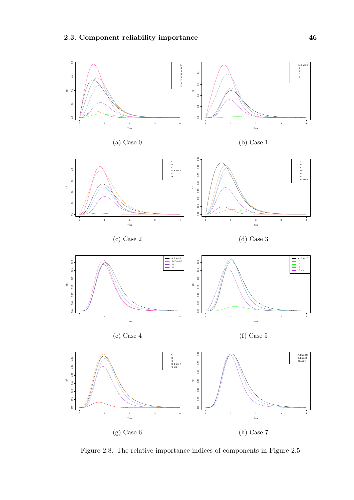

Figure 2.8: The relative importance indices of components in Figure 2.5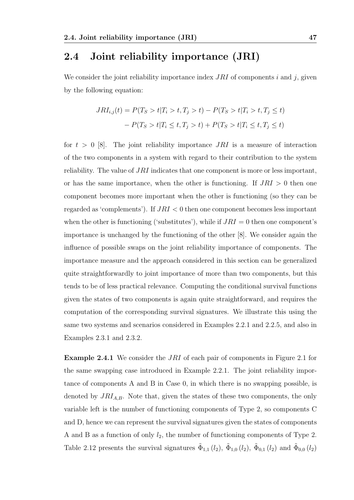## 2.4 Joint reliability importance (JRI)

We consider the joint reliability importance index  $JRI$  of components i and j, given by the following equation:

$$
JRI_{i,j}(t) = P(T_S > t | T_i > t, T_j > t) - P(T_S > t | T_i > t, T_j \le t)
$$

$$
- P(T_S > t | T_i \le t, T_j > t) + P(T_S > t | T_i \le t, T_j \le t)
$$

for  $t > 0$  [8]. The joint reliability importance  $JRI$  is a measure of interaction of the two components in a system with regard to their contribution to the system reliability. The value of JRI indicates that one component is more or less important, or has the same importance, when the other is functioning. If  $JRI > 0$  then one component becomes more important when the other is functioning (so they can be regarded as 'complements'). If  $JRI < 0$  then one component becomes less important when the other is functioning ('substitutes'), while if  $JRI = 0$  then one component's importance is unchanged by the functioning of the other [8]. We consider again the influence of possible swaps on the joint reliability importance of components. The importance measure and the approach considered in this section can be generalized quite straightforwardly to joint importance of more than two components, but this tends to be of less practical relevance. Computing the conditional survival functions given the states of two components is again quite straightforward, and requires the computation of the corresponding survival signatures. We illustrate this using the same two systems and scenarios considered in Examples 2.2.1 and 2.2.5, and also in Examples 2.3.1 and 2.3.2.

Example 2.4.1 We consider the JRI of each pair of components in Figure 2.1 for the same swapping case introduced in Example 2.2.1. The joint reliability importance of components A and B in Case 0, in which there is no swapping possible, is denoted by  $JRI_{A,B}$ . Note that, given the states of these two components, the only variable left is the number of functioning components of Type 2, so components C and D, hence we can represent the survival signatures given the states of components A and B as a function of only  $l_2$ , the number of functioning components of Type 2. Table 2.12 presents the survival signatures  $\tilde{\Phi}_{1,1}(l_2)$ ,  $\tilde{\Phi}_{1,0}(l_2)$ ,  $\tilde{\Phi}_{0,1}(l_2)$  and  $\tilde{\Phi}_{0,0}(l_2)$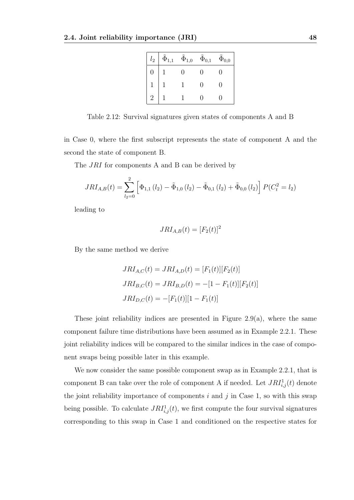| $l_2$          | $\tilde{\Phi}_{1,1}$ | $\tilde{\Phi}_{1,0}$ | $\tilde{\Phi}_{0,1}$ | $\tilde{\Phi}_{0,0}$ |
|----------------|----------------------|----------------------|----------------------|----------------------|
| 0              |                      | 0                    | 0                    | 0                    |
|                |                      |                      | 0                    | 0                    |
| $\overline{2}$ |                      |                      |                      |                      |

Table 2.12: Survival signatures given states of components A and B

in Case 0, where the first subscript represents the state of component A and the second the state of component B.

The *JRI* for components A and B can be derived by

$$
JRI_{A,B}(t) = \sum_{l_2=0}^{2} \left[ \Phi_{1,1}(l_2) - \tilde{\Phi}_{1,0}(l_2) - \tilde{\Phi}_{0,1}(l_2) + \tilde{\Phi}_{0,0}(l_2) \right] P(C_t^2 = l_2)
$$

leading to

$$
JRI_{A,B}(t) = [F_2(t)]^2
$$

By the same method we derive

$$
JRI_{A,C}(t) = JRI_{A,D}(t) = [F_1(t)][F_2(t)]
$$
  
\n
$$
JRI_{B,C}(t) = JRI_{B,D}(t) = -[1 - F_1(t)][F_2(t)]
$$
  
\n
$$
JRI_{D,C}(t) = -[F_1(t)][1 - F_1(t)]
$$

These joint reliability indices are presented in Figure 2.9(a), where the same component failure time distributions have been assumed as in Example 2.2.1. These joint reliability indices will be compared to the similar indices in the case of component swaps being possible later in this example.

We now consider the same possible component swap as in Example 2.2.1, that is component B can take over the role of component A if needed. Let  $JRI<sub>i,j</sub><sup>1</sup>(t)$  denote the joint reliability importance of components  $i$  and  $j$  in Case 1, so with this swap being possible. To calculate  $JRI^1_{i,j}(t)$ , we first compute the four survival signatures corresponding to this swap in Case 1 and conditioned on the respective states for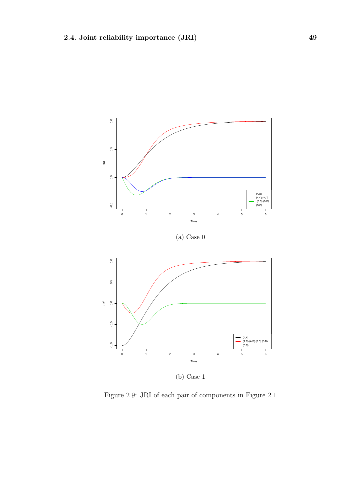

(b) Case 1

Figure 2.9: JRI of each pair of components in Figure 2.1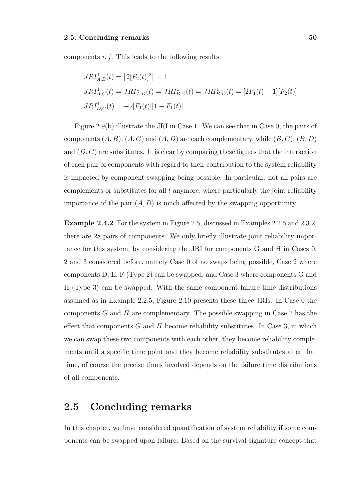components  $i, j$ . This leads to the following results

$$
JRI_{A,B}^1(t) = [2[F_2(t)]^2] - 1
$$
  
\n
$$
JRI_{A,C}^1(t) = JRI_{A,D}^1(t) = JRI_{B,C}^1(t) = JRI_{B,D}^1(t) = [2F_1(t) - 1][F_2(t)]
$$
  
\n
$$
JRI_{D,C}^1(t) = -2[F_1(t)][1 - F_1(t)]
$$

Figure 2.9(b) illustrate the JRI in Case 1. We can see that in Case 0, the pairs of components  $(A, B)$ ,  $(A, C)$  and  $(A, D)$  are each complementary, while  $(B, C)$ ,  $(B, D)$ and  $(D, C)$  are substitutes. It is clear by comparing these figures that the interaction of each pair of components with regard to their contribution to the system reliability is impacted by component swapping being possible. In particular, not all pairs are complements or substitutes for all  $t$  anymore, where particularly the joint reliability importance of the pair  $(A, B)$  is much affected by the swapping opportunity.

Example 2.4.2 For the system in Figure 2.5, discussed in Examples 2.2.5 and 2.3.2, there are 28 pairs of components. We only briefly illustrate joint reliability importance for this system, by considering the JRI for components G and H in Cases 0, 2 and 3 considered before, namely Case 0 of no swaps being possible, Case 2 where components D, E, F (Type 2) can be swapped, and Case 3 where components G and H (Type 3) can be swapped. With the same component failure time distributions assumed as in Example 2.2.5, Figure 2.10 presents these three JRIs. In Case 0 the components G and H are complementary. The possible swapping in Case 2 has the effect that components  $G$  and  $H$  become reliability substitutes. In Case 3, in which we can swap these two components with each other, they become reliability complements until a specific time point and they become reliability substitutes after that time, of course the precise times involved depends on the failure time distributions of all components.

#### 2.5 Concluding remarks

In this chapter, we have considered quantification of system reliability if some components can be swapped upon failure. Based on the survival signature concept that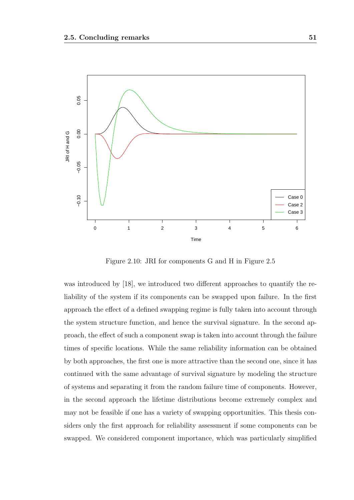

Figure 2.10: JRI for components G and H in Figure 2.5

was introduced by [18], we introduced two different approaches to quantify the reliability of the system if its components can be swapped upon failure. In the first approach the effect of a defined swapping regime is fully taken into account through the system structure function, and hence the survival signature. In the second approach, the effect of such a component swap is taken into account through the failure times of specific locations. While the same reliability information can be obtained by both approaches, the first one is more attractive than the second one, since it has continued with the same advantage of survival signature by modeling the structure of systems and separating it from the random failure time of components. However, in the second approach the lifetime distributions become extremely complex and may not be feasible if one has a variety of swapping opportunities. This thesis considers only the first approach for reliability assessment if some components can be swapped. We considered component importance, which was particularly simplified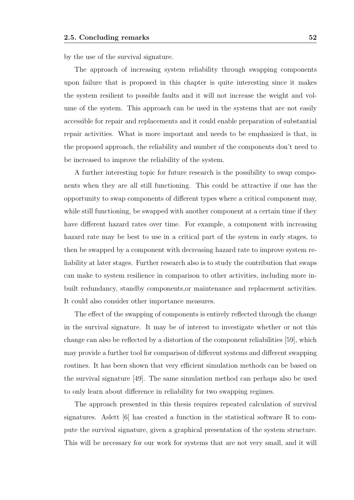by the use of the survival signature.

The approach of increasing system reliability through swapping components upon failure that is proposed in this chapter is quite interesting since it makes the system resilient to possible faults and it will not increase the weight and volume of the system. This approach can be used in the systems that are not easily accessible for repair and replacements and it could enable preparation of substantial repair activities. What is more important and needs to be emphasized is that, in the proposed approach, the reliability and number of the components don't need to be increased to improve the reliability of the system.

A further interesting topic for future research is the possibility to swap components when they are all still functioning. This could be attractive if one has the opportunity to swap components of different types where a critical component may, while still functioning, be swapped with another component at a certain time if they have different hazard rates over time. For example, a component with increasing hazard rate may be best to use in a critical part of the system in early stages, to then be swapped by a component with decreasing hazard rate to improve system reliability at later stages. Further research also is to study the contribution that swaps can make to system resilience in comparison to other activities, including more inbuilt redundancy, standby components,or maintenance and replacement activities. It could also consider other importance measures.

The effect of the swapping of components is entirely reflected through the change in the survival signature. It may be of interest to investigate whether or not this change can also be reflected by a distortion of the component reliabilities [59], which may provide a further tool for comparison of different systems and different swapping routines. It has been shown that very efficient simulation methods can be based on the survival signature [49]. The same simulation method can perhaps also be used to only learn about difference in reliability for two swapping regimes.

The approach presented in this thesis requires repeated calculation of survival signatures. As lett  $[6]$  has created a function in the statistical software R to compute the survival signature, given a graphical presentation of the system structure. This will be necessary for our work for systems that are not very small, and it will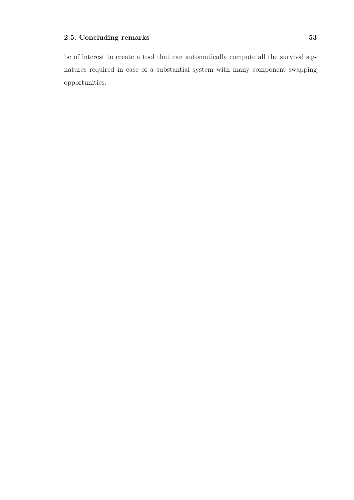be of interest to create a tool that can automatically compute all the survival signatures required in case of a substantial system with many component swapping opportunities.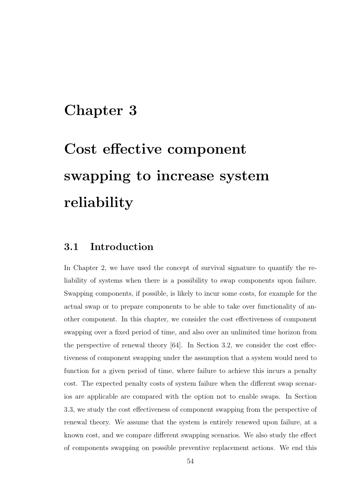# Chapter 3

# Cost effective component swapping to increase system reliability

## 3.1 Introduction

In Chapter 2, we have used the concept of survival signature to quantify the reliability of systems when there is a possibility to swap components upon failure. Swapping components, if possible, is likely to incur some costs, for example for the actual swap or to prepare components to be able to take over functionality of another component. In this chapter, we consider the cost effectiveness of component swapping over a fixed period of time, and also over an unlimited time horizon from the perspective of renewal theory  $[64]$ . In Section 3.2, we consider the cost effectiveness of component swapping under the assumption that a system would need to function for a given period of time, where failure to achieve this incurs a penalty cost. The expected penalty costs of system failure when the different swap scenarios are applicable are compared with the option not to enable swaps. In Section 3.3, we study the cost effectiveness of component swapping from the perspective of renewal theory. We assume that the system is entirely renewed upon failure, at a known cost, and we compare different swapping scenarios. We also study the effect of components swapping on possible preventive replacement actions. We end this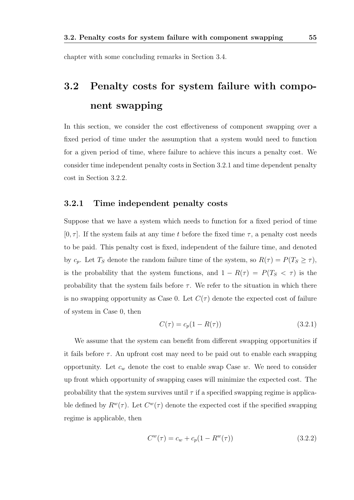chapter with some concluding remarks in Section 3.4.

# 3.2 Penalty costs for system failure with component swapping

In this section, we consider the cost effectiveness of component swapping over a fixed period of time under the assumption that a system would need to function for a given period of time, where failure to achieve this incurs a penalty cost. We consider time independent penalty costs in Section 3.2.1 and time dependent penalty cost in Section 3.2.2.

#### 3.2.1 Time independent penalty costs

Suppose that we have a system which needs to function for a fixed period of time  $[0, \tau]$ . If the system fails at any time t before the fixed time  $\tau$ , a penalty cost needs to be paid. This penalty cost is fixed, independent of the failure time, and denoted by  $c_p$ . Let  $T_S$  denote the random failure time of the system, so  $R(\tau) = P(T_S \geq \tau)$ , is the probability that the system functions, and  $1 - R(\tau) = P(T_S \lt \tau)$  is the probability that the system fails before  $\tau$ . We refer to the situation in which there is no swapping opportunity as Case 0. Let  $C(\tau)$  denote the expected cost of failure of system in Case 0, then

$$
C(\tau) = c_p(1 - R(\tau))
$$
\n(3.2.1)

We assume that the system can benefit from different swapping opportunities if it fails before  $\tau$ . An upfront cost may need to be paid out to enable each swapping opportunity. Let  $c_w$  denote the cost to enable swap Case w. We need to consider up front which opportunity of swapping cases will minimize the expected cost. The probability that the system survives until  $\tau$  if a specified swapping regime is applicable defined by  $R^w(\tau)$ . Let  $C^w(\tau)$  denote the expected cost if the specified swapping regime is applicable, then

$$
C^{w}(\tau) = c_w + c_p(1 - R^{w}(\tau))
$$
\n(3.2.2)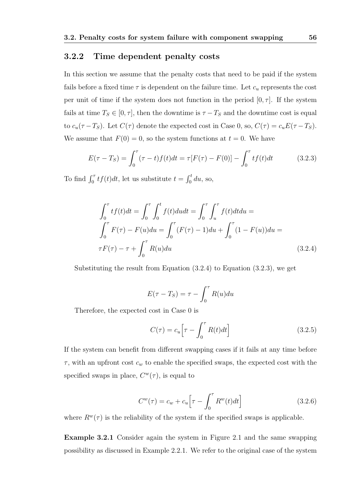#### 3.2.2 Time dependent penalty costs

In this section we assume that the penalty costs that need to be paid if the system fails before a fixed time  $\tau$  is dependent on the failure time. Let  $c_u$  represents the cost per unit of time if the system does not function in the period  $[0, \tau]$ . If the system fails at time  $T_S \in [0, \tau]$ , then the downtime is  $\tau - T_S$  and the downtime cost is equal to  $c_u(\tau - T_S)$ . Let  $C(\tau)$  denote the expected cost in Case 0, so,  $C(\tau) = c_u E(\tau - T_S)$ . We assume that  $F(0) = 0$ , so the system functions at  $t = 0$ . We have

$$
E(\tau - T_S) = \int_0^{\tau} (\tau - t) f(t) dt = \tau [F(\tau) - F(0)] - \int_0^{\tau} t f(t) dt \qquad (3.2.3)
$$

To find  $\int_0^{\tau} tf(t)dt$ , let us substitute  $t = \int_0^t du$ , so,

$$
\int_0^{\tau} t f(t) dt = \int_0^{\tau} \int_0^t f(t) du dt = \int_0^{\tau} \int_u^{\tau} f(t) dt du =
$$
\n
$$
\int_0^{\tau} F(\tau) - F(u) du = \int_0^{\tau} (F(\tau) - 1) du + \int_0^{\tau} (1 - F(u)) du =
$$
\n
$$
\tau F(\tau) - \tau + \int_0^{\tau} R(u) du
$$
\n(3.2.4)

Substituting the result from Equation  $(3.2.4)$  to Equation  $(3.2.3)$ , we get

$$
E(\tau - T_S) = \tau - \int_0^{\tau} R(u) du
$$

Therefore, the expected cost in Case 0 is

$$
C(\tau) = c_u \left[ \tau - \int_0^{\tau} R(t) dt \right]
$$
 (3.2.5)

If the system can benefit from different swapping cases if it fails at any time before  $\tau$ , with an upfront cost  $c_w$  to enable the specified swaps, the expected cost with the specified swaps in place,  $C^w(\tau)$ , is equal to

$$
C^w(\tau) = c_w + c_u \left[ \tau - \int_0^{\tau} R^w(t) dt \right]
$$
\n(3.2.6)

where  $R^w(\tau)$  is the reliability of the system if the specified swaps is applicable.

Example 3.2.1 Consider again the system in Figure 2.1 and the same swapping possibility as discussed in Example 2.2.1. We refer to the original case of the system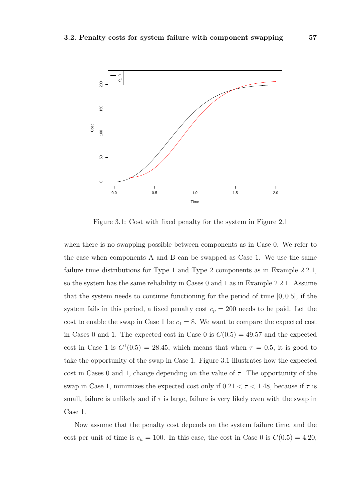

Figure 3.1: Cost with fixed penalty for the system in Figure 2.1

when there is no swapping possible between components as in Case 0. We refer to the case when components A and B can be swapped as Case 1. We use the same failure time distributions for Type 1 and Type 2 components as in Example 2.2.1, so the system has the same reliability in Cases 0 and 1 as in Example 2.2.1. Assume that the system needs to continue functioning for the period of time [0, 0.5], if the system fails in this period, a fixed penalty cost  $c_p = 200$  needs to be paid. Let the cost to enable the swap in Case 1 be  $c_1 = 8$ . We want to compare the expected cost in Cases 0 and 1. The expected cost in Case 0 is  $C(0.5) = 49.57$  and the expected cost in Case 1 is  $C^1(0.5) = 28.45$ , which means that when  $\tau = 0.5$ , it is good to take the opportunity of the swap in Case 1. Figure 3.1 illustrates how the expected cost in Cases 0 and 1, change depending on the value of  $\tau$ . The opportunity of the swap in Case 1, minimizes the expected cost only if  $0.21 < \tau < 1.48$ , because if  $\tau$  is small, failure is unlikely and if  $\tau$  is large, failure is very likely even with the swap in Case 1.

Now assume that the penalty cost depends on the system failure time, and the cost per unit of time is  $c_u = 100$ . In this case, the cost in Case 0 is  $C(0.5) = 4.20$ ,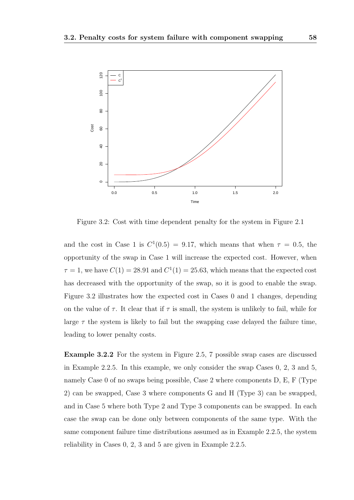

Figure 3.2: Cost with time dependent penalty for the system in Figure 2.1

and the cost in Case 1 is  $C^1(0.5) = 9.17$ , which means that when  $\tau = 0.5$ , the opportunity of the swap in Case 1 will increase the expected cost. However, when  $\tau = 1$ , we have  $C(1) = 28.91$  and  $C^{1}(1) = 25.63$ , which means that the expected cost has decreased with the opportunity of the swap, so it is good to enable the swap. Figure 3.2 illustrates how the expected cost in Cases 0 and 1 changes, depending on the value of  $\tau$ . It clear that if  $\tau$  is small, the system is unlikely to fail, while for large  $\tau$  the system is likely to fail but the swapping case delayed the failure time, leading to lower penalty costs.

Example 3.2.2 For the system in Figure 2.5, 7 possible swap cases are discussed in Example 2.2.5. In this example, we only consider the swap Cases 0, 2, 3 and 5, namely Case 0 of no swaps being possible, Case 2 where components D, E, F (Type 2) can be swapped, Case 3 where components G and H (Type 3) can be swapped, and in Case 5 where both Type 2 and Type 3 components can be swapped. In each case the swap can be done only between components of the same type. With the same component failure time distributions assumed as in Example 2.2.5, the system reliability in Cases 0, 2, 3 and 5 are given in Example 2.2.5.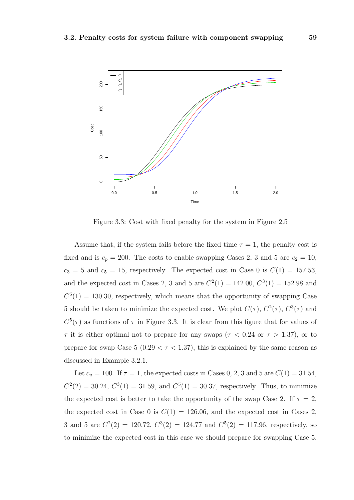

Figure 3.3: Cost with fixed penalty for the system in Figure 2.5

Assume that, if the system fails before the fixed time  $\tau = 1$ , the penalty cost is fixed and is  $c_p = 200$ . The costs to enable swapping Cases 2, 3 and 5 are  $c_2 = 10$ ,  $c_3 = 5$  and  $c_5 = 15$ , respectively. The expected cost in Case 0 is  $C(1) = 157.53$ , and the expected cost in Cases 2, 3 and 5 are  $C^2(1) = 142.00, C^3(1) = 152.98$  and  $C<sup>5</sup>(1) = 130.30$ , respectively, which means that the opportunity of swapping Case 5 should be taken to minimize the expected cost. We plot  $C(\tau)$ ,  $C^2(\tau)$ ,  $C^3(\tau)$  and  $C^5(\tau)$  as functions of  $\tau$  in Figure 3.3. It is clear from this figure that for values of  $\tau$  it is either optimal not to prepare for any swaps ( $\tau$  < 0.24 or  $\tau$  > 1.37), or to prepare for swap Case 5 (0.29  $\lt \tau \lt 1.37$ ), this is explained by the same reason as discussed in Example 3.2.1.

Let  $c_u = 100$ . If  $\tau = 1$ , the expected costs in Cases 0, 2, 3 and 5 are  $C(1) = 31.54$ ,  $C^2(2) = 30.24, C^3(1) = 31.59,$  and  $C^5(1) = 30.37$ , respectively. Thus, to minimize the expected cost is better to take the opportunity of the swap Case 2. If  $\tau = 2$ , the expected cost in Case 0 is  $C(1) = 126.06$ , and the expected cost in Cases 2. 3 and 5 are  $C^2(2) = 120.72$ ,  $C^3(2) = 124.77$  and  $C^5(2) = 117.96$ , respectively, so to minimize the expected cost in this case we should prepare for swapping Case 5.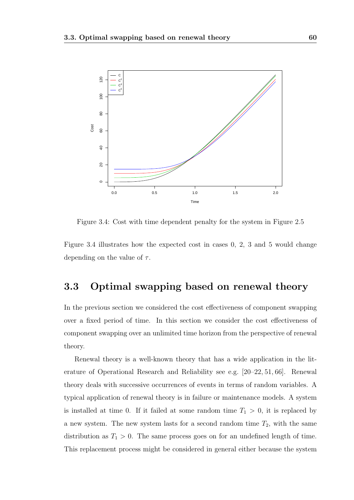

Figure 3.4: Cost with time dependent penalty for the system in Figure 2.5

Figure 3.4 illustrates how the expected cost in cases 0, 2, 3 and 5 would change depending on the value of  $\tau$ .

## 3.3 Optimal swapping based on renewal theory

In the previous section we considered the cost effectiveness of component swapping over a fixed period of time. In this section we consider the cost effectiveness of component swapping over an unlimited time horizon from the perspective of renewal theory.

Renewal theory is a well-known theory that has a wide application in the literature of Operational Research and Reliability see e.g. [20–22, 51, 66]. Renewal theory deals with successive occurrences of events in terms of random variables. A typical application of renewal theory is in failure or maintenance models. A system is installed at time 0. If it failed at some random time  $T_1 > 0$ , it is replaced by a new system. The new system lasts for a second random time  $T_2$ , with the same distribution as  $T_1 > 0$ . The same process goes on for an undefined length of time. This replacement process might be considered in general either because the system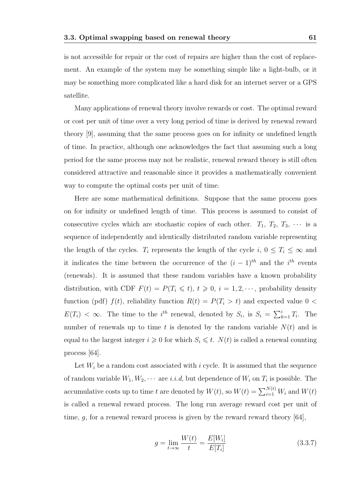is not accessible for repair or the cost of repairs are higher than the cost of replacement. An example of the system may be something simple like a light-bulb, or it may be something more complicated like a hard disk for an internet server or a GPS satellite.

Many applications of renewal theory involve rewards or cost. The optimal reward or cost per unit of time over a very long period of time is derived by renewal reward theory [9], assuming that the same process goes on for infinity or undefined length of time. In practice, although one acknowledges the fact that assuming such a long period for the same process may not be realistic, renewal reward theory is still often considered attractive and reasonable since it provides a mathematically convenient way to compute the optimal costs per unit of time.

Here are some mathematical definitions. Suppose that the same process goes on for infinity or undefined length of time. This process is assumed to consist of consecutive cycles which are stochastic copies of each other.  $T_1, T_2, T_3, \cdots$  is a sequence of independently and identically distributed random variable representing the length of the cycles.  $T_i$  represents the length of the cycle  $i, 0 \leq T_i \leq \infty$  and it indicates the time between the occurrence of the  $(i-1)^{th}$  and the  $i^{th}$  events (renewals). It is assumed that these random variables have a known probability distribution, with CDF  $F(t) = P(T_i \leq t), t \geq 0, i = 1, 2, \dots$ , probability density function (pdf)  $f(t)$ , reliability function  $R(t) = P(T<sub>i</sub> > t)$  and expected value 0 <  $E(T_i) < \infty$ . The time to the *i*<sup>th</sup> renewal, denoted by  $S_i$ , is  $S_i = \sum_{k=1}^i T_i$ . The number of renewals up to time t is denoted by the random variable  $N(t)$  and is equal to the largest integer  $i \geqslant 0$  for which  $S_i \leqslant t$ .  $N(t)$  is called a renewal counting process [64].

Let  $W_i$  be a random cost associated with i cycle. It is assumed that the sequence of random variable  $W_1, W_2, \cdots$  are *i.i.d*, but dependence of  $W_i$  on  $T_i$  is possible. The accumulative costs up to time t are denoted by  $W(t)$ , so  $W(t) = \sum_{i=1}^{N(t)} W_i$  and  $W(t)$ is called a renewal reward process. The long run average reward cost per unit of time, g, for a renewal reward process is given by the reward reward theory [64],

$$
g = \lim_{t \to \infty} \frac{W(t)}{t} = \frac{E[W_i]}{E[T_i]}
$$
\n(3.3.7)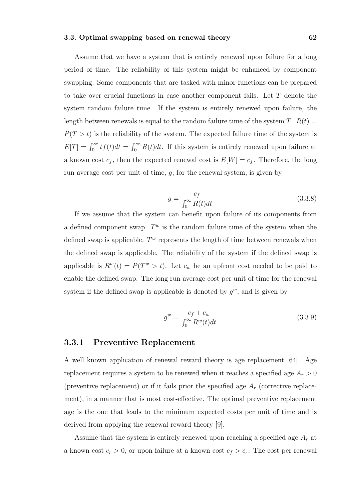Assume that we have a system that is entirely renewed upon failure for a long period of time. The reliability of this system might be enhanced by component swapping. Some components that are tasked with minor functions can be prepared to take over crucial functions in case another component fails. Let T denote the system random failure time. If the system is entirely renewed upon failure, the length between renewals is equal to the random failure time of the system T.  $R(t)$  =  $P(T > t)$  is the reliability of the system. The expected failure time of the system is  $E[T] = \int_0^\infty t f(t) dt = \int_0^\infty R(t) dt$ . If this system is entirely renewed upon failure at a known cost  $c_f$ , then the expected renewal cost is  $E[W] = c_f$ . Therefore, the long run average cost per unit of time,  $g$ , for the renewal system, is given by

$$
g = \frac{c_f}{\int_0^\infty R(t)dt} \tag{3.3.8}
$$

If we assume that the system can benefit upon failure of its components from a defined component swap.  $T^w$  is the random failure time of the system when the defined swap is applicable.  $T^w$  represents the length of time between renewals when the defined swap is applicable. The reliability of the system if the defined swap is applicable is  $R^w(t) = P(T^w > t)$ . Let  $c_w$  be an upfront cost needed to be paid to enable the defined swap. The long run average cost per unit of time for the renewal system if the defined swap is applicable is denoted by  $g^w$ , and is given by

$$
g^w = \frac{c_f + c_w}{\int_0^\infty R^w(t)dt}
$$
\n(3.3.9)

#### 3.3.1 Preventive Replacement

A well known application of renewal reward theory is age replacement [64]. Age replacement requires a system to be renewed when it reaches a specified age  $A_r > 0$ (preventive replacement) or if it fails prior the specified age  $A_r$  (corrective replacement), in a manner that is most cost-effective. The optimal preventive replacement age is the one that leads to the minimum expected costs per unit of time and is derived from applying the renewal reward theory [9].

Assume that the system is entirely renewed upon reaching a specified age  $A_r$  at a known cost  $c_r > 0$ , or upon failure at a known cost  $c_f > c_r$ . The cost per renewal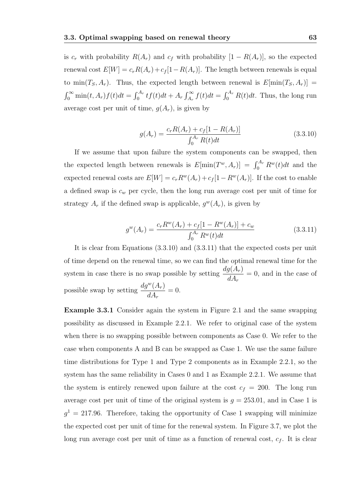is  $c_r$  with probability  $R(A_r)$  and  $c_f$  with probability  $[1 - R(A_r)]$ , so the expected renewal cost  $E[W] = c_r R(A_r) + c_f [1 - R(A_r)]$ . The length between renewals is equal to  $\min(T_S, A_r)$ . Thus, the expected length between renewal is  $E[\min(T_S, A_r)]$  =  $\int_0^\infty \min(t, A_r) f(t) dt = \int_0^{A_r} t f(t) dt + A_r \int_{A_r}^\infty f(t) dt = \int_0^{A_r} R(t) dt$ . Thus, the long run average cost per unit of time,  $g(A_r)$ , is given by

$$
g(A_r) = \frac{c_r R(A_r) + c_f [1 - R(A_r)]}{\int_0^{A_r} R(t) dt}
$$
(3.3.10)

If we assume that upon failure the system components can be swapped, then the expected length between renewals is  $E[\min(T^w, A_r)] = \int_0^{A_r} R^w(t) dt$  and the expected renewal costs are  $E[W] = c_r R^w(A_r) + c_f [1 - R^w(A_r)]$ . If the cost to enable a defined swap is  $c_w$  per cycle, then the long run average cost per unit of time for strategy  $A_r$  if the defined swap is applicable,  $g^w(A_r)$ , is given by

$$
g^{w}(A_r) = \frac{c_r R^w(A_r) + c_f [1 - R^w(A_r)] + c_w}{\int_0^{A_r} R^w(t) dt}
$$
(3.3.11)

It is clear from Equations (3.3.10) and (3.3.11) that the expected costs per unit of time depend on the renewal time, so we can find the optimal renewal time for the system in case there is no swap possible by setting  $\frac{dg(A_r)}{dt}$  $dA_r$  $= 0$ , and in the case of possible swap by setting  $\frac{dg^w(A_r)}{dt}$  $dA_r$  $= 0.$ 

Example 3.3.1 Consider again the system in Figure 2.1 and the same swapping possibility as discussed in Example 2.2.1. We refer to original case of the system when there is no swapping possible between components as Case 0. We refer to the case when components A and B can be swapped as Case 1. We use the same failure time distributions for Type 1 and Type 2 components as in Example 2.2.1, so the system has the same reliability in Cases 0 and 1 as Example 2.2.1. We assume that the system is entirely renewed upon failure at the cost  $c_f = 200$ . The long run average cost per unit of time of the original system is  $g = 253.01$ , and in Case 1 is  $g<sup>1</sup> = 217.96$ . Therefore, taking the opportunity of Case 1 swapping will minimize the expected cost per unit of time for the renewal system. In Figure 3.7, we plot the long run average cost per unit of time as a function of renewal cost,  $c_f$ . It is clear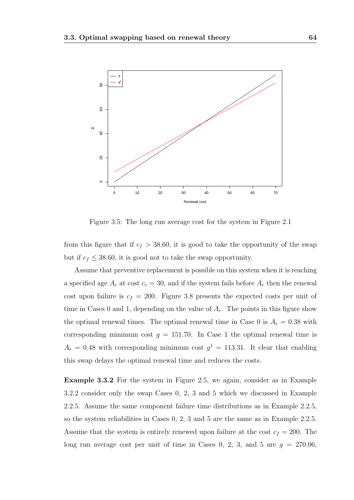

Figure 3.5: The long run average cost for the system in Figure 2.1

from this figure that if  $c_f > 38.60$ , it is good to take the opportunity of the swap but if  $c_f \leq 38.60$ , it is good not to take the swap opportunity.

Assume that preventive replacement is possible on this system when it is reaching a specified age  $A_r$  at cost  $c_r = 30$ , and if the system fails before  $A_r$  then the renewal cost upon failure is  $c_f = 200$ . Figure 3.8 presents the expected costs per unit of time in Cases 0 and 1, depending on the value of  $A_r$ . The points in this figure show the optimal renewal times. The optimal renewal time in Case 0 is  $A_r = 0.38$  with corresponding minimum cost  $g = 151.70$ . In Case 1 the optimal renewal time is  $A_r = 0.48$  with corresponding minimum cost  $g^1 = 113.31$ . It clear that enabling this swap delays the optimal renewal time and reduces the costs.

Example 3.3.2 For the system in Figure 2.5, we again, consider as in Example 3.2.2 consider only the swap Cases 0, 2, 3 and 5 which we discussed in Example 2.2.5. Assume the same component failure time distributions as in Example 2.2.5, so the system reliabilities in Cases 0, 2, 3 and 5 are the same as in Example 2.2.5. Assume that the system is entirely renewed upon failure at the cost  $c_f = 200$ . The long run average cost per unit of time in Cases 0, 2, 3, and 5 are  $g = 270.06$ ,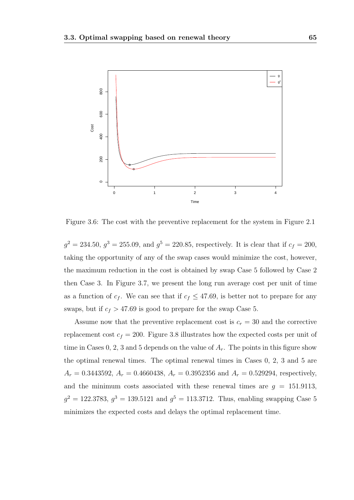

Figure 3.6: The cost with the preventive replacement for the system in Figure 2.1

 $g^2 = 234.50, g^3 = 255.09, \text{ and } g^5 = 220.85, \text{ respectively. It is clear that if } c_f = 200,$ taking the opportunity of any of the swap cases would minimize the cost, however, the maximum reduction in the cost is obtained by swap Case 5 followed by Case 2 then Case 3. In Figure 3.7, we present the long run average cost per unit of time as a function of  $c_f$ . We can see that if  $c_f \leq 47.69$ , is better not to prepare for any swaps, but if  $c_f > 47.69$  is good to prepare for the swap Case 5.

Assume now that the preventive replacement cost is  $c_r = 30$  and the corrective replacement cost  $c_f = 200$ . Figure 3.8 illustrates how the expected costs per unit of time in Cases 0, 2, 3 and 5 depends on the value of  $A<sub>r</sub>$ . The points in this figure show the optimal renewal times. The optimal renewal times in Cases 0, 2, 3 and 5 are  $A_r = 0.3443592$ ,  $A_r = 0.4660438$ ,  $A_r = 0.3952356$  and  $A_r = 0.529294$ , respectively, and the minimum costs associated with these renewal times are  $g = 151.9113$ ,  $g^2 = 122.3783, g^3 = 139.5121$  and  $g^5 = 113.3712$ . Thus, enabling swapping Case 5 minimizes the expected costs and delays the optimal replacement time.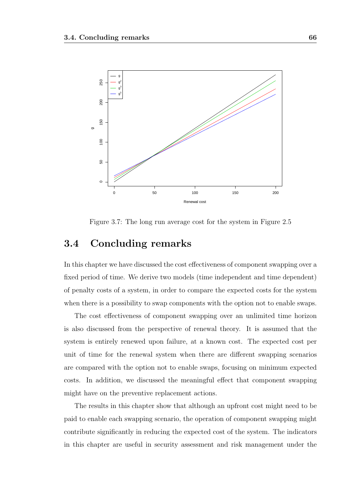

Figure 3.7: The long run average cost for the system in Figure 2.5

### 3.4 Concluding remarks

In this chapter we have discussed the cost effectiveness of component swapping over a fixed period of time. We derive two models (time independent and time dependent) of penalty costs of a system, in order to compare the expected costs for the system when there is a possibility to swap components with the option not to enable swaps.

The cost effectiveness of component swapping over an unlimited time horizon is also discussed from the perspective of renewal theory. It is assumed that the system is entirely renewed upon failure, at a known cost. The expected cost per unit of time for the renewal system when there are different swapping scenarios are compared with the option not to enable swaps, focusing on minimum expected costs. In addition, we discussed the meaningful effect that component swapping might have on the preventive replacement actions.

The results in this chapter show that although an upfront cost might need to be paid to enable each swapping scenario, the operation of component swapping might contribute significantly in reducing the expected cost of the system. The indicators in this chapter are useful in security assessment and risk management under the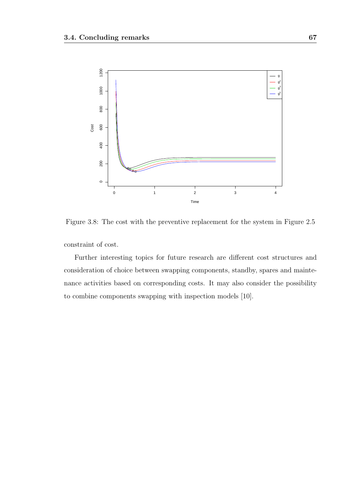

Figure 3.8: The cost with the preventive replacement for the system in Figure 2.5

constraint of cost.

Further interesting topics for future research are different cost structures and consideration of choice between swapping components, standby, spares and maintenance activities based on corresponding costs. It may also consider the possibility to combine components swapping with inspection models [10].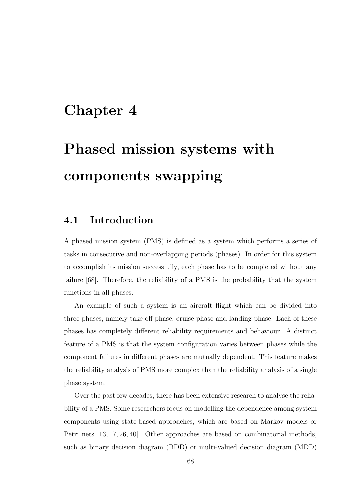# Chapter 4

# Phased mission systems with components swapping

# 4.1 Introduction

A phased mission system (PMS) is defined as a system which performs a series of tasks in consecutive and non-overlapping periods (phases). In order for this system to accomplish its mission successfully, each phase has to be completed without any failure [68]. Therefore, the reliability of a PMS is the probability that the system functions in all phases.

An example of such a system is an aircraft flight which can be divided into three phases, namely take-off phase, cruise phase and landing phase. Each of these phases has completely different reliability requirements and behaviour. A distinct feature of a PMS is that the system configuration varies between phases while the component failures in different phases are mutually dependent. This feature makes the reliability analysis of PMS more complex than the reliability analysis of a single phase system.

Over the past few decades, there has been extensive research to analyse the reliability of a PMS. Some researchers focus on modelling the dependence among system components using state-based approaches, which are based on Markov models or Petri nets [13, 17, 26, 40]. Other approaches are based on combinatorial methods, such as binary decision diagram (BDD) or multi-valued decision diagram (MDD)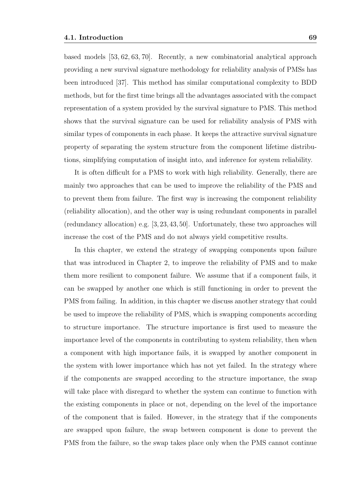based models [53, 62, 63, 70]. Recently, a new combinatorial analytical approach providing a new survival signature methodology for reliability analysis of PMSs has been introduced [37]. This method has similar computational complexity to BDD methods, but for the first time brings all the advantages associated with the compact representation of a system provided by the survival signature to PMS. This method shows that the survival signature can be used for reliability analysis of PMS with similar types of components in each phase. It keeps the attractive survival signature property of separating the system structure from the component lifetime distributions, simplifying computation of insight into, and inference for system reliability.

It is often difficult for a PMS to work with high reliability. Generally, there are mainly two approaches that can be used to improve the reliability of the PMS and to prevent them from failure. The first way is increasing the component reliability (reliability allocation), and the other way is using redundant components in parallel (redundancy allocation) e.g. [3,23,43,50]. Unfortunately, these two approaches will increase the cost of the PMS and do not always yield competitive results.

In this chapter, we extend the strategy of swapping components upon failure that was introduced in Chapter 2, to improve the reliability of PMS and to make them more resilient to component failure. We assume that if a component fails, it can be swapped by another one which is still functioning in order to prevent the PMS from failing. In addition, in this chapter we discuss another strategy that could be used to improve the reliability of PMS, which is swapping components according to structure importance. The structure importance is first used to measure the importance level of the components in contributing to system reliability, then when a component with high importance fails, it is swapped by another component in the system with lower importance which has not yet failed. In the strategy where if the components are swapped according to the structure importance, the swap will take place with disregard to whether the system can continue to function with the existing components in place or not, depending on the level of the importance of the component that is failed. However, in the strategy that if the components are swapped upon failure, the swap between component is done to prevent the PMS from the failure, so the swap takes place only when the PMS cannot continue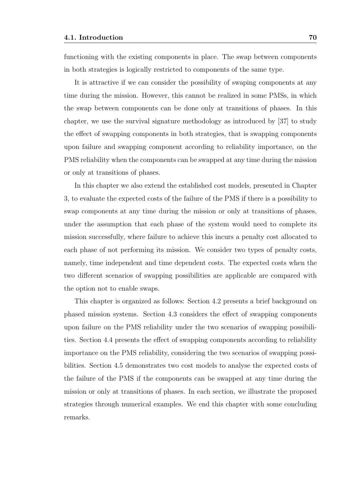functioning with the existing components in place. The swap between components in both strategies is logically restricted to components of the same type.

It is attractive if we can consider the possibility of swaping components at any time during the mission. However, this cannot be realized in some PMSs, in which the swap between components can be done only at transitions of phases. In this chapter, we use the survival signature methodology as introduced by [37] to study the effect of swapping components in both strategies, that is swapping components upon failure and swapping component according to reliability importance, on the PMS reliability when the components can be swapped at any time during the mission or only at transitions of phases.

In this chapter we also extend the established cost models, presented in Chapter 3, to evaluate the expected costs of the failure of the PMS if there is a possibility to swap components at any time during the mission or only at transitions of phases, under the assumption that each phase of the system would need to complete its mission successfully, where failure to achieve this incurs a penalty cost allocated to each phase of not performing its mission. We consider two types of penalty costs, namely, time independent and time dependent costs. The expected costs when the two different scenarios of swapping possibilities are applicable are compared with the option not to enable swaps.

This chapter is organized as follows: Section 4.2 presents a brief background on phased mission systems. Section 4.3 considers the effect of swapping components upon failure on the PMS reliability under the two scenarios of swapping possibilities. Section 4.4 presents the effect of swapping components according to reliability importance on the PMS reliability, considering the two scenarios of swapping possibilities. Section 4.5 demonstrates two cost models to analyse the expected costs of the failure of the PMS if the components can be swapped at any time during the mission or only at transitions of phases. In each section, we illustrate the proposed strategies through numerical examples. We end this chapter with some concluding remarks.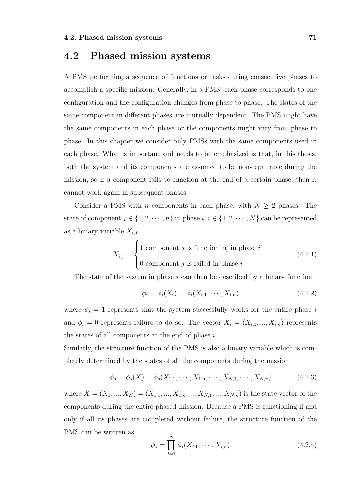## 4.2 Phased mission systems

A PMS performing a sequence of functions or tasks during consecutive phases to accomplish a specific mission. Generally, in a PMS, each phase corresponds to one configuration and the configuration changes from phase to phase. The states of the same component in different phases are mutually dependent. The PMS might have the same components in each phase or the components might vary from phase to phase. In this chapter we consider only PMSs with the same components used in each phase. What is important and needs to be emphasized is that, in this thesis, both the system and its components are assumed to be non-repairable during the mission, so if a component fails to function at the end of a certain phase, then it cannot work again in subsequent phases.

Consider a PMS with *n* components in each phase, with  $N \geq 2$  phases. The state of component  $j \in \{1, 2, \dots, n\}$  in phase  $i, i \in \{1, 2, \dots, N\}$  can be represented as a binary variable  $X_{i,j}$ 

$$
X_{i,j} = \begin{cases} 1 \text{ component } j \text{ is functioning in phase } i \\ 0 \text{ component } j \text{ is failed in phase } i \end{cases}
$$
 (4.2.1)

The state of the system in phase  $i$  can then be described by a binary function

$$
\phi_i = \phi_i(X_i) = \phi_i(X_{i,1}, \cdots, X_{i,n})
$$
\n(4.2.2)

where  $\phi_i = 1$  represents that the system successfully works for the entire phase i and  $\phi_i = 0$  represents failure to do so. The vector  $X_i = (X_{i,1},...,X_{i,n})$  represents the states of all components at the end of phase i.

Similarly, the structure function of the PMS is also a binary variable which is completely determined by the states of all the components during the mission

$$
\phi_s = \phi_s(X) = \phi_s(X_{1,1}, \cdots, X_{1,n}, \cdots, X_{N,1}, \cdots, X_{N,n})
$$
\n(4.2.3)

where  $X = (X_1, ..., X_N) = (X_{1,1}, ..., X_{1,n}, ..., X_{N,1}, ..., X_{N,n})$  is the state vector of the components during the entire phased mission. Because a PMS is functioning if and only if all its phases are completed without failure, the structure function of the PMS can be written as

$$
\phi_s = \prod_{i=1}^N \phi_i(X_{i,1}, \cdots, X_{i,n})
$$
\n(4.2.4)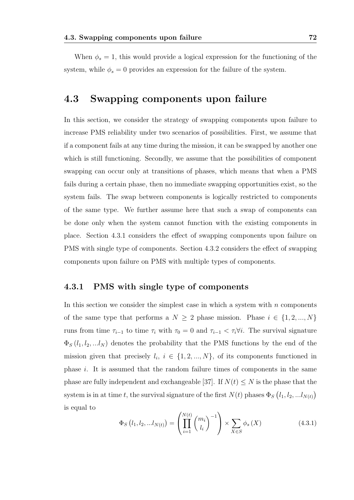When  $\phi_s = 1$ , this would provide a logical expression for the functioning of the system, while  $\phi_s = 0$  provides an expression for the failure of the system.

### 4.3 Swapping components upon failure

In this section, we consider the strategy of swapping components upon failure to increase PMS reliability under two scenarios of possibilities. First, we assume that if a component fails at any time during the mission, it can be swapped by another one which is still functioning. Secondly, we assume that the possibilities of component swapping can occur only at transitions of phases, which means that when a PMS fails during a certain phase, then no immediate swapping opportunities exist, so the system fails. The swap between components is logically restricted to components of the same type. We further assume here that such a swap of components can be done only when the system cannot function with the existing components in place. Section 4.3.1 considers the effect of swapping components upon failure on PMS with single type of components. Section 4.3.2 considers the effect of swapping components upon failure on PMS with multiple types of components.

#### 4.3.1 PMS with single type of components

In this section we consider the simplest case in which a system with  $n$  components of the same type that performs a  $N \geq 2$  phase mission. Phase  $i \in \{1, 2, ..., N\}$ runs from time  $\tau_{i-1}$  to time  $\tau_i$  with  $\tau_0 = 0$  and  $\tau_{i-1} < \tau_i \forall i$ . The survival signature  $\Phi_S(l_1, l_2, ... l_N)$  denotes the probability that the PMS functions by the end of the mission given that precisely  $l_i, i \in \{1, 2, ..., N\}$ , of its components functioned in phase  $i$ . It is assumed that the random failure times of components in the same phase are fully independent and exchangeable [37]. If  $N(t) \leq N$  is the phase that the system is in at time t, the survival signature of the first  $N(t)$  phases  $\Phi_S(l_1, l_2, ... l_{N(t)})$ is equal to

$$
\Phi_{S}\left(l_{1}, l_{2}, ... l_{N(t)}\right) = \left(\prod_{i=1}^{N(t)} {m_{i} \choose l_{i}}^{-1}\right) \times \sum_{X \in S} \phi_{s}\left(X\right)
$$
\n(4.3.1)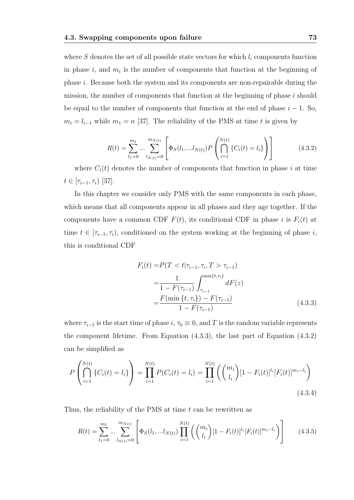where  $S$  denotes the set of all possible state vectors for which  $l_i$  components function in phase  $i$ , and  $m_i$  is the number of components that function at the beginning of phase i. Because both the system and its components are non-repairable during the mission, the number of components that function at the beginning of phase  $i$  should be equal to the number of components that function at the end of phase  $i - 1$ . So,  $m_i = l_{i-1}$  while  $m_1 = n$  [37]. The reliability of the PMS at time t is given by

$$
R(t) = \sum_{l_1=0}^{m_1} \dots \sum_{l_{N(t)}=0}^{m_{N(t)}} \left[ \Phi_S(l_1, \dots l_{N(t)}) P\left(\bigcap_{i=1}^{N(t)} \{C_i(t) = l_i\} \right) \right]
$$
(4.3.2)

where  $C_i(t)$  denotes the number of components that function in phase i at time  $t \in [\tau_{i-1}, \tau_i)$  [37].

In this chapter we consider only PMS with the same components in each phase, which means that all components appear in all phases and they age together. If the components have a common CDF  $F(t)$ , its conditional CDF in phase i is  $F_i(t)$  at time  $t \in [\tau_{i-1}, \tau_i]$ , conditioned on the system working at the beginning of phase i, this is conditional CDF

$$
F_i(t) = P(T < t | \tau_{i-1}, \tau_i, T > \tau_{i-1})
$$
  
= 
$$
\frac{1}{1 - F(\tau_{i-1})} \int_{\tau_{i-1}}^{\min\{t, \tau_i\}} dF(z)
$$
  
= 
$$
\frac{F(\min\{t, \tau_i\}) - F(\tau_{i-1})}{1 - F(\tau_{i-1})}
$$
(4.3.3)

where  $\tau_{i-1}$  is the start time of phase  $i, \tau_0 \equiv 0$ , and T is the random variable represents the component lifetime. From Equation (4.3.3), the last part of Equation (4.3.2) can be simplified as

$$
P\left(\bigcap_{i=1}^{N(t)}\{C_i(t) = l_i\}\right) = \prod_{i=1}^{N(t)}P(C_i(t) = l_i) = \prod_{i=1}^{N(t)}\left(\binom{m_i}{l_i}[1 - F_i(t)]^{l_i}[F_i(t)]^{m_i - l_i}\right)
$$
\n(4.3.4)

Thus, the reliability of the PMS at time  $t$  can be rewritten as

$$
R(t) = \sum_{l_1=0}^{m_1} \dots \sum_{l_{N(t)}=0}^{m_{N(t)}} \left[ \Phi_S(l_1, \dots, l_{N(t)}) \prod_{i=1}^{N(t)} \left( {m_i \choose l_i} [1 - F_i(t)]^{l_i} [F_i(t)]^{m_i - l_i} \right) \right]
$$
(4.3.5)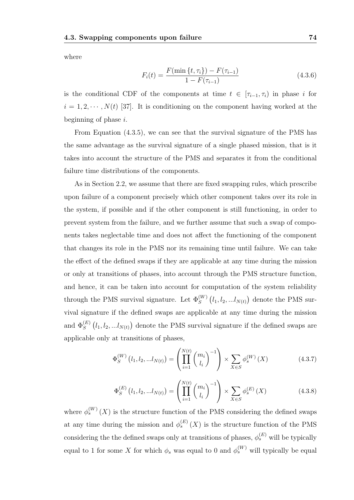where

$$
F_i(t) = \frac{F(\min\{t, \tau_i\}) - F(\tau_{i-1})}{1 - F(\tau_{i-1})}
$$
\n(4.3.6)

is the conditional CDF of the components at time  $t \in [\tau_{i-1}, \tau_i)$  in phase i for  $i = 1, 2, \dots, N(t)$  [37]. It is conditioning on the component having worked at the beginning of phase  $i$ .

From Equation (4.3.5), we can see that the survival signature of the PMS has the same advantage as the survival signature of a single phased mission, that is it takes into account the structure of the PMS and separates it from the conditional failure time distributions of the components.

As in Section 2.2, we assume that there are fixed swapping rules, which prescribe upon failure of a component precisely which other component takes over its role in the system, if possible and if the other component is still functioning, in order to prevent system from the failure, and we further assume that such a swap of components takes neglectable time and does not affect the functioning of the component that changes its role in the PMS nor its remaining time until failure. We can take the effect of the defined swaps if they are applicable at any time during the mission or only at transitions of phases, into account through the PMS structure function, and hence, it can be taken into account for computation of the system reliability through the PMS survival signature. Let  $\Phi_S^{(W)}(l_1, l_2, ... l_{N(t)})$  denote the PMS survival signature if the defined swaps are applicable at any time during the mission and  $\Phi_S^{(E)}(l_1, l_2, ... l_{N(t)})$  denote the PMS survival signature if the defined swaps are applicable only at transitions of phases,

$$
\Phi_S^{(W)}\left(l_1, l_2, \ldots l_{N(t)}\right) = \left(\prod_{i=1}^{N(t)} \binom{m_i}{l_i}^{-1}\right) \times \sum_{X \in S} \phi_s^{(W)}\left(X\right) \tag{4.3.7}
$$

$$
\Phi_S^{(E)}\left(l_1, l_2, \ldots l_{N(t)}\right) = \left(\prod_{i=1}^{N(t)} \binom{m_i}{l_i}^{-1}\right) \times \sum_{X \in S} \phi_s^{(E)}\left(X\right) \tag{4.3.8}
$$

where  $\phi_s^{(W)}(X)$  is the structure function of the PMS considering the defined swaps at any time during the mission and  $\phi_s^{(E)}(X)$  is the structure function of the PMS considering the the defined swaps only at transitions of phases,  $\phi_s^{(E)}$  will be typically equal to 1 for some X for which  $\phi_s$  was equal to 0 and  $\phi_s^{(W)}$  will typically be equal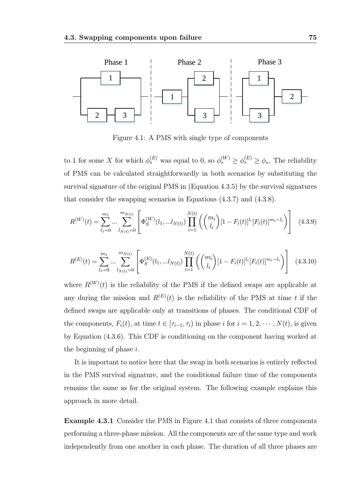

Figure 4.1: A PMS with single type of components

to 1 for some X for which  $\phi_s^{(E)}$  was equal to 0, so  $\phi_s^{(W)} \ge \phi_s^{(E)} \ge \phi_s$ . The reliability of PMS can be calculated straightforwardly in both scenarios by substituting the survival signature of the original PMS in (Equation 4.3.5) by the survival signatures that consider the swapping scenarios in Equations (4.3.7) and (4.3.8).

$$
R^{(W)}(t) = \sum_{l_1=0}^{m_1} \dots \sum_{l_{N(t)}=0}^{m_{N(t)}} \left[ \Phi_S^{(W)}(l_1, \dots, l_{N(t)}) \prod_{i=1}^{N(t)} \left( \binom{m_i}{l_i} [1 - F_i(t)]^{l_i} [F_i(t)]^{m_i - l_i} \right) \right] \tag{4.3.9}
$$

$$
R^{(E)}(t) = \sum_{l_1=0}^{m_1} \dots \sum_{l_{N(t)}=0}^{m_{N(t)}} \left[ \Phi_S^{(E)}(l_1, \dots, l_{N(t)}) \prod_{i=1}^{N(t)} \left( \binom{m_i}{l_i} [1 - F_i(t)]^{l_i} [F_i(t)]^{m_i - l_i} \right) \right]
$$
(4.3.10)

where  $R^{(W)}(t)$  is the reliability of the PMS if the defined swaps are applicable at any during the mission and  $R^{(E)}(t)$  is the reliability of the PMS at time t if the defined swaps are applicable only at transitions of phases. The conditional CDF of the components,  $F_i(t)$ , at time  $t \in [\tau_{i-1}, \tau_i)$  in phase i for  $i = 1, 2, \dots, N(t)$ , is given by Equation (4.3.6). This CDF is conditioning on the component having worked at the beginning of phase  $i$ .

It is important to notice here that the swap in both scenarios is entirely reflected in the PMS survival signature, and the conditional failure time of the components remains the same as for the original system. The following example explains this approach in more detail.

Example 4.3.1 Consider the PMS in Figure 4.1 that consists of three components performing a three-phase mission. All the components are of the same type and work independently from one another in each phase. The duration of all three phases are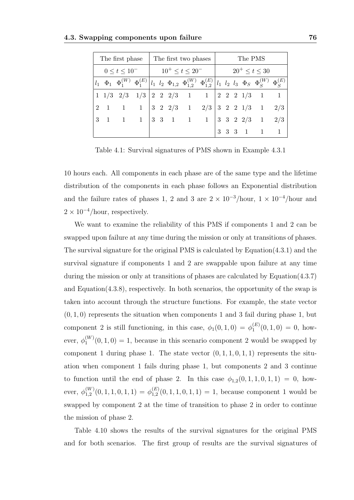|                | The first phase | The first two phases                               |  |  |                                                                     |  |  | The PMS               |  |  |                                                                                                                                                                       |     |  |
|----------------|-----------------|----------------------------------------------------|--|--|---------------------------------------------------------------------|--|--|-----------------------|--|--|-----------------------------------------------------------------------------------------------------------------------------------------------------------------------|-----|--|
|                |                 | $0 \leq t \leq 10^{-}$ $10^{+} \leq t \leq 20^{-}$ |  |  |                                                                     |  |  | $20^{+} \le t \le 30$ |  |  |                                                                                                                                                                       |     |  |
|                |                 |                                                    |  |  |                                                                     |  |  |                       |  |  | $l_1~~\Phi_1~~\Phi_1^{(W)}~~\Phi_1^{(E)}\left ~l_1~~l_2~~\Phi_{1,2}~~\Phi_{1,2}^{(W)}~~\Phi_{1,2}^{(E)}~\right \\l_1~~l_2~~l_3~~\Phi_S~~\Phi_S^{(W)}~~\Phi_S^{(E)}~~$ |     |  |
|                |                 |                                                    |  |  |                                                                     |  |  |                       |  |  | $1 \t1/3 \t2/3 \t1/3 \t2 \t2 \t2/3 \t1 \t1 \t2 \t2 \t1/3 \t1 \t1$                                                                                                     |     |  |
| $\overline{2}$ |                 |                                                    |  |  | $1 \quad 1 \quad 1 \mid 3 \quad 2 \quad 2/3 \quad 1 \quad 2/3$      |  |  |                       |  |  | $ 3 \t2 \t2 \t1/3 \t1$                                                                                                                                                | 2/3 |  |
|                |                 |                                                    |  |  | $3 \quad 1 \quad 1 \quad 1 \quad 3 \quad 3 \quad 1 \quad 1 \quad 1$ |  |  |                       |  |  | $ 3 \t3 \t2 \t2/3 \t1$                                                                                                                                                | 2/3 |  |
|                |                 |                                                    |  |  |                                                                     |  |  |                       |  |  | $3 \t3 \t3 \t1 \t1 \t1$                                                                                                                                               |     |  |

Table 4.1: Survival signatures of PMS shown in Example 4.3.1

10 hours each. All components in each phase are of the same type and the lifetime distribution of the components in each phase follows an Exponential distribution and the failure rates of phases 1, 2 and 3 are  $2 \times 10^{-3}$ /hour,  $1 \times 10^{-4}$ /hour and  $2 \times 10^{-4}$ /hour, respectively.

We want to examine the reliability of this PMS if components 1 and 2 can be swapped upon failure at any time during the mission or only at transitions of phases. The survival signature for the original PMS is calculated by Equation(4.3.1) and the survival signature if components 1 and 2 are swappable upon failure at any time during the mission or only at transitions of phases are calculated by Equation(4.3.7) and Equation(4.3.8), respectively. In both scenarios, the opportunity of the swap is taken into account through the structure functions. For example, the state vector  $(0, 1, 0)$  represents the situation when components 1 and 3 fail during phase 1, but component 2 is still functioning, in this case,  $\phi_1(0,1,0) = \phi_1^{(E)}$  $j_1^{(E)}(0,1,0) = 0$ , however,  $\phi_1^{(W)}$  $1^{(W)}(0,1,0) = 1$ , because in this scenario component 2 would be swapped by component 1 during phase 1. The state vector  $(0, 1, 1, 0, 1, 1)$  represents the situation when component 1 fails during phase 1, but components 2 and 3 continue to function until the end of phase 2. In this case  $\phi_{1,2}(0,1,1,0,1,1) = 0$ , however,  $\phi_{1,2}^{(W)}$  $_{1,2}^{(W)}(0,1,1,0,1,1)\,=\,\phi_{1,2}^{(E)}$  $\binom{L}{1,2}(0,1,1,0,1,1) = 1$ , because component 1 would be swapped by component 2 at the time of transition to phase 2 in order to continue the mission of phase 2.

Table 4.10 shows the results of the survival signatures for the original PMS and for both scenarios. The first group of results are the survival signatures of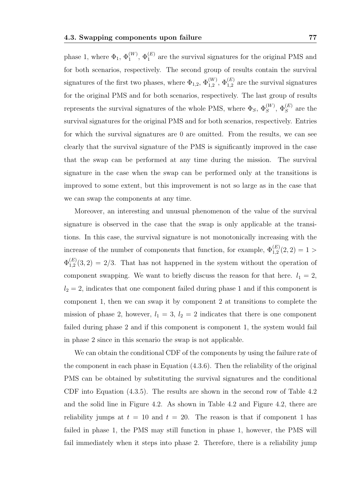phase 1, where  $\Phi_1$ ,  $\Phi_1^{(W)}$ ,  $\Phi_1^{(E)}$  are the survival signatures for the original PMS and for both scenarios, respectively. The second group of results contain the survival signatures of the first two phases, where  $\Phi_{1,2}$ ,  $\Phi_{1,2}^{(W)}$ ,  $\Phi_{1,2}^{(E)}$  are the survival signatures for the original PMS and for both scenarios, respectively. The last group of results represents the survival signatures of the whole PMS, where  $\Phi_S$ ,  $\Phi_S^{(W)}$ ,  $\Phi_S^{(E)}$  are the survival signatures for the original PMS and for both scenarios, respectively. Entries for which the survival signatures are 0 are omitted. From the results, we can see clearly that the survival signature of the PMS is significantly improved in the case that the swap can be performed at any time during the mission. The survival signature in the case when the swap can be performed only at the transitions is improved to some extent, but this improvement is not so large as in the case that we can swap the components at any time.

Moreover, an interesting and unusual phenomenon of the value of the survival signature is observed in the case that the swap is only applicable at the transitions. In this case, the survival signature is not monotonically increasing with the increase of the number of components that function, for example,  $\Phi_{1,2}^{(E)}(2,2) = 1 >$  $\Phi_{1,2}^{(E)}$  $1,2 \choose 1,2$  (3, 2) = 2/3. That has not happened in the system without the operation of component swapping. We want to briefly discuss the reason for that here.  $l_1 = 2$ ,  $l_2 = 2$ , indicates that one component failed during phase 1 and if this component is component 1, then we can swap it by component 2 at transitions to complete the mission of phase 2, however,  $l_1 = 3$ ,  $l_2 = 2$  indicates that there is one component failed during phase 2 and if this component is component 1, the system would fail in phase 2 since in this scenario the swap is not applicable.

We can obtain the conditional CDF of the components by using the failure rate of the component in each phase in Equation (4.3.6). Then the reliability of the original PMS can be obtained by substituting the survival signatures and the conditional CDF into Equation (4.3.5). The results are shown in the second row of Table 4.2 and the solid line in Figure 4.2. As shown in Table 4.2 and Figure 4.2, there are reliability jumps at  $t = 10$  and  $t = 20$ . The reason is that if component 1 has failed in phase 1, the PMS may still function in phase 1, however, the PMS will fail immediately when it steps into phase 2. Therefore, there is a reliability jump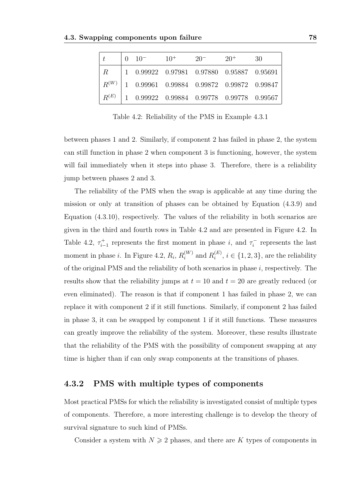|         |  | $0 \t 10^ 10^+$ $20^ 20^+$                            | 30 |
|---------|--|-------------------------------------------------------|----|
| $R_{-}$ |  |                                                       |    |
|         |  | $R^{(W)}$   1 0.99961 0.99884 0.99872 0.99872 0.99847 |    |
|         |  | $R^{(E)}$   1 0.99922 0.99884 0.99778 0.99778 0.99567 |    |

Table 4.2: Reliability of the PMS in Example 4.3.1

between phases 1 and 2. Similarly, if component 2 has failed in phase 2, the system can still function in phase 2 when component 3 is functioning, however, the system will fail immediately when it steps into phase 3. Therefore, there is a reliability jump between phases 2 and 3.

The reliability of the PMS when the swap is applicable at any time during the mission or only at transition of phases can be obtained by Equation (4.3.9) and Equation (4.3.10), respectively. The values of the reliability in both scenarios are given in the third and fourth rows in Table 4.2 and are presented in Figure 4.2. In Table 4.2,  $\tau_{i-1}^+$  represents the first moment in phase i, and  $\tau_i^ \overline{i}$  represents the last moment in phase *i*. In Figure 4.2,  $R_i$ ,  $R_i^{(W)}$  $i_i^{(W)}$  and  $R_i^{(E)}$  $i_i^{(E)}, i \in \{1, 2, 3\},\$ are the reliability of the original PMS and the reliability of both scenarios in phase  $i$ , respectively. The results show that the reliability jumps at  $t = 10$  and  $t = 20$  are greatly reduced (or even eliminated). The reason is that if component 1 has failed in phase 2, we can replace it with component 2 if it still functions. Similarly, if component 2 has failed in phase 3, it can be swapped by component 1 if it still functions. These measures can greatly improve the reliability of the system. Moreover, these results illustrate that the reliability of the PMS with the possibility of component swapping at any time is higher than if can only swap components at the transitions of phases.

### 4.3.2 PMS with multiple types of components

Most practical PMSs for which the reliability is investigated consist of multiple types of components. Therefore, a more interesting challenge is to develop the theory of survival signature to such kind of PMSs.

Consider a system with  $N \geq 2$  phases, and there are K types of components in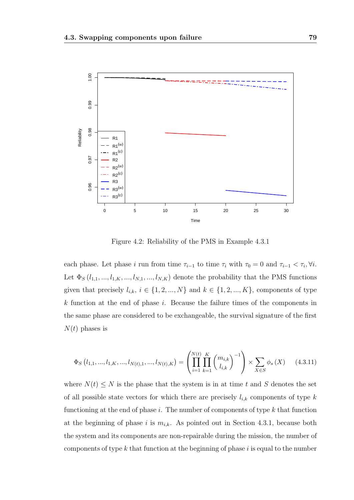

Figure 4.2: Reliability of the PMS in Example 4.3.1

each phase. Let phase i run from time  $\tau_{i-1}$  to time  $\tau_i$  with  $\tau_0 = 0$  and  $\tau_{i-1} < \tau_i, \forall i$ . Let  $\Phi_S$   $(l_{1,1},...,l_{1,K},...,l_{N,1},...,l_{N,K})$  denote the probability that the PMS functions given that precisely  $l_{i,k}$ ,  $i \in \{1, 2, ..., N\}$  and  $k \in \{1, 2, ..., K\}$ , components of type  $k$  function at the end of phase  $i$ . Because the failure times of the components in the same phase are considered to be exchangeable, the survival signature of the first  $N(t)$  phases is

$$
\Phi_{S}\left(l_{1,1},\ldots,l_{1,K},\ldots,l_{N(t),1},\ldots,l_{N(t),K}\right) = \left(\prod_{i=1}^{N(t)}\prod_{k=1}^{K} \binom{m_{i,k}}{l_{i,k}}^{-1}\right) \times \sum_{X \in S} \phi_{s}\left(X\right) \tag{4.3.11}
$$

where  $N(t) \leq N$  is the phase that the system is in at time t and S denotes the set of all possible state vectors for which there are precisely  $l_{i,k}$  components of type k functioning at the end of phase  $i$ . The number of components of type  $k$  that function at the beginning of phase i is  $m_{i,k}$ . As pointed out in Section 4.3.1, because both the system and its components are non-repairable during the mission, the number of components of type  $k$  that function at the beginning of phase  $i$  is equal to the number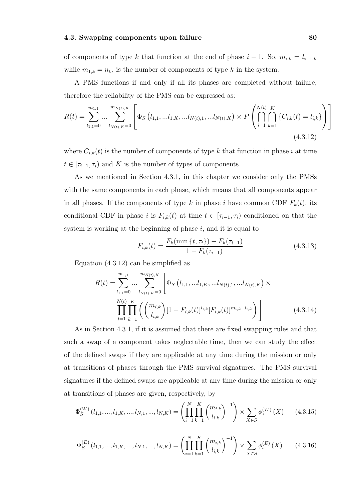of components of type k that function at the end of phase  $i - 1$ . So,  $m_{i,k} = l_{i-1,k}$ while  $m_{1,k} = n_k$ , is the number of components of type k in the system.

A PMS functions if and only if all its phases are completed without failure, therefore the reliability of the PMS can be expressed as:

$$
R(t) = \sum_{l_{1,1}=0}^{m_{1,1}} \dots \sum_{l_{N(t),K}=0}^{m_{N(t),K}} \left[ \Phi_S \left( l_{1,1}, \dots l_{1,K}, \dots l_{N(t),1}, \dots l_{N(t),K} \right) \times P \left( \bigcap_{i=1}^{N(t)} \bigcap_{k=1}^{K} \{ C_{i,k}(t) = l_{i,k} \} \right) \right]
$$
(4.3.12)

where  $C_{i,k}(t)$  is the number of components of type k that function in phase i at time  $t \in [\tau_{i-1}, \tau_i]$  and K is the number of types of components.

As we mentioned in Section 4.3.1, in this chapter we consider only the PMSs with the same components in each phase, which means that all components appear in all phases. If the components of type k in phase i have common CDF  $F_k(t)$ , its conditional CDF in phase i is  $F_{i,k}(t)$  at time  $t \in [\tau_{i-1}, \tau_i)$  conditioned on that the system is working at the beginning of phase  $i$ , and it is equal to

$$
F_{i,k}(t) = \frac{F_k(\min\{t,\tau_i\}) - F_k(\tau_{i-1})}{1 - F_k(\tau_{i-1})}
$$
(4.3.13)

Equation (4.3.12) can be simplified as

$$
R(t) = \sum_{l_{1,1}=0}^{m_{1,1}} \dots \sum_{l_{N(t),K}=0}^{m_{N(t),K}} \left[ \Phi_S \left( l_{1,1}, \dots l_{1,K}, \dots l_{N(t),1}, \dots l_{N(t),K} \right) \times \prod_{i=1}^{N(t)} \prod_{k=1}^{K} \left( \binom{m_{i,k}}{l_{i,k}} [1 - F_{i,k}(t)]^{l_{i,k}} [F_{i,k}(t)]^{m_{i,k} - l_{i,k}} \right) \right]
$$
(4.3.14)

As in Section 4.3.1, if it is assumed that there are fixed swapping rules and that such a swap of a component takes neglectable time, then we can study the effect of the defined swaps if they are applicable at any time during the mission or only at transitions of phases through the PMS survival signatures. The PMS survival signatures if the defined swaps are applicable at any time during the mission or only at transitions of phases are given, respectively, by

$$
\Phi_S^{(W)}(l_{1,1},...,l_{1,K},...,l_{N,1},...,l_{N,K}) = \left(\prod_{i=1}^N \prod_{k=1}^K \binom{m_{i,k}}{l_{i,k}}^{-1}\right) \times \sum_{X \in S} \phi_s^{(W)}(X) \tag{4.3.15}
$$

$$
\Phi_S^{(E)}(l_{1,1},...,l_{1,K},...,l_{N,1},...,l_{N,K}) = \left(\prod_{i=1}^N \prod_{k=1}^K \binom{m_{i,k}}{l_{i,k}}^{-1}\right) \times \sum_{X \in S} \phi_s^{(E)}(X) \tag{4.3.16}
$$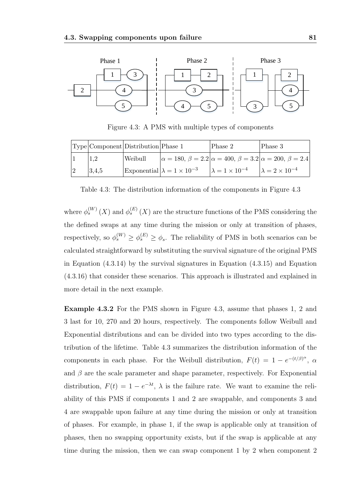

Figure 4.3: A PMS with multiple types of components

|       | Type Component Distribution Phase 1 |                                          | Phase 2                                                                             | Phase 3 |
|-------|-------------------------------------|------------------------------------------|-------------------------------------------------------------------------------------|---------|
|       | Weibull                             |                                          | $ \alpha = 180, \beta = 2.2  \alpha = 400, \beta = 3.2  \alpha = 200, \beta = 2.4 $ |         |
| 3,4,5 |                                     | Exponential $\lambda = 1 \times 10^{-3}$ | $\lambda = 1 \times 10^{-4}$ $\lambda = 2 \times 10^{-4}$                           |         |

Table 4.3: The distribution information of the components in Figure 4.3

where  $\phi_s^{(W)}(X)$  and  $\phi_s^{(E)}(X)$  are the structure functions of the PMS considering the the defined swaps at any time during the mission or only at transition of phases, respectively, so  $\phi_s^{(W)} \ge \phi_s^{(E)} \ge \phi_s$ . The reliability of PMS in both scenarios can be calculated straightforward by substituting the survival signature of the original PMS in Equation (4.3.14) by the survival signatures in Equation (4.3.15) and Equation (4.3.16) that consider these scenarios. This approach is illustrated and explained in more detail in the next example.

Example 4.3.2 For the PMS shown in Figure 4.3, assume that phases 1, 2 and 3 last for 10, 270 and 20 hours, respectively. The components follow Weibull and Exponential distributions and can be divided into two types according to the distribution of the lifetime. Table 4.3 summarizes the distribution information of the components in each phase. For the Weibull distribution,  $F(t) = 1 - e^{-(t/\beta)^{\alpha}}$ ,  $\alpha$ and  $\beta$  are the scale parameter and shape parameter, respectively. For Exponential distribution,  $F(t) = 1 - e^{-\lambda t}$ ,  $\lambda$  is the failure rate. We want to examine the reliability of this PMS if components 1 and 2 are swappable, and components 3 and 4 are swappable upon failure at any time during the mission or only at transition of phases. For example, in phase 1, if the swap is applicable only at transition of phases, then no swapping opportunity exists, but if the swap is applicable at any time during the mission, then we can swap component 1 by 2 when component 2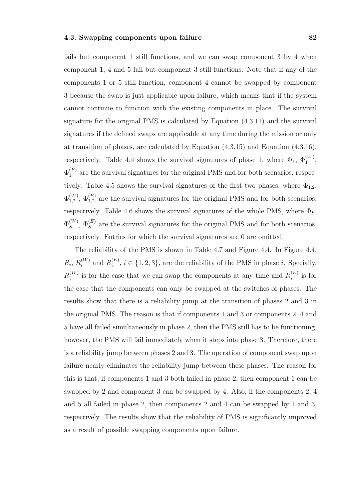fails but component 1 still functions, and we can swap component 3 by 4 when component 1, 4 and 5 fail but component 3 still functions. Note that if any of the components 1 or 5 still function, component 4 cannot be swapped by component 3 because the swap is just applicable upon failure, which means that if the system cannot continue to function with the existing components in place. The survival signature for the original PMS is calculated by Equation (4.3.11) and the survival signatures if the defined swaps are applicable at any time during the mission or only at transition of phases, are calculated by Equation (4.3.15) and Equation (4.3.16), respectively. Table 4.4 shows the survival signatures of phase 1, where  $\Phi_1$ ,  $\Phi_1^{(W)}$ ,  $\Phi_1^{(E)}$  $1<sup>(E)</sup>$  are the survival signatures for the original PMS and for both scenarios, respectively. Table 4.5 shows the survival signatures of the first two phases, where  $\Phi_{1,2}$ ,  $\Phi_{1.2}^{(W)}$  $1,2 \choose 1,2$ ,  $\Phi_{1,2}^{(E)}$  are the survival signatures for the original PMS and for both scenarios, respectively. Table 4.6 shows the survival signatures of the whole PMS, where  $\Phi_S$ ,  $\Phi_S^{(W)}$  $S_S^{(W)}$ ,  $\Phi_S^{(E)}$  are the survival signatures for the original PMS and for both scenarios, respectively. Entries for which the survival signatures are 0 are omitted.

The reliability of the PMS is shown in Table 4.7 and Figure 4.4. In Figure 4.4,  $R_i, R_i^{(W)}$  $i^{(W)}$  and  $R_i^{(E)}$  $i_i^{(E)}$ ,  $i \in \{1, 2, 3\}$ , are the reliability of the PMS in phase i. Specially,  $R_i^{(W)}$  $i_i^{(W)}$  is for the case that we can swap the components at any time and  $R_i^{(E)}$  $i^{(E)}$  is for the case that the components can only be swapped at the switches of phases. The results show that there is a reliability jump at the transition of phases 2 and 3 in the original PMS. The reason is that if components 1 and 3 or components 2, 4 and 5 have all failed simultaneously in phase 2, then the PMS still has to be functioning, however, the PMS will fail immediately when it steps into phase 3. Therefore, there is a reliability jump between phases 2 and 3. The operation of component swap upon failure nearly eliminates the reliability jump between these phases. The reason for this is that, if components 1 and 3 both failed in phase 2, then component 1 can be swapped by 2 and component 3 can be swapped by 4. Also, if the components 2, 4 and 5 all failed in phase 2, then components 2 and 4 can be swapped by 1 and 3, respectively. The results show that the reliability of PMS is significantly improved as a result of possible swapping components upon failure.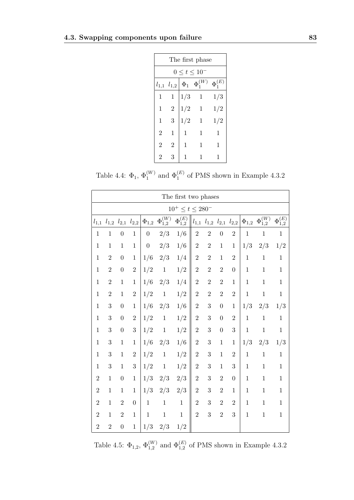| The first phase                                                     |                |     |                |     |  |  |  |  |  |  |  |  |  |
|---------------------------------------------------------------------|----------------|-----|----------------|-----|--|--|--|--|--|--|--|--|--|
| $0 \le t \le 10^{-5}$                                               |                |     |                |     |  |  |  |  |  |  |  |  |  |
| $\Phi_1^{(W)}$<br>$\Phi_1^{(E)}$<br>$\Phi_1$<br>$l_{1,1}$ $l_{1,2}$ |                |     |                |     |  |  |  |  |  |  |  |  |  |
| 1                                                                   | $\mathbf{1}$   | 1/3 | $\mathbf{1}$   | 1/3 |  |  |  |  |  |  |  |  |  |
| 1                                                                   | $\overline{2}$ | 1/2 | $\overline{1}$ | 1/2 |  |  |  |  |  |  |  |  |  |
| 1                                                                   | 3              | 1/2 | 1              | 1/2 |  |  |  |  |  |  |  |  |  |
| $\overline{2}$                                                      | 1              | 1   | 1              | 1   |  |  |  |  |  |  |  |  |  |
| $\overline{2}$                                                      | 2              | 1   | 1              | 1   |  |  |  |  |  |  |  |  |  |
| 2                                                                   | 3              | 1   | L              | 1   |  |  |  |  |  |  |  |  |  |

Table 4.4:  $\Phi_1$ ,  $\Phi_1^{(W)}$  and  $\Phi_1^{(E)}$  of PMS shown in Example 4.3.2

|                | The first two phases   |                  |                     |                  |                    |                    |                |                                         |                  |                  |              |                               |                               |  |
|----------------|------------------------|------------------|---------------------|------------------|--------------------|--------------------|----------------|-----------------------------------------|------------------|------------------|--------------|-------------------------------|-------------------------------|--|
|                | $10^+ \le t \le 280^-$ |                  |                     |                  |                    |                    |                |                                         |                  |                  |              |                               |                               |  |
|                | $l_{1,1}$ $l_{1,2}$    |                  | $l_{2,1}$ $l_{2,2}$ | $\Phi_{1,2}$     | $\Phi_{1,2}^{(W)}$ | $\Phi_{1,2}^{(E)}$ |                | $l_{1,1}$ $l_{1,2}$ $l_{2,1}$ $l_{2,2}$ |                  |                  | $\Phi_{1,2}$ | $\overline{\Phi_{1,2}^{(W)}}$ | $\overline{\Phi_{1,2}^{(E)}}$ |  |
| $\mathbf{1}$   | $\mathbf{1}$           | $\boldsymbol{0}$ | $\mathbf{1}$        | $\boldsymbol{0}$ | 2/3                | 1/6                | $\overline{2}$ | $\overline{2}$                          | $\overline{0}$   | $\overline{2}$   | $\mathbf{1}$ | $\mathbf{1}$                  | $\mathbf{1}$                  |  |
| $\mathbf{1}$   | $\mathbf{1}$           | $\,1$            | $\mathbf{1}$        | $\overline{0}$   | 2/3                | 1/6                | $\sqrt{2}$     | $\overline{2}$                          | $\mathbf{1}$     | $\mathbf{1}$     | 1/3          | 2/3                           | 1/2                           |  |
| $\mathbf{1}$   | $\overline{2}$         | $\boldsymbol{0}$ | $\mathbf{1}$        | 1/6              | 2/3                | 1/4                | $\sqrt{2}$     | $\sqrt{2}$                              | $\mathbf{1}$     | $\overline{2}$   | $\,1$        | $\,1$                         | $\mathbf{1}$                  |  |
| $\mathbf{1}$   | $\overline{2}$         | $\boldsymbol{0}$ | $\boldsymbol{2}$    | 1/2              | $\mathbf 1$        | 1/2                | $\sqrt{2}$     | $\sqrt{2}$                              | $\overline{2}$   | $\boldsymbol{0}$ | $\,1\,$      | $\,1$                         | $\,1$                         |  |
| $\mathbf{1}$   | $\sqrt{2}$             | $\,1$            | $\mathbf{1}$        | 1/6              | 2/3                | 1/4                | $\sqrt{2}$     | $\overline{2}$                          | $\sqrt{2}$       | $\mathbf 1$      | $\mathbf{1}$ | $\mathbf{1}$                  | $1\,$                         |  |
| $\mathbf{1}$   | $\overline{2}$         | $\mathbf{1}$     | $\sqrt{2}$          | 1/2              | $\,1$              | 1/2                | $\sqrt{2}$     | $\sqrt{2}$                              | $\overline{2}$   | $\overline{2}$   | $\mathbf{1}$ | $\,1$                         | $1\,$                         |  |
| $\mathbf{1}$   | $\boldsymbol{3}$       | $\boldsymbol{0}$ | $\,1$               | 1/6              | 2/3                | 1/6                | $\overline{2}$ | $\boldsymbol{3}$                        | $\overline{0}$   | $\,1$            | 1/3          | 2/3                           | 1/3                           |  |
| $\mathbf{1}$   | 3                      | $\boldsymbol{0}$ | $\overline{2}$      | 1/2              | $\,1$              | 1/2                | $\sqrt{2}$     | 3                                       | $\boldsymbol{0}$ | $\overline{2}$   | $\,1\,$      | $\,1$                         | $\,1$                         |  |
| $\mathbf{1}$   | 3                      | $\boldsymbol{0}$ | 3                   | 1/2              | $\mathbf 1$        | 1/2                | $\sqrt{2}$     | 3                                       | $\overline{0}$   | 3                | $\mathbf 1$  | $\mathbf 1$                   | $\,1$                         |  |
| $\mathbf{1}$   | 3                      | $\mathbf{1}$     | $\mathbf{1}$        | 1/6              | 2/3                | 1/6                | $\sqrt{2}$     | 3                                       | $\mathbf 1$      | $1\,$            | 1/3          | 2/3                           | 1/3                           |  |
| $\mathbf{1}$   | 3                      | $\mathbf{1}$     | $\overline{2}$      | 1/2              | $\mathbf 1$        | 1/2                | $\sqrt{2}$     | 3                                       | $\mathbf{1}$     | $\overline{2}$   | $\mathbf{1}$ | $\mathbf{1}$                  | $\mathbf{1}$                  |  |
| $\mathbf{1}$   | $\boldsymbol{3}$       | $\,1$            | 3                   | 1/2              | $\,1$              | 1/2                | $\sqrt{2}$     | 3                                       | $\mathbf{1}$     | 3                | $\mathbf{1}$ | $\mathbf{1}$                  | $\mathbf{1}$                  |  |
| $\overline{2}$ | $\mathbf{1}$           | $\boldsymbol{0}$ | $\,1$               | 1/3              | 2/3                | 2/3                | $\overline{2}$ | 3                                       | $\overline{2}$   | $\boldsymbol{0}$ | $\mathbf{1}$ | $\,1$                         | $\mathbf{1}$                  |  |
| $\overline{2}$ | $\,1$                  | $\mathbf{1}$     | $\mathbf{1}$        | 1/3              | 2/3                | 2/3                | $\overline{2}$ | 3                                       | $\overline{2}$   | $\mathbf 1$      | $\mathbf{1}$ | $\mathbf{1}$                  | $\,1$                         |  |
| $\overline{2}$ | $\mathbf{1}$           | $\sqrt{2}$       | $\boldsymbol{0}$    | $\,1\,$          | $\mathbf 1$        | $\mathbf 1$        | $\overline{2}$ | 3                                       | $\overline{2}$   | $\overline{2}$   | $\mathbf{1}$ | $1\,$                         | $\mathbf{1}$                  |  |
| $\overline{2}$ | $\mathbf{1}$           | $\sqrt{2}$       | $\mathbf{1}$        | $\,1$            | $\,1$              | $\mathbf{1}$       | $\overline{2}$ | 3                                       | $\overline{2}$   | 3                | $\mathbf{1}$ | $\mathbf{1}$                  | $\mathbf{1}$                  |  |
| $\overline{2}$ | $\overline{2}$         | $\boldsymbol{0}$ | $\,1$               | 1/3              | 2/3                | 1/2                |                |                                         |                  |                  |              |                               |                               |  |

Table 4.5:  $\Phi_{1,2}$ ,  $\Phi_{1,2}^{(W)}$  and  $\Phi_{1,2}^{(E)}$  of PMS shown in Example 4.3.2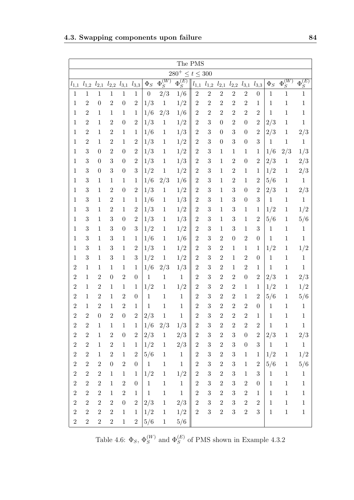|                | The PMS                 |                |                  |                  |                  |                  |                |                |                |                  |                  |                  |                  |                  |              |                |                                    |
|----------------|-------------------------|----------------|------------------|------------------|------------------|------------------|----------------|----------------|----------------|------------------|------------------|------------------|------------------|------------------|--------------|----------------|------------------------------------|
|                | $280^{+} \le t \le 300$ |                |                  |                  |                  |                  |                |                |                |                  |                  |                  |                  |                  |              |                |                                    |
| $l_{1,1}$      | $l_{1,2}$               | $l_{2,1}$      | $l_{2,2}$        | $l_{3,1}$        | $l_{3,3}$        | $\Phi_S$         | $\Phi_S^{(W)}$ | $\Phi_S^{(E)}$ | $l_{1,1}$      | $l_{1,2}$        | $l_{2,1}$        | $l_{2,2}$        | $l_{3,1}$        | $l_{3,3}$        | $\Phi_S$     | $\Phi_S^{(W)}$ | $\ensuremath{\Phi^{(E)}_S}\xspace$ |
| $\mathbf{1}$   | $\mathbf{1}$            | $\mathbf{1}$   | $\mathbf{1}$     | $\mathbf{1}$     | $\mathbf{1}$     | $\boldsymbol{0}$ | 2/3            | 1/6            | $\overline{2}$ | $\overline{2}$   | $\overline{2}$   | $\sqrt{2}$       | $\overline{2}$   | $\boldsymbol{0}$ | $\,1$        | $\mathbf{1}$   | $\,1$                              |
| $1\,$          | $\overline{2}$          | $\overline{0}$ | $\overline{2}$   | $\overline{0}$   | $\overline{2}$   | 1/3              | $\mathbf{1}$   | 1/2            | $\overline{2}$ | $\overline{2}$   | $\overline{2}$   | $\overline{2}$   | $\overline{2}$   | $\mathbf 1$      | $1\,$        | $\mathbf{1}$   | $\,1\,$                            |
| $\mathbf{1}$   | $\overline{2}$          | $\mathbf{1}$   | $\mathbf{1}$     | $\mathbf{1}$     | $\mathbf{1}$     | 1/6              | 2/3            | 1/6            | $\overline{2}$ | $\overline{2}$   | $\overline{2}$   | $\overline{2}$   | $\overline{2}$   | $\overline{2}$   | $\mathbf{1}$ | $\mathbf{1}$   | $\mathbf{1}$                       |
| $\mathbf{1}$   | $\overline{2}$          | $\mathbf{1}$   | $\overline{2}$   | $\boldsymbol{0}$ | $\overline{2}$   | 1/3              | $\,1$          | 1/2            | $\overline{2}$ | 3                | $\overline{0}$   | $\overline{2}$   | $\overline{0}$   | $\overline{2}$   | 2/3          | $\mathbf{1}$   | $\,1$                              |
| $\mathbf{1}$   | $\overline{2}$          | $\mathbf{1}$   | $\overline{2}$   | $\mathbf{1}$     | $\mathbf{1}$     | 1/6              | $\,1$          | 1/3            | $\overline{2}$ | 3                | $\overline{0}$   | $\sqrt{3}$       | $\boldsymbol{0}$ | $\overline{2}$   | 2/3          | $\mathbf{1}$   | 2/3                                |
| $\mathbf{1}$   | $\overline{2}$          | $\mathbf{1}$   | $\overline{2}$   | $\mathbf{1}$     | $\overline{2}$   | 1/3              | $\,1$          | 1/2            | $\overline{2}$ | 3                | $\boldsymbol{0}$ | 3                | $\boldsymbol{0}$ | 3                | $\mathbf{1}$ | $\mathbf{1}$   | $1\,$                              |
| $\mathbf{1}$   | 3                       | $\theta$       | $\overline{2}$   | $\boldsymbol{0}$ | $\overline{2}$   | 1/3              | $\mathbf 1$    | 1/2            | $\overline{2}$ | 3                | $\mathbf{1}$     | $\mathbf{1}$     | $\mathbf{1}$     | $\mathbf 1$      | 1/6          | 2/3            | 1/3                                |
| $\mathbf{1}$   | 3                       | $\theta$       | 3                | $\boldsymbol{0}$ | $\overline{2}$   | 1/3              | $\mathbf{1}$   | 1/3            | $\overline{2}$ | 3                | $\mathbf{1}$     | $\overline{2}$   | $\boldsymbol{0}$ | $\overline{2}$   | 2/3          | $\,1$          | 2/3                                |
| $\mathbf{1}$   | 3                       | $\overline{0}$ | 3                | $\boldsymbol{0}$ | 3                | 1/2              | $\mathbf{1}$   | 1/2            | $\overline{2}$ | 3                | $\mathbf{1}$     | $\overline{2}$   | $\mathbf{1}$     | $\mathbf{1}$     | 1/2          | $\mathbf{1}$   | 2/3                                |
| $\mathbf{1}$   | 3                       | $\mathbf{1}$   | $\mathbf 1$      | $\mathbf{1}$     | $\mathbf{1}$     | 1/6              | 2/3            | 1/6            | $\overline{2}$ | 3                | $\mathbf{1}$     | $\overline{2}$   | $\mathbf{1}$     | $\sqrt{2}$       | 5/6          | $\mathbf{1}$   | $\mathbf 1$                        |
| $\mathbf{1}$   | 3                       | $\mathbf{1}$   | $\overline{2}$   | $\boldsymbol{0}$ | $\overline{2}$   | 1/3              | $\,1$          | 1/2            | $\overline{2}$ | 3                | $\mathbf{1}$     | 3                | $\boldsymbol{0}$ | $\boldsymbol{2}$ | 2/3          | $\mathbf{1}$   | 2/3                                |
| $\mathbf{1}$   | 3                       | $\mathbf{1}$   | $\overline{2}$   | $\mathbf{1}$     | 1                | 1/6              | $\mathbf{1}$   | 1/3            | $\overline{2}$ | 3                | $\mathbf{1}$     | 3                | $\boldsymbol{0}$ | 3                | $\mathbf{1}$ | $\mathbf{1}$   | $\mathbf 1$                        |
| $\mathbf{1}$   | 3                       | $\mathbf{1}$   | $\overline{2}$   | $\mathbf{1}$     | $\overline{2}$   | 1/3              | $\mathbf{1}$   | 1/2            | $\overline{2}$ | 3                | $\mathbf{1}$     | 3                | $\,1$            | $\mathbf{1}$     | 1/2          | $\mathbf{1}$   | 1/2                                |
| $\mathbf{1}$   | 3                       | $\mathbf 1$    | 3                | $\boldsymbol{0}$ | $\overline{2}$   | 1/3              | $\mathbf{1}$   | 1/3            | $\overline{2}$ | 3                | $\mathbf{1}$     | 3                | $\mathbf{1}$     | $\boldsymbol{2}$ | 5/6          | $\mathbf 1$    | 5/6                                |
| 1              | 3                       | $\mathbf{1}$   | 3                | $\boldsymbol{0}$ | 3                | 1/2              | $\,1$          | 1/2            | $\overline{2}$ | 3                | $\mathbf 1$      | 3                | $\mathbf{1}$     | 3                | $\mathbf{1}$ | $\mathbf{1}$   | $\mathbf{1}$                       |
| $\mathbf{1}$   | 3                       | $\mathbf{1}$   | 3                | $\mathbf{1}$     | $\mathbf{1}$     | 1/6              | $\,1$          | 1/6            | $\overline{2}$ | 3                | $\overline{2}$   | $\boldsymbol{0}$ | $\sqrt{2}$       | $\boldsymbol{0}$ | $\mathbf{1}$ | $\,1$          | $\mathbf 1$                        |
| $\mathbf{1}$   | 3                       | $\mathbf{1}$   | 3                | $\mathbf{1}$     | $\sqrt{2}$       | 1/3              | $\mathbf{1}$   | 1/2            | $\overline{2}$ | 3                | $\overline{2}$   | $\mathbf{1}$     | $\mathbf{1}$     | $\mathbf{1}$     | 1/2          | $\mathbf{1}$   | 1/2                                |
| $\mathbf{1}$   | 3                       | $\mathbf{1}$   | 3                | $\mathbf{1}$     | 3                | 1/2              | $\,1$          | 1/2            | $\overline{2}$ | 3                | $\overline{2}$   | $\mathbf{1}$     | $\overline{2}$   | $\boldsymbol{0}$ | $\,1$        | $\mathbf{1}$   | $\mathbf 1$                        |
| $\overline{2}$ | $\mathbf{1}$            | $\mathbf{1}$   | $\mathbf{1}$     | $\mathbf{1}$     | $\mathbf{1}$     | 1/6              | 2/3            | 1/3            | $\overline{2}$ | 3                | $\overline{2}$   | $\mathbf{1}$     | $\sqrt{2}$       | $\mathbf{1}$     | $\mathbf 1$  | $\mathbf{1}$   | $1\,$                              |
| $\overline{2}$ | $\mathbf{1}$            | $\overline{2}$ | $\overline{0}$   | $\overline{2}$   | $\boldsymbol{0}$ | $1\,$            | $\mathbf{1}$   | $1\,$          | $\overline{2}$ | 3                | $\overline{2}$   | $\overline{2}$   | $\boldsymbol{0}$ | $\overline{2}$   | 2/3          | $\mathbf{1}$   | 2/3                                |
| $\overline{2}$ | $\mathbf{1}$            | $\overline{2}$ | $\mathbf 1$      | $\mathbf{1}$     | $\mathbf{1}$     | 1/2              | $\mathbf{1}$   | $1/2\,$        | $\overline{2}$ | 3                | $\overline{2}$   | $\overline{2}$   | $\mathbf{1}$     | $\mathbf{1}$     | $1/2\,$      | $\mathbf{1}$   | 1/2                                |
| $\overline{2}$ | $\mathbf{1}$            | $\overline{2}$ | $\mathbf{1}$     | $\overline{2}$   | $\boldsymbol{0}$ | $\mathbf{1}$     | $\mathbf{1}$   | $\mathbf{1}$   | $\overline{2}$ | 3                | $\overline{2}$   | $\overline{2}$   | $\mathbf{1}$     | $\overline{2}$   | 5/6          | $\mathbf{1}$   | 5/6                                |
| $\sqrt{2}$     | $1\,$                   | $\overline{2}$ | $\mathbf{1}$     | $\overline{2}$   | $\mathbf{1}$     | $\,1\,$          | $\mathbf{1}$   | $\mathbf 1$    | $\overline{2}$ | 3                | $\overline{2}$   | $\overline{2}$   | $\overline{2}$   | $\boldsymbol{0}$ | $\,1$        | $\,1$          | $\,1$                              |
| $\overline{2}$ | $\overline{2}$          | $\overline{0}$ | $\overline{2}$   | $\boldsymbol{0}$ | $\overline{2}$   | 2/3              | $\mathbf{1}$   | $\mathbf{1}$   | $\overline{2}$ | 3                | $\overline{2}$   | $\overline{2}$   | $\overline{2}$   | $\mathbf{1}$     | $\mathbf 1$  | $\mathbf{1}$   | $\mathbf{1}$                       |
| $\overline{2}$ | $\overline{2}$          | 1              | $\mathbf 1$      | $\mathbf 1$      | $\mathbf 1$      | 1/6              | 2/3            | 1/3            | $\overline{2}$ | 3                | $\overline{2}$   | $\overline{2}$   | $\overline{2}$   | $\overline{2}$   | $\mathbf{1}$ | $\mathbf{1}$   | 1                                  |
| $\overline{2}$ | $\sqrt{2}$              | $\mathbf 1$    | $\sqrt{2}$       | $\boldsymbol{0}$ | $\sqrt{2}$       | $2/3\,$          | $\,1$          | 2/3            | $\sqrt{2}$     | $\sqrt{3}$       | $\sqrt{2}$       | $\sqrt{3}$       | $\boldsymbol{0}$ | $\sqrt{2}$       | $2/3\,$      | $\,1$          | $2/3\,$                            |
| $\,2$          | $\,2$                   | $\mathbf 1$    | $\,2$            | $1\,$            | $\mathbf{1}$     | 1/2              | $\,1\,$        | 2/3            | $\sqrt{2}$     | $\sqrt{3}$       | $\sqrt{2}$       | $\sqrt{3}$       | $\boldsymbol{0}$ | $\sqrt{3}$       | $\mathbf{1}$ | $1\,$          | $\mathbf{1}$                       |
| $\sqrt{2}$     | $\overline{2}$          | $\mathbf{1}$   | $\overline{2}$   | $\mathbf{1}$     | $\overline{2}$   | 5/6              | $\mathbf{1}$   | $1\,$          | $\overline{2}$ | 3                | $\overline{2}$   | $\sqrt{3}$       | $\mathbf{1}$     | $\mathbf{1}$     | 1/2          | $\mathbf{1}$   | 1/2                                |
| $\overline{2}$ | $\sqrt{2}$              | $\overline{2}$ | $\boldsymbol{0}$ | $\,2$            | $\boldsymbol{0}$ | $\mathbf{1}$     | $\,1$          | $1\,$          | $\sqrt{2}$     | 3                | $\sqrt{2}$       | $\sqrt{3}$       | $\,1$            | $\sqrt{2}$       | $5/6$        | $\mathbf{1}$   | $5/6\,$                            |
| $\,2$          | $\,2$                   | $\sqrt{2}$     | $\mathbf{1}$     | $1\,$            | $\mathbf{1}$     | 1/2              | $\mathbf{1}$   | 1/2            | $\sqrt{2}$     | $\boldsymbol{3}$ | $\sqrt{2}$       | $\sqrt{3}$       | $\,1$            | $\sqrt{3}$       | $1\,$        | $1\,$          | $\,1$                              |
| $\,2$          | $\sqrt{2}$              | $\sqrt{2}$     | $\mathbf{1}$     | $\sqrt{2}$       | $\boldsymbol{0}$ | $\mathbf{1}$     | $\mathbf 1$    | $1\,$          | $\overline{2}$ | 3                | $\overline{2}$   | $\boldsymbol{3}$ | $\sqrt{2}$       | $\boldsymbol{0}$ | $\mathbf{1}$ | $\mathbf{1}$   | $\mathbf{1}$                       |
| $\overline{2}$ | $\sqrt{2}$              | $\overline{2}$ | $\mathbf{1}$     | $\,2$            | $\mathbf{1}$     | $\mathbf{1}$     | $\,1\,$        | $\mathbf{1}$   | $\overline{2}$ | 3                | $\overline{2}$   | $\boldsymbol{3}$ | $\sqrt{2}$       | $\mathbf{1}$     | $\mathbf{1}$ | $\mathbf{1}$   | $\mathbf{1}$                       |
| $\overline{2}$ | $\sqrt{2}$              | $\overline{2}$ | $\overline{2}$   | $\boldsymbol{0}$ | $\sqrt{2}$       | 2/3              | $\,1\,$        | 2/3            | $\overline{2}$ | 3                | $\overline{2}$   | 3                | $\sqrt{2}$       | $\sqrt{2}$       | $\mathbf{1}$ | $\mathbf{1}$   | $\mathbf{1}$                       |
| $\sqrt{2}$     | $\sqrt{2}$              | $\overline{2}$ | $\overline{2}$   | $\mathbf{1}$     | $\mathbf{1}$     | 1/2              | $\mathbf{1}$   | $1/2\,$        | $\sqrt{2}$     | 3                | $\overline{2}$   | $\overline{3}$   | $\overline{2}$   | 3                | $\mathbf{1}$ | $1\,$          | $\mathbf{1}$                       |
| $\overline{2}$ | $\overline{2}$          | $\overline{2}$ | $\overline{2}$   | $1\,$            | $\overline{2}$   | 5/6              | $\mathbf{1}$   | 5/6            |                |                  |                  |                  |                  |                  |              |                |                                    |

Table 4.6:  $\Phi_S$ ,  $\Phi_S^{(W)}$  and  $\Phi_S^{(E)}$  of PMS shown in Example 4.3.2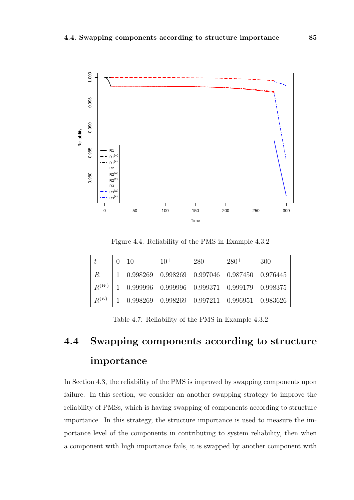

Figure 4.4: Reliability of the PMS in Example 4.3.2

|           | $0 \t10^{-}$ | $10^{+}$                                                                         | $280^-$ | $280^+$ | 300 |
|-----------|--------------|----------------------------------------------------------------------------------|---------|---------|-----|
| $R_{-}$   |              | 1 0.998269 0.998269 0.997046 0.987450 0.976445                                   |         |         |     |
| $R^{(W)}$ |              | $\begin{array}{cccc} \end{array}$ 1 0.999996 0.999996 0.999371 0.999179 0.998375 |         |         |     |
| $R^{(E)}$ |              | 1 0.998269 0.998269 0.997211 0.996951 0.983626                                   |         |         |     |

Table 4.7: Reliability of the PMS in Example 4.3.2

# 4.4 Swapping components according to structure importance

In Section 4.3, the reliability of the PMS is improved by swapping components upon failure. In this section, we consider an another swapping strategy to improve the reliability of PMSs, which is having swapping of components according to structure importance. In this strategy, the structure importance is used to measure the importance level of the components in contributing to system reliability, then when a component with high importance fails, it is swapped by another component with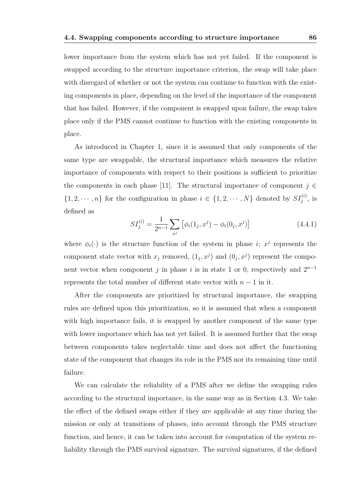lower importance from the system which has not yet failed. If the component is swapped according to the structure importance criterion, the swap will take place with disregard of whether or not the system can continue to function with the existing components in place, depending on the level of the importance of the component that has failed. However, if the component is swapped upon failure, the swap takes place only if the PMS cannot continue to function with the existing components in place.

As introduced in Chapter 1, since it is assumed that only components of the same type are swappable, the structural importance which measures the relative importance of components with respect to their positions is sufficient to prioritize the components in each phase [11]. The structural importance of component  $j \in \mathbb{C}$  $\{1, 2, \cdots, n\}$  for the configuration in phase  $i \in \{1, 2, \cdots, N\}$  denoted by  $SI_j^{(i)}$ , is defined as

$$
SI_j^{(i)} = \frac{1}{2^{n-1}} \sum_{x^j} \left[ \phi_i(1_j, x^j) - \phi_i(0_j, x^j) \right]
$$
 (4.4.1)

where  $\phi_i(\cdot)$  is the structure function of the system in phase i;  $x^j$  represents the component state vector with  $x_j$  removed,  $(1_j, x^j)$  and  $(0_j, x^j)$  represent the component vector when component j in phase i is in state 1 or 0, respectively and  $2^{n-1}$ represents the total number of different state vector with  $n-1$  in it.

After the components are prioritized by structural importance, the swapping rules are defined upon this prioritization, so it is assumed that when a component with high importance fails, it is swapped by another component of the same type with lower importance which has not yet failed. It is assumed further that the swap between components takes neglectable time and does not affect the functioning state of the component that changes its role in the PMS nor its remaining time until failure.

We can calculate the reliability of a PMS after we define the swapping rules according to the structural importance, in the same way as in Section 4.3. We take the effect of the defined swaps either if they are applicable at any time during the mission or only at transitions of phases, into account through the PMS structure function, and hence, it can be taken into account for computation of the system reliability through the PMS survival signature. The survival signatures, if the defined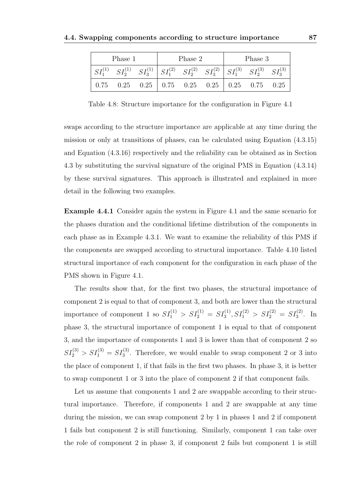| Phase 1                                                                                                              |  | Phase 2 | Phase 3 |  |  |  |  |
|----------------------------------------------------------------------------------------------------------------------|--|---------|---------|--|--|--|--|
| $SI_1^{(1)}$ $SI_2^{(1)}$ $SI_3^{(1)}$ $SI_1^{(2)}$ $SI_2^{(2)}$ $SI_3^{(2)}$ $SI_1^{(3)}$ $SI_2^{(3)}$ $SI_3^{(3)}$ |  |         |         |  |  |  |  |
| $0.75$ $0.25$ $0.25$   $0.75$ $0.25$ $0.25$   $0.25$ $0.75$ $0.25$                                                   |  |         |         |  |  |  |  |

Table 4.8: Structure importance for the configuration in Figure 4.1

swaps according to the structure importance are applicable at any time during the mission or only at transitions of phases, can be calculated using Equation (4.3.15) and Equation (4.3.16) respectively and the reliability can be obtained as in Section 4.3 by substituting the survival signature of the original PMS in Equation (4.3.14) by these survival signatures. This approach is illustrated and explained in more detail in the following two examples.

Example 4.4.1 Consider again the system in Figure 4.1 and the same scenario for the phases duration and the conditional lifetime distribution of the components in each phase as in Example 4.3.1. We want to examine the reliability of this PMS if the components are swapped according to structural importance. Table 4.10 listed structural importance of each component for the configuration in each phase of the PMS shown in Figure 4.1.

The results show that, for the first two phases, the structural importance of component 2 is equal to that of component 3, and both are lower than the structural importance of component 1 so  $SI_1^{(1)} > SI_2^{(1)} = SI_3^{(1)}$ ,  $SI_1^{(2)} > SI_2^{(2)} = SI_3^{(2)}$ . In phase 3, the structural importance of component 1 is equal to that of component 3, and the importance of components 1 and 3 is lower than that of component 2 so  $SI_2^{(3)} > SI_1^{(3)} = SI_3^{(3)}$ . Therefore, we would enable to swap component 2 or 3 into the place of component 1, if that fails in the first two phases. In phase 3, it is better to swap component 1 or 3 into the place of component 2 if that component fails.

Let us assume that components 1 and 2 are swappable according to their structural importance. Therefore, if components 1 and 2 are swappable at any time during the mission, we can swap component 2 by 1 in phases 1 and 2 if component 1 fails but component 2 is still functioning. Similarly, component 1 can take over the role of component 2 in phase 3, if component 2 fails but component 1 is still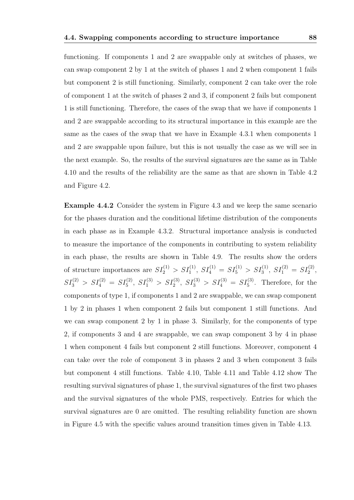functioning. If components 1 and 2 are swappable only at switches of phases, we can swap component 2 by 1 at the switch of phases 1 and 2 when component 1 fails but component 2 is still functioning. Similarly, component 2 can take over the role of component 1 at the switch of phases 2 and 3, if component 2 fails but component 1 is still functioning. Therefore, the cases of the swap that we have if components 1 and 2 are swappable according to its structural importance in this example are the same as the cases of the swap that we have in Example 4.3.1 when components 1 and 2 are swappable upon failure, but this is not usually the case as we will see in the next example. So, the results of the survival signatures are the same as in Table 4.10 and the results of the reliability are the same as that are shown in Table 4.2 and Figure 4.2.

Example 4.4.2 Consider the system in Figure 4.3 and we keep the same scenario for the phases duration and the conditional lifetime distribution of the components in each phase as in Example 4.3.2. Structural importance analysis is conducted to measure the importance of the components in contributing to system reliability in each phase, the results are shown in Table 4.9. The results show the orders of structure importances are  $SI_2^{(1)} > SI_1^{(1)}$ ,  $SI_4^{(1)} = SI_5^{(1)} > SI_3^{(1)}$ ,  $SI_1^{(2)} = SI_2^{(2)}$ ,  $SI_3^{(2)} > SI_4^{(2)} = SI_5^{(2)}$ ,  $SI_1^{(3)} > SI_2^{(3)}$ ,  $SI_3^{(3)} > SI_4^{(3)} = SI_5^{(3)}$ . Therefore, for the components of type 1, if components 1 and 2 are swappable, we can swap component 1 by 2 in phases 1 when component 2 fails but component 1 still functions. And we can swap component 2 by 1 in phase 3. Similarly, for the components of type 2, if components 3 and 4 are swappable, we can swap component 3 by 4 in phase 1 when component 4 fails but component 2 still functions. Moreover, component 4 can take over the role of component 3 in phases 2 and 3 when component 3 fails but component 4 still functions. Table 4.10, Table 4.11 and Table 4.12 show The resulting survival signatures of phase 1, the survival signatures of the first two phases and the survival signatures of the whole PMS, respectively. Entries for which the survival signatures are 0 are omitted. The resulting reliability function are shown in Figure 4.5 with the specific values around transition times given in Table 4.13.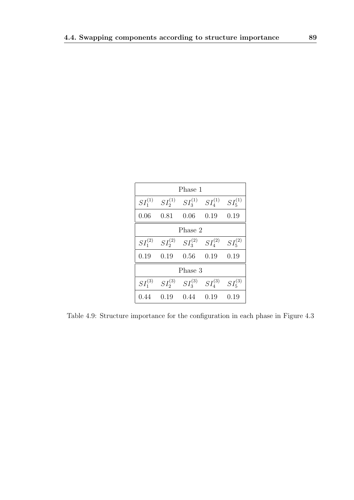| Phase 1      |              |              |                |              |  |  |  |  |  |  |  |
|--------------|--------------|--------------|----------------|--------------|--|--|--|--|--|--|--|
| $SI_1^{(1)}$ | $SI_2^{(1)}$ | $SI_3^{(1)}$ | $SI_{4}^{(1)}$ | $SI_5^{(1)}$ |  |  |  |  |  |  |  |
| 0.06         | 0.81         | 0.06         | 0.19           | 0.19         |  |  |  |  |  |  |  |
|              |              | Phase 2      |                |              |  |  |  |  |  |  |  |
| $SI_1^{(2)}$ | $SI_2^{(2)}$ | $SI_3^{(2)}$ | $SI_{4}^{(2)}$ | $SI_5^{(2)}$ |  |  |  |  |  |  |  |
| 0.19         | 0.19         | 0.56         | 0.19           | 0.19         |  |  |  |  |  |  |  |
|              |              | Phase 3      |                |              |  |  |  |  |  |  |  |
| $SI_1^{(3)}$ | $SI_2^{(3)}$ | $SI_3^{(3)}$ | $SI_{4}^{(3)}$ | $SI_5^{(3)}$ |  |  |  |  |  |  |  |
| 0.44         | 0.19         | 0.44         | 0.19           | 0.19         |  |  |  |  |  |  |  |

Table 4.9: Structure importance for the configuration in each phase in Figure 4.3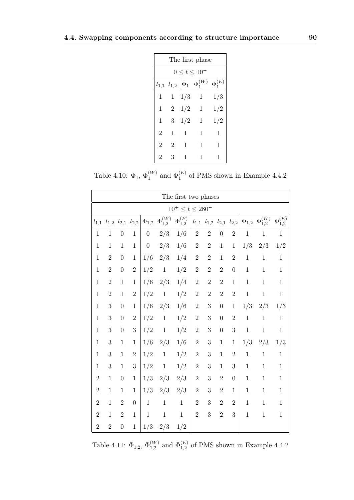| The first phase                                                     |                |              |              |     |  |  |  |  |  |  |  |  |  |
|---------------------------------------------------------------------|----------------|--------------|--------------|-----|--|--|--|--|--|--|--|--|--|
| $0 \le t \le 10^{-5}$                                               |                |              |              |     |  |  |  |  |  |  |  |  |  |
| $\Phi_1^{(E)}$<br>$\Phi_1^{(W)}$<br>$\Phi_1$<br>$l_{1,1}$ $l_{1,2}$ |                |              |              |     |  |  |  |  |  |  |  |  |  |
| 1                                                                   | 1              | 1/3          | $\mathbf{1}$ | 1/3 |  |  |  |  |  |  |  |  |  |
| 1                                                                   | $\overline{2}$ | 1/2          | $\mathbf{1}$ | 1/2 |  |  |  |  |  |  |  |  |  |
| 1                                                                   | 3              | 1/2          | 1            | 1/2 |  |  |  |  |  |  |  |  |  |
| $\overline{2}$                                                      | 1              | 1            | 1            | 1   |  |  |  |  |  |  |  |  |  |
| $\overline{2}$                                                      | 2              | $\mathbf{1}$ | 1            | 1   |  |  |  |  |  |  |  |  |  |
| 2                                                                   | 3              | 1            | 1            |     |  |  |  |  |  |  |  |  |  |

Table 4.10:  $\Phi_1$ ,  $\Phi_1^{(W)}$  and  $\Phi_1^{(E)}$  of PMS shown in Example 4.4.2

|                | The first two phases   |                     |                  |                  |                    |                    |                |                |                  |                                         |              |                               |                               |  |
|----------------|------------------------|---------------------|------------------|------------------|--------------------|--------------------|----------------|----------------|------------------|-----------------------------------------|--------------|-------------------------------|-------------------------------|--|
|                | $10^+ \le t \le 280^-$ |                     |                  |                  |                    |                    |                |                |                  |                                         |              |                               |                               |  |
| $l_{1,1}$      |                        | $l_{1,2}$ $l_{2,1}$ | $l_{2,2}$        | $\Phi_{1,2}$     | $\Phi_{1,2}^{(W)}$ | $\Phi_{1,2}^{(E)}$ |                |                |                  | $l_{1,1}$ $l_{1,2}$ $l_{2,1}$ $l_{2,2}$ | $\Phi_{1,2}$ | $\overline{\Phi_{1,2}^{(W)}}$ | $\overline{\Phi_{1,2}^{(E)}}$ |  |
| $\mathbf{1}$   | $\mathbf{1}$           | $\boldsymbol{0}$    | $\mathbf{1}$     | $\boldsymbol{0}$ | 2/3                | 1/6                | $\overline{2}$ | $\overline{2}$ | $\boldsymbol{0}$ | $\overline{2}$                          | $\mathbf 1$  | $\mathbf{1}$                  | $\mathbf{1}$                  |  |
| $\mathbf{1}$   | $\mathbf{1}$           | $\mathbf{1}$        | $\mathbf{1}$     | $\overline{0}$   | 2/3                | 1/6                | $\sqrt{2}$     | $\sqrt{2}$     | $\mathbf{1}$     | $\mathbf{1}$                            | 1/3          | 2/3                           | 1/2                           |  |
| $\mathbf{1}$   | $\overline{2}$         | $\boldsymbol{0}$    | $\mathbf{1}$     | 1/6              | 2/3                | 1/4                | $\overline{2}$ | $\sqrt{2}$     | $\mathbf{1}$     | $\overline{2}$                          | $\mathbf{1}$ | $\,1$                         | $\mathbf{1}$                  |  |
| $\mathbf{1}$   | $\overline{2}$         | $\boldsymbol{0}$    | $\sqrt{2}$       | 1/2              | $\,1\,$            | 1/2                | $\sqrt{2}$     | $\sqrt{2}$     | $\overline{2}$   | $\boldsymbol{0}$                        | $\mathbf{1}$ | $\,1$                         | $\,1$                         |  |
| $\mathbf{1}$   | $\sqrt{2}$             | $\,1$               | $\mathbf{1}$     | 1/6              | 2/3                | 1/4                | $\sqrt{2}$     | $\sqrt{2}$     | $\overline{2}$   | $\mathbf{1}$                            | $\mathbf{1}$ | $\mathbf{1}$                  | $1\,$                         |  |
| $\mathbf{1}$   | $\overline{2}$         | $\mathbf{1}$        | $\overline{2}$   | 1/2              | $\,1$              | 1/2                | $\sqrt{2}$     | $\sqrt{2}$     | $\overline{2}$   | $\overline{2}$                          | $\mathbf{1}$ | $\mathbf{1}$                  | $\mathbf{1}$                  |  |
| $\mathbf{1}$   | 3                      | $\boldsymbol{0}$    | $\mathbf{1}$     | 1/6              | 2/3                | 1/6                | $\sqrt{2}$     | 3              | $\overline{0}$   | $\mathbf 1$                             | 1/3          | 2/3                           | 1/3                           |  |
| $\mathbf{1}$   | 3                      | $\boldsymbol{0}$    | $\overline{2}$   | 1/2              | $\,1\,$            | 1/2                | $\sqrt{2}$     | 3              | $\overline{0}$   | $\overline{2}$                          | $\mathbf{1}$ | $\mathbf{1}$                  | $\mathbf{1}$                  |  |
| $\mathbf{1}$   | 3                      | $\boldsymbol{0}$    | 3                | 1/2              | $\mathbf 1$        | 1/2                | $\sqrt{2}$     | 3              | $\overline{0}$   | $\boldsymbol{3}$                        | $\mathbf{1}$ | $\mathbf{1}$                  | $\mathbf 1$                   |  |
| $\mathbf{1}$   | 3                      | $\mathbf{1}$        | $\mathbf{1}$     | 1/6              | 2/3                | 1/6                | $\sqrt{2}$     | $\sqrt{3}$     | $\mathbf{1}$     | $\,1$                                   | 1/3          | 2/3                           | 1/3                           |  |
| $\mathbf{1}$   | 3                      | $\mathbf{1}$        | $\overline{2}$   | 1/2              | $\,1$              | 1/2                | $\overline{2}$ | 3              | $\mathbf{1}$     | $\overline{2}$                          | $\mathbf{1}$ | $\mathbf{1}$                  | $\mathbf{1}$                  |  |
| $\mathbf{1}$   | 3                      | $\,1$               | 3                | 1/2              | $\mathbf{1}$       | 1/2                | $\sqrt{2}$     | 3              | $\mathbf{1}$     | 3                                       | $\mathbf{1}$ | $\mathbf{1}$                  | $\mathbf{1}$                  |  |
| $\overline{2}$ | $\mathbf{1}$           | $\boldsymbol{0}$    | $\mathbf{1}$     | 1/3              | 2/3                | 2/3                | $\overline{2}$ | $\sqrt{3}$     | $\overline{2}$   | $\boldsymbol{0}$                        | $\mathbf 1$  | $\mathbf{1}$                  | $\,1$                         |  |
| $\overline{2}$ | $\mathbf{1}$           | $\mathbf{1}$        | $\mathbf{1}$     | 1/3              | 2/3                | 2/3                | $\overline{2}$ | 3              | $\overline{2}$   | $\mathbf 1$                             | $\mathbf 1$  | $\mathbf{1}$                  | $\mathbf{1}$                  |  |
| $\overline{2}$ | $\mathbf{1}$           | $\boldsymbol{2}$    | $\boldsymbol{0}$ | $\mathbf 1$      | $\,1\,$            | $\,1$              | $\overline{2}$ | 3              | $\overline{2}$   | $\overline{2}$                          | $\mathbf 1$  | $\mathbf{1}$                  | $\mathbf{1}$                  |  |
| $\overline{2}$ | $\mathbf{1}$           | $\sqrt{2}$          | $\mathbf{1}$     | $\,1\,$          | $\mathbf 1$        | $\mathbf{1}$       | $\overline{2}$ | $\sqrt{3}$     | $\overline{2}$   | $\boldsymbol{3}$                        | $\mathbf 1$  | $\mathbf{1}$                  | $\mathbf{1}$                  |  |
| $\overline{2}$ | $\overline{2}$         | $\boldsymbol{0}$    | $\,1$            | 1/3              | 2/3                | 1/2                |                |                |                  |                                         |              |                               |                               |  |

Table 4.11:  $\Phi_{1,2}$ ,  $\Phi_{1,2}^{(W)}$  and  $\Phi_{1,2}^{(E)}$  of PMS shown in Example 4.4.2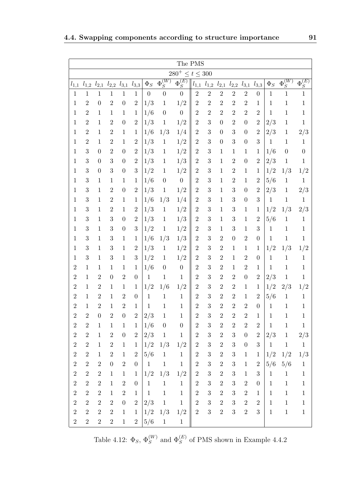|                  | The PMS                 |                  |                  |                  |                               |                  |                  |                  |                  |                  |                  |                                                   |                  |                  |              |                  |                  |
|------------------|-------------------------|------------------|------------------|------------------|-------------------------------|------------------|------------------|------------------|------------------|------------------|------------------|---------------------------------------------------|------------------|------------------|--------------|------------------|------------------|
|                  | $280^{+} \le t \le 300$ |                  |                  |                  |                               |                  |                  |                  |                  |                  |                  |                                                   |                  |                  |              |                  |                  |
| $l_{1,1}$        | $l_{1,2}$               | $l_{2,1}$        |                  |                  | $l_{2,2}$ $l_{3,1}$ $l_{3,3}$ | $\Phi_S$         | $\Phi^{(W)}_S$   | $\Phi_S^{(E)}$   | $l_{1,1}$        |                  |                  | $l_{1,2}$ $l_{2,1}$ $l_{2,2}$ $l_{3,1}$ $l_{3,3}$ |                  |                  | $\Phi_S$     | $\Phi_S^{(W)}$   | $\Phi_S^{(E)}$   |
| $\mathbf{1}$     | $\mathbf{1}$            | $\mathbf{1}$     | $\mathbf{1}$     | $\mathbf{1}$     | $\mathbf{1}$                  | $\boldsymbol{0}$ | $\boldsymbol{0}$ | $\overline{0}$   | $\overline{2}$   | $\overline{2}$   | $\overline{2}$   | $\overline{2}$                                    | $\overline{2}$   | $\boldsymbol{0}$ | $\mathbf{1}$ | $\mathbf{1}$     | $\mathbf{1}$     |
| $1\,$            | $\overline{2}$          | $\boldsymbol{0}$ | $\overline{2}$   | $\overline{0}$   | $\overline{2}$                | 1/3              | $\mathbf{1}$     | 1/2              | $\overline{2}$   | $\overline{2}$   | $\overline{2}$   | $\overline{2}$                                    | $\overline{2}$   | 1                | $\mathbf 1$  | $\mathbf{1}$     | $\,1\,$          |
| $\mathbf{1}$     | $\overline{2}$          | $\mathbf{1}$     | $\mathbf{1}$     | $\mathbf{1}$     | $\mathbf 1$                   | 1/6              | $\overline{0}$   | $\boldsymbol{0}$ | $\overline{2}$   | $\overline{2}$   | $\overline{2}$   | $\overline{2}$                                    | $\overline{2}$   | $\overline{2}$   | $\mathbf{1}$ | $\mathbf{1}$     | $\,1$            |
| $\mathbf 1$      | $\overline{2}$          | $\mathbf{1}$     | $\overline{2}$   | $\boldsymbol{0}$ | $\overline{2}$                | 1/3              | $\mathbf{1}$     | 1/2              | $\overline{2}$   | 3                | $\overline{0}$   | $\overline{2}$                                    | $\overline{0}$   | $\overline{2}$   | 2/3          | $\mathbf{1}$     | $\,1$            |
| $\mathbf{1}$     | $\overline{2}$          | $\mathbf{1}$     | $\overline{2}$   | $\mathbf{1}$     | $\mathbf{1}$                  | 1/6              | 1/3              | 1/4              | $\overline{2}$   | 3                | $\overline{0}$   | 3                                                 | $\boldsymbol{0}$ | $\overline{2}$   | 2/3          | $\mathbf{1}$     | 2/3              |
| $\mathbf{1}$     | $\sqrt{2}$              | $\mathbf{1}$     | $\overline{2}$   | $\mathbf{1}$     | $\sqrt{2}$                    | 1/3              | $\mathbf{1}$     | 1/2              | $\overline{2}$   | 3                | $\boldsymbol{0}$ | 3                                                 | $\boldsymbol{0}$ | 3                | $\mathbf{1}$ | $\mathbf{1}$     | $\mathbf{1}$     |
| $\mathbf 1$      | 3                       | $\overline{0}$   | $\overline{2}$   | $\theta$         | $\overline{2}$                | 1/3              | $\mathbf{1}$     | 1/2              | $\overline{2}$   | 3                | $\mathbf{1}$     | $\mathbf{1}$                                      | $\mathbf{1}$     | $\mathbf{1}$     | 1/6          | $\boldsymbol{0}$ | $\boldsymbol{0}$ |
| $\mathbf{1}$     | 3                       | $\theta$         | 3                | $\overline{0}$   | $\overline{2}$                | 1/3              | $\mathbf{1}$     | $1/3\,$          | $\overline{2}$   | 3                | $\mathbf 1$      | $\overline{2}$                                    | $\boldsymbol{0}$ | $\sqrt{2}$       | 2/3          | $\mathbf{1}$     | $\,1$            |
| $\mathbf{1}$     | 3                       | $\overline{0}$   | 3                | $\theta$         | 3                             | 1/2              | $\mathbf{1}$     | 1/2              | $\overline{2}$   | 3                | $\mathbf{1}$     | $\sqrt{2}$                                        | $\mathbf{1}$     | 1                | 1/2          | 1/3              | 1/2              |
| $\mathbf{1}$     | 3                       | $\mathbf{1}$     | $\mathbf 1$      | $\mathbf{1}$     | $\mathbf{1}$                  | 1/6              | $\overline{0}$   | $\boldsymbol{0}$ | $\overline{2}$   | 3                | $\mathbf{1}$     | $\overline{2}$                                    | $\mathbf{1}$     | $\overline{2}$   | 5/6          | $1\,$            | $\mathbf{1}$     |
| $\mathbf{1}$     | 3                       | $\mathbf{1}$     | $\overline{2}$   | $\boldsymbol{0}$ | $\overline{2}$                | 1/3              | $\mathbf{1}$     | 1/2              | $\overline{2}$   | 3                | $\mathbf{1}$     | 3                                                 | $\boldsymbol{0}$ | $\overline{2}$   | 2/3          | $\mathbf{1}$     | 2/3              |
| 1                | 3                       | $\mathbf{1}$     | $\overline{2}$   | $\mathbf{1}$     | $\mathbf{1}$                  | 1/6              | 1/3              | 1/4              | $\overline{2}$   | 3                | $\mathbf{1}$     | 3                                                 | $\boldsymbol{0}$ | 3                | $\mathbf{1}$ | $\mathbf{1}$     | $\mathbf{1}$     |
| $\mathbf{1}$     | 3                       | $\mathbf{1}$     | $\overline{2}$   | $\mathbf{1}$     | $\overline{2}$                | 1/3              | $\mathbf{1}$     | 1/2              | $\boldsymbol{2}$ | 3                | $\mathbf{1}$     | 3                                                 | $\mathbf{1}$     | 1                | 1/2          | 1/3              | $2/3\,$          |
| $\mathbf{1}$     | 3                       | $\mathbf{1}$     | 3                | $\theta$         | $\overline{2}$                | 1/3              | $\mathbf{1}$     | 1/3              | $\boldsymbol{2}$ | 3                | $\mathbf{1}$     | 3                                                 | $\mathbf{1}$     | $\overline{2}$   | 5/6          | $\mathbf{1}$     | $\mathbf{1}$     |
| $\mathbf{1}$     | 3                       | $\mathbf{1}$     | 3                | $\overline{0}$   | 3                             | 1/2              | $\mathbf{1}$     | 1/2              | $\overline{2}$   | 3                | $\mathbf 1$      | 3                                                 | $\mathbf{1}$     | 3                | $\mathbf{1}$ | $\mathbf{1}$     | $\,1$            |
| $\mathbf{1}$     | 3                       | $\mathbf{1}$     | 3                | $\mathbf{1}$     | $\mathbf{1}$                  | 1/6              | 1/3              | 1/3              | $\overline{2}$   | 3                | $\overline{2}$   | $\boldsymbol{0}$                                  | $\overline{2}$   | $\boldsymbol{0}$ | $\mathbf{1}$ | $\,1$            | $\,1$            |
| $\mathbf{1}$     | 3                       | $\mathbf{1}$     | 3                | $\mathbf{1}$     | $\overline{2}$                | 1/3              | $\mathbf{1}$     | 1/2              | $\overline{2}$   | 3                | $\overline{2}$   | $\mathbf{1}$                                      | $\mathbf{1}$     | 1                | 1/2          | 1/3              | 1/2              |
| $\mathbf{1}$     | 3                       | $\mathbf{1}$     | 3                | $\mathbf{1}$     | 3                             | 1/2              | $\mathbf{1}$     | 1/2              | $\overline{2}$   | 3                | $\overline{2}$   | $\mathbf{1}$                                      | $\overline{2}$   | $\boldsymbol{0}$ | $\mathbf{1}$ | $\mathbf{1}$     | $\mathbf{1}$     |
| $\overline{2}$   | $\mathbf{1}$            | $\mathbf{1}$     | 1                | $\mathbf{1}$     | $\mathbf{1}$                  | 1/6              | $\boldsymbol{0}$ | $\boldsymbol{0}$ | $\overline{2}$   | 3                | $\overline{2}$   | $\mathbf{1}$                                      | $\sqrt{2}$       | 1                | 1            | $\mathbf{1}$     | $\mathbf{1}$     |
| $\overline{2}$   | $\mathbf{1}$            | $\overline{2}$   | $\overline{0}$   | $\overline{2}$   | $\boldsymbol{0}$              | $\mathbf{1}$     | $\mathbf{1}$     | $\mathbf{1}$     | $\overline{2}$   | 3                | $\overline{2}$   | $\overline{2}$                                    | $\boldsymbol{0}$ | $\overline{2}$   | 2/3          | $\,1$            | $\mathbf{1}$     |
| $\overline{2}$   | $\mathbf{1}$            | $\overline{2}$   | $\mathbf 1$      | 1                | 1                             | 1/2              | 1/6              | 1/2              | $\overline{2}$   | 3                | $\overline{2}$   | $\overline{2}$                                    | $\mathbf{1}$     | $\mathbf{1}$     | 1/2          | 2/3              | 1/2              |
| $\overline{2}$   | $\mathbf{1}$            | $\overline{2}$   | 1                | $\overline{2}$   | $\boldsymbol{0}$              | 1                | $\mathbf{1}$     | $\mathbf{1}$     | $\overline{2}$   | 3                | $\overline{2}$   | $\overline{2}$                                    | $\mathbf{1}$     | $\overline{2}$   | 5/6          | $\mathbf{1}$     | $\,1$            |
| $\overline{2}$   | $\mathbf{1}$            | $\overline{2}$   | $\mathbf{1}$     | $\overline{2}$   | 1                             | $\mathbf{1}$     | $\mathbf{1}$     | $\mathbf{1}$     | $\overline{2}$   | 3                | $\overline{2}$   | $\overline{2}$                                    | $\overline{2}$   | $\boldsymbol{0}$ | $\,1$        | $\mathbf{1}$     | $\mathbf{1}$     |
| $\overline{2}$   | $\overline{2}$          | $\boldsymbol{0}$ | $\overline{2}$   | $\boldsymbol{0}$ | $\overline{2}$                | 2/3              | $\mathbf{1}$     | $\mathbf{1}$     | $\overline{2}$   | 3                | $\overline{2}$   | $\overline{2}$                                    | $\overline{2}$   | $\mathbf 1$      | $1\,$        | $\mathbf{1}$     | $\mathbf{1}$     |
| $\boldsymbol{2}$ | $\boldsymbol{2}$        | $\mathbf{1}$     | $\mathbf 1$      | $\mathbf 1$      | $\mathbf{1}$                  | 1/6              | $\boldsymbol{0}$ | $\theta$         | $\boldsymbol{2}$ | $\boldsymbol{3}$ | $\overline{2}$   | $\boldsymbol{2}$                                  | $\boldsymbol{2}$ | $\overline{2}$   | $\mathbf{1}$ | $\mathbf{1}$     | $\mathbf{1}$     |
| $\sqrt{2}$       | $\sqrt{2}$              | $\mathbf 1$      | $\overline{2}$   | $\boldsymbol{0}$ | $\,2$                         | 2/3              | $\,1\,$          | $\mathbf{1}$     | $\sqrt{2}$       | $\sqrt{3}$       | $\,2$            | $\sqrt{3}$                                        | $\boldsymbol{0}$ | $\,2$            | 2/3          | $\mathbf{1}$     | 2/3              |
| $\sqrt{2}$       | $\sqrt{2}$              | $\mathbf{1}$     | $\,2$            | $\mathbf{1}$     | $\mathbf{1}$                  | 1/2              | 1/3              | 1/2              | $\sqrt{2}$       | $\sqrt{3}$       | $\,2$            | $\sqrt{3}$                                        | $\boldsymbol{0}$ | $\boldsymbol{3}$ | $1\,$        | $\mathbf{1}$     | $\mathbf{1}$     |
| $\,2$            | $\overline{2}$          | $\mathbf{1}$     | $\overline{2}$   | $\mathbf{1}$     | $\overline{2}$                | 5/6              | $1\,$            | $\mathbf{1}$     | $\overline{2}$   | $\mathbf{3}$     | $\overline{2}$   | $\sqrt{3}$                                        | $\mathbf{1}$     | $\mathbf 1$      | 1/2          | 1/2              | 1/3              |
| $\overline{2}$   | $\sqrt{2}$              | $\overline{2}$   | $\boldsymbol{0}$ | $\sqrt{2}$       | $\boldsymbol{0}$              | $\mathbf{1}$     | $\mathbf{1}$     | $\mathbf{1}$     | $\overline{2}$   | $\boldsymbol{3}$ | $\overline{2}$   | $\sqrt{3}$                                        | $\mathbf{1}$     | $\sqrt{2}$       | 5/6          | 5/6              | $\mathbf{1}$     |
| $\sqrt{2}$       | $\sqrt{2}$              | $\sqrt{2}$       | $\mathbf{1}$     | $\mathbf{1}$     | $\mathbf{1}$                  | 1/2              | 1/3              | 1/2              | $\overline{2}$   | $\sqrt{3}$       | $\sqrt{2}$       | $\sqrt{3}$                                        | $\mathbf{1}$     | 3                | $1\,$        | $\mathbf{1}$     | $\mathbf{1}$     |
| $\overline{2}$   | $\sqrt{2}$              | $\sqrt{2}$       | $\mathbf{1}$     | $\sqrt{2}$       | $\overline{0}$                | $\mathbf{1}$     | $\mathbf{1}$     | $\mathbf{1}$     | $\sqrt{2}$       | $\boldsymbol{3}$ | $\sqrt{2}$       | $\sqrt{3}$                                        | $\,2$            | $\boldsymbol{0}$ | $\mathbf{1}$ | $1\,$            | $\mathbf{1}$     |
| $\sqrt{2}$       | $\overline{2}$          | $\boldsymbol{2}$ | $\mathbf{1}$     | $\overline{2}$   | $\mathbf{1}$                  | $\mathbf{1}$     | $\mathbf{1}$     | $\mathbf{1}$     | $\boldsymbol{2}$ | $\boldsymbol{3}$ | $\overline{2}$   | $\boldsymbol{3}$                                  | $\,2$            | $\mathbf{1}$     | $\mathbf{1}$ | $\mathbf{1}$     | $\mathbf{1}$     |
| $\sqrt{2}$       | $\overline{2}$          | $\overline{2}$   | $\overline{2}$   | $\boldsymbol{0}$ | $\overline{2}$                | 2/3              | $\mathbf{1}$     | $\mathbf{1}$     | $\overline{2}$   | 3                | $\overline{2}$   | $\sqrt{3}$                                        | $\,2$            | $\sqrt{2}$       | $\mathbf{1}$ | $\mathbf{1}$     | $\mathbf{1}$     |
| $\sqrt{2}$       | $\sqrt{2}$              | $\sqrt{2}$       | $\sqrt{2}$       | $1\,$            | $\mathbf{1}$                  | 1/2              | 1/3              | 1/2              | $\sqrt{2}$       | 3                | $\overline{2}$   | $\sqrt{3}$                                        | $\sqrt{2}$       | $\boldsymbol{3}$ | $\mathbf{1}$ | $\mathbf{1}$     | $\mathbf{1}$     |
| $\overline{2}$   | $\overline{2}$          | $\overline{2}$   | $\overline{2}$   | $\mathbf{1}$     | $\overline{2}$                | 5/6              | $1\,$            | $1\,$            |                  |                  |                  |                                                   |                  |                  |              |                  |                  |

Table 4.12:  $\Phi_S$ ,  $\Phi_S^{(W)}$  and  $\Phi_S^{(E)}$  of PMS shown in Example 4.4.2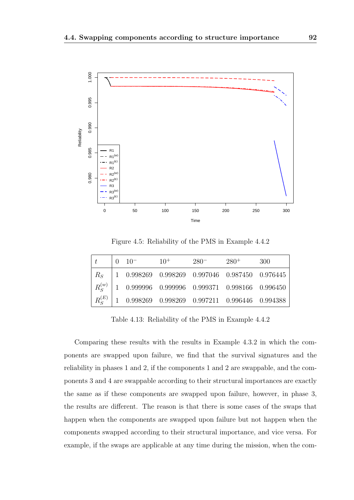

Figure 4.5: Reliability of the PMS in Example 4.4.2

|  | $0 \t10^{-}$ | $10^{+}$ | $280^{-}$                                                                                                | $280^{+}$ | 300 |
|--|--------------|----------|----------------------------------------------------------------------------------------------------------|-----------|-----|
|  |              |          | $R_S$   1 0.998269 0.998269 0.997046 0.987450 0.976445                                                   |           |     |
|  |              |          | $\mid R_{\rm S}^{(w)} \mid 1 \quad 0.999996 \quad 0.999996 \quad 0.999371 \quad 0.998166 \quad 0.996450$ |           |     |
|  |              |          | $R_S^{(E)}$ 1 0.998269 0.998269 0.997211 0.996446 0.994388                                               |           |     |

Table 4.13: Reliability of the PMS in Example 4.4.2

Comparing these results with the results in Example 4.3.2 in which the components are swapped upon failure, we find that the survival signatures and the reliability in phases 1 and 2, if the components 1 and 2 are swappable, and the components 3 and 4 are swappable according to their structural importances are exactly the same as if these components are swapped upon failure, however, in phase 3, the results are different. The reason is that there is some cases of the swaps that happen when the components are swapped upon failure but not happen when the components swapped according to their structural importance, and vice versa. For example, if the swaps are applicable at any time during the mission, when the com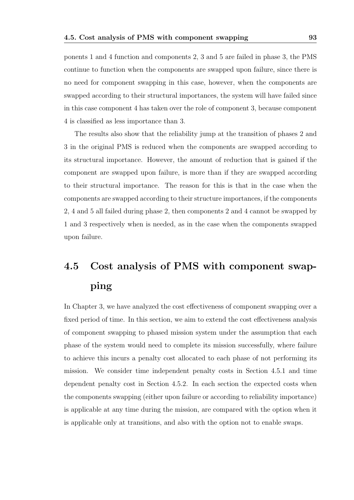ponents 1 and 4 function and components 2, 3 and 5 are failed in phase 3, the PMS continue to function when the components are swapped upon failure, since there is no need for component swapping in this case, however, when the components are swapped according to their structural importances, the system will have failed since in this case component 4 has taken over the role of component 3, because component 4 is classified as less importance than 3.

The results also show that the reliability jump at the transition of phases 2 and 3 in the original PMS is reduced when the components are swapped according to its structural importance. However, the amount of reduction that is gained if the component are swapped upon failure, is more than if they are swapped according to their structural importance. The reason for this is that in the case when the components are swapped according to their structure importances, if the components 2, 4 and 5 all failed during phase 2, then components 2 and 4 cannot be swapped by 1 and 3 respectively when is needed, as in the case when the components swapped upon failure.

# 4.5 Cost analysis of PMS with component swapping

In Chapter 3, we have analyzed the cost effectiveness of component swapping over a fixed period of time. In this section, we aim to extend the cost effectiveness analysis of component swapping to phased mission system under the assumption that each phase of the system would need to complete its mission successfully, where failure to achieve this incurs a penalty cost allocated to each phase of not performing its mission. We consider time independent penalty costs in Section 4.5.1 and time dependent penalty cost in Section 4.5.2. In each section the expected costs when the components swapping (either upon failure or according to reliability importance) is applicable at any time during the mission, are compared with the option when it is applicable only at transitions, and also with the option not to enable swaps.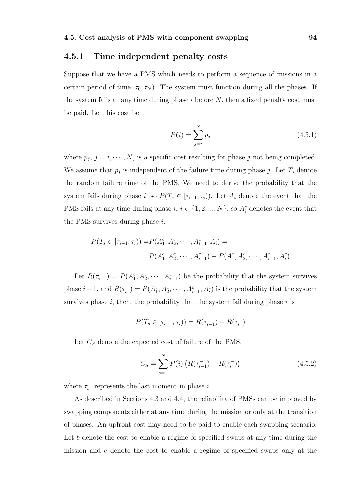#### 4.5.1 Time independent penalty costs

Suppose that we have a PMS which needs to perform a sequence of missions in a certain period of time  $[\tau_0, \tau_N)$ . The system must function during all the phases. If the system fails at any time during phase  $i$  before  $N$ , then a fixed penalty cost must be paid. Let this cost be

$$
P(i) = \sum_{j=i}^{N} p_j
$$
\n(4.5.1)

where  $p_j$ ,  $j = i, \dots, N$ , is a specific cost resulting for phase j not being completed. We assume that  $p_j$  is independent of the failure time during phase j. Let  $T_s$  denote the random failure time of the PMS. We need to derive the probability that the system fails during phase i, so  $P(T_s \in [\tau_{i-1}, \tau_i])$ . Let  $A_i$  denote the event that the PMS fails at any time during phase  $i, i \in \{1, 2, ..., N\}$ , so  $A_i^c$  denotes the event that the PMS survives during phase i.

$$
P(T_s \in [\tau_{i-1}, \tau_i)) = P(A_1^c, A_2^c, \cdots, A_{i-1}^c, A_i) =
$$
  

$$
P(A_1^c, A_2^c, \cdots, A_{i-1}^c) - P(A_1^c, A_2^c, \cdots, A_{i-1}^c, A_i^c)
$$

Let  $R(\tau_{i-}^-)$  $i_{i-1}$ ) =  $P(A_1^c, A_2^c, \cdots, A_{i-1}^c)$  be the probability that the system survives phase  $i-1$ , and  $R(\tau_i^-)$  $i_j^{\text{-}} = P(A_1^c, A_2^c, \cdots, A_{i-1}^c, A_i^c)$  is the probability that the system survives phase  $i$ , then, the probability that the system fail during phase  $i$  is

$$
P(T_s \in [\tau_{i-1}, \tau_i)) = R(\tau_{i-1}^-) - R(\tau_i^-)
$$

Let  $C_S$  denote the expected cost of failure of the PMS,

$$
C_S = \sum_{i=1}^{N} P(i) \left( R(\tau_{i-1}^-) - R(\tau_i^-) \right) \tag{4.5.2}
$$

where  $\tau_i^$  $i_i$ <sup>-</sup> represents the last moment in phase *i*.

As described in Sections 4.3 and 4.4, the reliability of PMSs can be improved by swapping components either at any time during the mission or only at the transition of phases. An upfront cost may need to be paid to enable each swapping scenario. Let b denote the cost to enable a regime of specified swaps at any time during the mission and e denote the cost to enable a regime of specified swaps only at the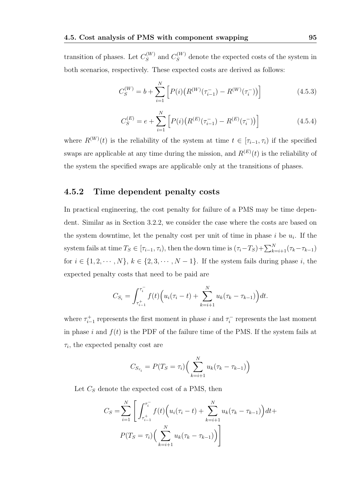transition of phases. Let  $C_S^{(W)}$  $S_S^{(W)}$  and  $C_S^{(W)}$  denote the expected costs of the system in both scenarios, respectively. These expected costs are derived as follows:

$$
C_S^{(W)} = b + \sum_{i=1}^{N} \left[ P(i) \left( R^{(W)}(\tau_{i-1}^-) - R^{(W)}(\tau_i^-) \right) \right]
$$
(4.5.3)

$$
C_S^{(E)} = e + \sum_{i=1}^{N} \left[ P(i) \left( R^{(E)}(\tau_{i-1}^-) - R^{(E)}(\tau_i^-) \right) \right]
$$
(4.5.4)

where  $R^{(W)}(t)$  is the reliability of the system at time  $t \in [\tau_{i-1}, \tau_i)$  if the specified swaps are applicable at any time during the mission, and  $R^{(E)}(t)$  is the reliability of the system the specified swaps are applicable only at the transitions of phases.

#### 4.5.2 Time dependent penalty costs

In practical engineering, the cost penalty for failure of a PMS may be time dependent. Similar as in Section 3.2.2, we consider the case where the costs are based on the system downtime, let the penalty cost per unit of time in phase  $i$  be  $u_i$ . If the system fails at time  $T_S \in [\tau_{i-1}, \tau_i)$ , then the down time is  $(\tau_i - T_S) + \sum_{k=i+1}^N (\tau_k - \tau_{k-1})$ for  $i \in \{1, 2, \cdots, N\}$ ,  $k \in \{2, 3, \cdots, N-1\}$ . If the system fails during phase  $i$ , the expected penalty costs that need to be paid are

$$
C_{S_i} = \int_{\tau_{i-1}^+}^{\tau_i^-} f(t) \Big( u_i(\tau_i - t) + \sum_{k=i+1}^N u_k(\tau_k - \tau_{k-1}) \Big) dt.
$$

where  $\tau_{i-1}^+$  represents the first moment in phase i and  $\tau_i^ \tau_i^-$  represents the last moment in phase i and  $f(t)$  is the PDF of the failure time of the PMS. If the system fails at  $\tau_i$ , the expected penalty cost are

$$
C_{S_{\tau_i}} = P(T_S = \tau_i) \Big( \sum_{k=i+1}^{N} u_k (\tau_k - \tau_{k-1}) \Big)
$$

Let  $C_S$  denote the expected cost of a PMS, then

$$
C_S = \sum_{i=1}^{N} \left[ \int_{\tau_{i-1}^+}^{\tau_i^-} f(t) \left( u_i(\tau_i - t) + \sum_{k=i+1}^{N} u_k(\tau_k - \tau_{k-1}) \right) dt + \right. \\
\left. P(T_S = \tau_i) \left( \sum_{k=i+1}^{N} u_k(\tau_k - \tau_{k-1}) \right) \right]
$$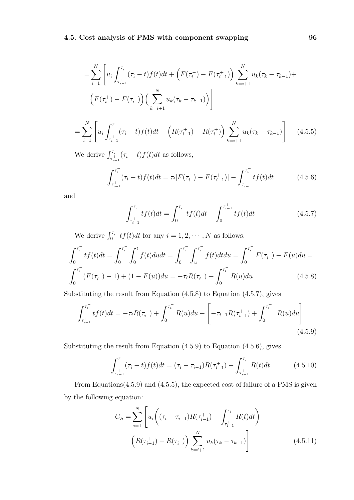$$
= \sum_{i=1}^{N} \left[ u_i \int_{\tau_{i-1}^{+}}^{\tau_i^{-}} (\tau_i - t) f(t) dt + \left( F(\tau_i^{-}) - F(\tau_{i-1}^{+}) \right) \sum_{k=i+1}^{N} u_k (\tau_k - \tau_{k-1}) + \left( F(\tau_i^{+}) - F(\tau_i^{-}) \right) \left( \sum_{k=i+1}^{N} u_k (\tau_k - \tau_{k-1}) \right) \right]
$$

$$
= \sum_{i=1}^{N} \left[ u_i \int_{\tau_{i-1}^{+}}^{\tau_i^{-}} (\tau_i - t) f(t) dt + \left( R(\tau_{i-1}^{+}) - R(\tau_i^{+}) \right) \sum_{k=i+1}^{N} u_k (\tau_k - \tau_{k-1}) \right] \tag{4.5.5}
$$

We derive  $\int_{\tau_{i-1}^+}^{\tau_i^-} (\tau_i - t) f(t) dt$  as follows,

$$
\int_{\tau_{i-1}^{+}}^{\tau_i^{-}} (\tau_i - t) f(t) dt = \tau_i [F(\tau_i^{-}) - F(\tau_{i-1}^{+})] - \int_{\tau_{i-1}^{+}}^{\tau_i^{-}} t f(t) dt \qquad (4.5.6)
$$

and

$$
\int_{\tau_{i-1}^{+}}^{\tau_{i}^{-}} t f(t) dt = \int_{0}^{\tau_{i}^{-}} t f(t) dt - \int_{0}^{\tau_{i-1}^{+}} t f(t) dt
$$
\n(4.5.7)

We derive  $\int_0^{\tau_i^-} tf(t)dt$  for any  $i = 1, 2, \cdots, N$  as follows,

$$
\int_0^{\tau_i^-} tf(t)dt = \int_0^{\tau_i^-} \int_0^t f(t)dudt = \int_0^{\tau_i^-} \int_u^{\tau_i^-} f(t)dtdu = \int_0^{\tau_i^-} F(\tau_i^-) - F(u)du =
$$
  

$$
\int_0^{\tau_i^-} (F(\tau_i^-) - 1) + (1 - F(u))du = -\tau_i R(\tau_i^-) + \int_0^{\tau_i^-} R(u)du
$$
(4.5.8)

Substituting the result from Equation (4.5.8) to Equation (4.5.7), gives

$$
\int_{\tau_{i-1}^{+}}^{\tau_{i}^{-}} t f(t) dt = -\tau_{i} R(\tau_{i}^{-}) + \int_{0}^{\tau_{i}^{-}} R(u) du - \left[ -\tau_{i-1} R(\tau_{i-1}^{+}) + \int_{0}^{\tau_{i-1}^{+}} R(u) du \right]
$$
\n(4.5.9)

Substituting the result from Equation (4.5.9) to Equation (4.5.6), gives

$$
\int_{\tau_{i-1}^{+}}^{\tau_i^{-}} (\tau_i - t) f(t) dt = (\tau_i - \tau_{i-1}) R(\tau_{i-1}^{+}) - \int_{\tau_{i-1}^{+}}^{\tau_i^{-}} R(t) dt \qquad (4.5.10)
$$

From Equations(4.5.9) and (4.5.5), the expected cost of failure of a PMS is given by the following equation:

$$
C_S = \sum_{i=1}^{N} \left[ u_i \left( (\tau_i - \tau_{i-1}) R(\tau_{i-1}^+) - \int_{\tau_{i-1}^+}^{\tau_i^-} R(t) dt \right) + \left( R(\tau_{i-1}^+) - R(\tau_i^+) \right) \sum_{k=i+1}^{N} u_k (\tau_k - \tau_{k-1}) \right]
$$
(4.5.11)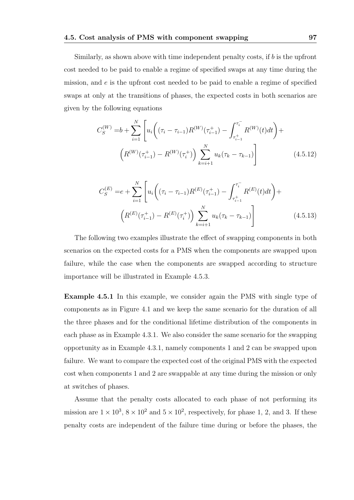Similarly, as shown above with time independent penalty costs, if b is the upfront cost needed to be paid to enable a regime of specified swaps at any time during the mission, and e is the upfront cost needed to be paid to enable a regime of specified swaps at only at the transitions of phases, the expected costs in both scenarios are given by the following equations

$$
C_{S}^{(W)} = b + \sum_{i=1}^{N} \left[ u_i \left( (\tau_i - \tau_{i-1}) R^{(W)}(\tau_{i-1}^+) - \int_{\tau_{i-1}^+}^{\tau_i^-} R^{(W)}(t) dt \right) + \left( R^{(W)}(\tau_{i-1}^+) - R^{(W)}(\tau_i^+) \right) \sum_{k=i+1}^{N} u_k (\tau_k - \tau_{k-1}) \right]
$$
(4.5.12)

$$
C_{S}^{(E)} = e + \sum_{i=1}^{N} \left[ u_i \left( (\tau_i - \tau_{i-1}) R^{(E)}(\tau_{i-1}^+) - \int_{\tau_{i-1}^+}^{\tau_i^-} R^{(E)}(t) dt \right) + \left( R^{(E)}(\tau_{i-1}^+) - R^{(E)}(\tau_i^+) \right) \sum_{k=i+1}^{N} u_k (\tau_k - \tau_{k-1}) \right]
$$
(4.5.13)

The following two examples illustrate the effect of swapping components in both scenarios on the expected costs for a PMS when the components are swapped upon failure, while the case when the components are swapped according to structure importance will be illustrated in Example 4.5.3.

Example 4.5.1 In this example, we consider again the PMS with single type of components as in Figure 4.1 and we keep the same scenario for the duration of all the three phases and for the conditional lifetime distribution of the components in each phase as in Example 4.3.1. We also consider the same scenario for the swapping opportunity as in Example 4.3.1, namely components 1 and 2 can be swapped upon failure. We want to compare the expected cost of the original PMS with the expected cost when components 1 and 2 are swappable at any time during the mission or only at switches of phases.

Assume that the penalty costs allocated to each phase of not performing its mission are  $1 \times 10^3$ ,  $8 \times 10^2$  and  $5 \times 10^2$ , respectively, for phase 1, 2, and 3. If these penalty costs are independent of the failure time during or before the phases, the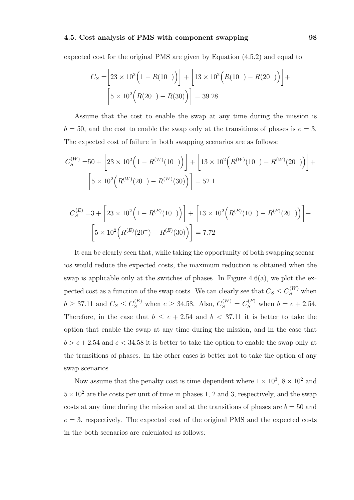expected cost for the original PMS are given by Equation (4.5.2) and equal to

$$
C_S = \left[23 \times 10^2 \left(1 - R(10^-)\right)\right] + \left[13 \times 10^2 \left(R(10^-) - R(20^-)\right)\right] + \left[5 \times 10^2 \left(R(20^-) - R(30)\right)\right] = 39.28
$$

Assume that the cost to enable the swap at any time during the mission is  $b = 50$ , and the cost to enable the swap only at the transitions of phases is  $e = 3$ . The expected cost of failure in both swapping scenarios are as follows:

$$
C_S^{(W)} = 50 + \left[23 \times 10^2 \left(1 - R^{(W)}(10^-)\right)\right] + \left[13 \times 10^2 \left(R^{(W)}(10^-) - R^{(W)}(20^-)\right)\right] + \left[5 \times 10^2 \left(R^{(W)}(20^-) - R^{(W)}(30)\right)\right] = 52.1
$$

$$
C_S^{(E)} = 3 + \left[23 \times 10^2 \left(1 - R^{(E)}(10^-)\right)\right] + \left[13 \times 10^2 \left(R^{(E)}(10^-) - R^{(E)}(20^-)\right)\right] + \left[5 \times 10^2 \left(R^{(E)}(20^-) - R^{(E)}(30)\right)\right] = 7.72
$$

It can be clearly seen that, while taking the opportunity of both swapping scenarios would reduce the expected costs, the maximum reduction is obtained when the swap is applicable only at the switches of phases. In Figure 4.6(a), we plot the expected cost as a function of the swap costs. We can clearly see that  $C_S \leq C_S^{(W)}$  when  $b \ge 37.11$  and  $C_S \le C_S^{(E)}$  when  $e \ge 34.58$ . Also,  $C_S^{(W)} = C_S^{(E)}$  when  $b = e + 2.54$ . Therefore, in the case that  $b \le e + 2.54$  and  $b < 37.11$  it is better to take the option that enable the swap at any time during the mission, and in the case that  $b > e + 2.54$  and  $e < 34.58$  it is better to take the option to enable the swap only at the transitions of phases. In the other cases is better not to take the option of any swap scenarios.

Now assume that the penalty cost is time dependent where  $1 \times 10^3$ ,  $8 \times 10^2$  and  $5 \times 10^2$  are the costs per unit of time in phases 1, 2 and 3, respectively, and the swap costs at any time during the mission and at the transitions of phases are  $b = 50$  and  $e = 3$ , respectively. The expected cost of the original PMS and the expected costs in the both scenarios are calculated as follows: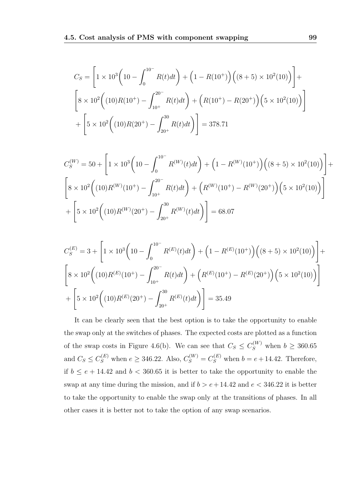$$
C_S = \left[1 \times 10^3 \left(10 - \int_0^{10^-} R(t)dt\right) + \left(1 - R(10^+)\right) \left((8+5) \times 10^2(10)\right)\right] + \left[8 \times 10^2 \left((10)R(10^+) - \int_{10^+}^{20^-} R(t)dt\right) + \left(R(10^+) - R(20^+)\right) \left(5 \times 10^2(10)\right)\right] + \left[5 \times 10^2 \left((10)R(20^+) - \int_{20^+}^{30} R(t)dt\right)\right] = 378.71
$$

$$
C_S^{(W)} = 50 + \left[1 \times 10^3 \left(10 - \int_0^{10^-} R^{(W)}(t) dt\right) + \left(1 - R^{(W)}(10^+)\right) \left((8 + 5) \times 10^2(10)\right)\right] + \left[8 \times 10^2 \left((10)R^{(W)}(10^+) - \int_{10^+}^{20^-} R(t) dt\right) + \left(R^{(W)}(10^+) - R^{(W)}(20^+)\right) \left(5 \times 10^2(10)\right)\right] + \left[5 \times 10^2 \left((10)R^{(W)}(20^+) - \int_{20^+}^{30} R^{(W)}(t) dt\right)\right] = 68.07
$$

$$
C_S^{(E)} = 3 + \left[ 1 \times 10^3 \left( 10 - \int_0^{10^-} R^{(E)}(t) dt \right) + \left( 1 - R^{(E)}(10^+) \right) \left( (8+5) \times 10^2 (10) \right) \right] +
$$
  

$$
\left[ 8 \times 10^2 \left( (10) R^{(E)}(10^+) - \int_{10^+}^{20^-} R(t) dt \right) + \left( R^{(E)}(10^+) - R^{(E)}(20^+) \right) \left( 5 \times 10^2 (10) \right) \right]
$$
  

$$
+ \left[ 5 \times 10^2 \left( (10) R^{(E)}(20^+) - \int_{20^+}^{30} R^{(E)}(t) dt \right) \right] = 35.49
$$

It can be clearly seen that the best option is to take the opportunity to enable the swap only at the switches of phases. The expected costs are plotted as a function of the swap costs in Figure 4.6(b). We can see that  $C_S \leq C_S^{(W)}$  when  $b \geq 360.65$ and  $C_S \leq C_S^{(E)}$  when  $e \geq 346.22$ . Also,  $C_S^{(W)} = C_S^{(E)}$  when  $b = e + 14.42$ . Therefore, if  $b \le e + 14.42$  and  $b < 360.65$  it is better to take the opportunity to enable the swap at any time during the mission, and if  $b > e + 14.42$  and  $e < 346.22$  it is better to take the opportunity to enable the swap only at the transitions of phases. In all other cases it is better not to take the option of any swap scenarios.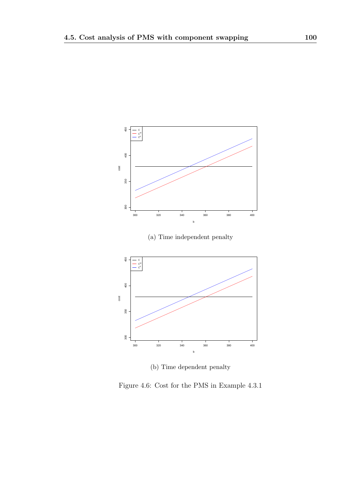

(b) Time dependent penalty

Figure 4.6: Cost for the PMS in Example 4.3.1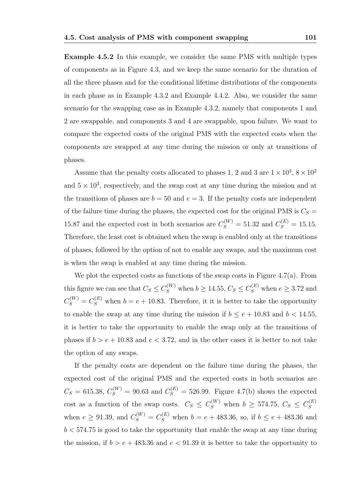Example 4.5.2 In this example, we consider the same PMS with multiple types of components as in Figure 4.3, and we keep the same scenario for the duration of all the three phases and for the conditional lifetime distributions of the components in each phase as in Example 4.3.2 and Example 4.4.2. Also, we consider the same scenario for the swapping case as in Example 4.3.2, namely that components 1 and 2 are swappable, and components 3 and 4 are swappable, upon failure. We want to compare the expected costs of the original PMS with the expected costs when the components are swapped at any time during the mission or only at transitions of phases.

Assume that the penalty costs allocated to phases 1, 2 and 3 are  $1 \times 10^3$ ,  $8 \times 10^2$ and  $5 \times 10^2$ , respectively, and the swap cost at any time during the mission and at the transitions of phases are  $b = 50$  and  $e = 3$ . If the penalty costs are independent of the failure time during the phases, the expected cost for the original PMS is  $C_s =$ 15.87 and the expected cost in both scenarios are  $C_S^{(W)} = 51.32$  and  $C_S^{(E)} = 15.15$ . Therefore, the least cost is obtained when the swap is enabled only at the transitions of phases, followed by the option of not to enable any swaps, and the maximum cost is when the swap is enabled at any time during the mission.

We plot the expected costs as functions of the swap costs in Figure 4.7(a). From this figure we can see that  $C_S \leq C_S^{(W)}$  when  $b \geq 14.55, C_S \leq C_S^{(E)}$  when  $e \geq 3.72$  and  $C_S^{(W)} = C_S^{(E)}$  when  $b = e + 10.83$ . Therefore, it it is better to take the opportunity to enable the swap at any time during the mission if  $b \le e + 10.83$  and  $b < 14.55$ , it is better to take the opportunity to enable the swap only at the transitions of phases if  $b > e + 10.83$  and  $e < 3.72$ , and in the other cases it is better to not take the option of any swaps.

If the penalty costs are dependent on the failure time during the phases, the expected cost of the original PMS and the expected costs in both scenarios are  $C_S = 615.38, C_S^{(W)} = 90.63$  and  $C_S^{(E)} = 526.99$ . Figure 4.7(b) shows the expected cost as a function of the swap costs.  $C_S \leq C_S^{(W)}$  when  $b \geq 574.75, C_S \leq C_S^{(E)}$ S when  $e \ge 91.39$ , and  $C_S^{(W)} = C_S^{(E)}$  when  $b = e + 483.36$ , so, if  $b \le e + 483.36$  and  $b < 574.75$  is good to take the opportunity that enable the swap at any time during the mission, if  $b > e + 483.36$  and  $e < 91.39$  it is better to take the opportunity to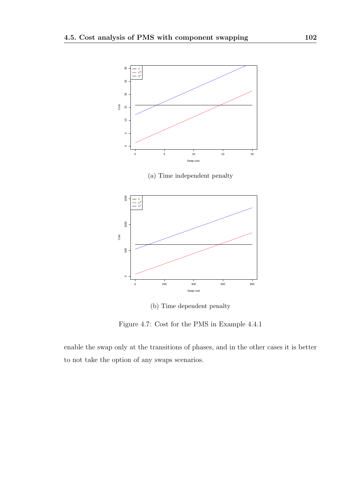

(b) Time dependent penalty

Figure 4.7: Cost for the PMS in Example 4.4.1

enable the swap only at the transitions of phases, and in the other cases it is better to not take the option of any swaps scenarios.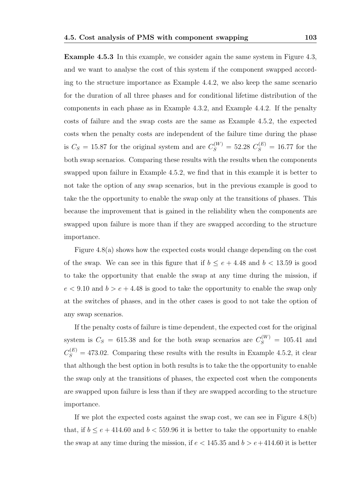Example 4.5.3 In this example, we consider again the same system in Figure 4.3, and we want to analyse the cost of this system if the component swapped according to the structure importance as Example 4.4.2, we also keep the same scenario for the duration of all three phases and for conditional lifetime distribution of the components in each phase as in Example 4.3.2, and Example 4.4.2. If the penalty costs of failure and the swap costs are the same as Example 4.5.2, the expected costs when the penalty costs are independent of the failure time during the phase is  $C_S = 15.87$  for the original system and are  $C_S^{(W)} = 52.28 C_S^{(E)} = 16.77$  for the both swap scenarios. Comparing these results with the results when the components swapped upon failure in Example 4.5.2, we find that in this example it is better to not take the option of any swap scenarios, but in the previous example is good to take the the opportunity to enable the swap only at the transitions of phases. This because the improvement that is gained in the reliability when the components are swapped upon failure is more than if they are swapped according to the structure importance.

Figure 4.8(a) shows how the expected costs would change depending on the cost of the swap. We can see in this figure that if  $b \le e + 4.48$  and  $b < 13.59$  is good to take the opportunity that enable the swap at any time during the mission, if  $e < 9.10$  and  $b > e + 4.48$  is good to take the opportunity to enable the swap only at the switches of phases, and in the other cases is good to not take the option of any swap scenarios.

If the penalty costs of failure is time dependent, the expected cost for the original system is  $C_S = 615.38$  and for the both swap scenarios are  $C_S^{(W)} = 105.41$  and  $C_S^{(E)} = 473.02$ . Comparing these results with the results in Example 4.5.2, it clear that although the best option in both results is to take the the opportunity to enable the swap only at the transitions of phases, the expected cost when the components are swapped upon failure is less than if they are swapped according to the structure importance.

If we plot the expected costs against the swap cost, we can see in Figure 4.8(b) that, if  $b \le e + 414.60$  and  $b < 559.96$  it is better to take the opportunity to enable the swap at any time during the mission, if  $e < 145.35$  and  $b > e + 414.60$  it is better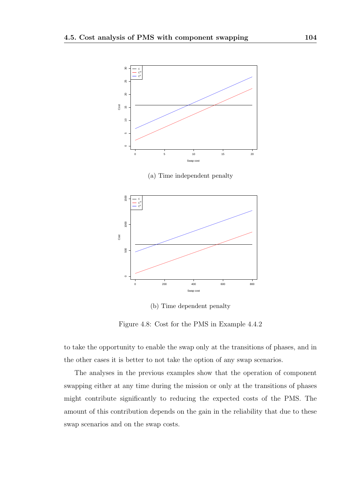

(a) Time independent penalty



(b) Time dependent penalty

Figure 4.8: Cost for the PMS in Example 4.4.2

to take the opportunity to enable the swap only at the transitions of phases, and in the other cases it is better to not take the option of any swap scenarios.

The analyses in the previous examples show that the operation of component swapping either at any time during the mission or only at the transitions of phases might contribute significantly to reducing the expected costs of the PMS. The amount of this contribution depends on the gain in the reliability that due to these swap scenarios and on the swap costs.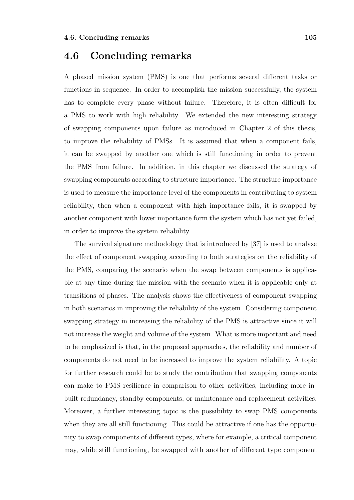## 4.6 Concluding remarks

A phased mission system (PMS) is one that performs several different tasks or functions in sequence. In order to accomplish the mission successfully, the system has to complete every phase without failure. Therefore, it is often difficult for a PMS to work with high reliability. We extended the new interesting strategy of swapping components upon failure as introduced in Chapter 2 of this thesis, to improve the reliability of PMSs. It is assumed that when a component fails, it can be swapped by another one which is still functioning in order to prevent the PMS from failure. In addition, in this chapter we discussed the strategy of swapping components according to structure importance. The structure importance is used to measure the importance level of the components in contributing to system reliability, then when a component with high importance fails, it is swapped by another component with lower importance form the system which has not yet failed, in order to improve the system reliability.

The survival signature methodology that is introduced by [37] is used to analyse the effect of component swapping according to both strategies on the reliability of the PMS, comparing the scenario when the swap between components is applicable at any time during the mission with the scenario when it is applicable only at transitions of phases. The analysis shows the effectiveness of component swapping in both scenarios in improving the reliability of the system. Considering component swapping strategy in increasing the reliability of the PMS is attractive since it will not increase the weight and volume of the system. What is more important and need to be emphasized is that, in the proposed approaches, the reliability and number of components do not need to be increased to improve the system reliability. A topic for further research could be to study the contribution that swapping components can make to PMS resilience in comparison to other activities, including more inbuilt redundancy, standby components, or maintenance and replacement activities. Moreover, a further interesting topic is the possibility to swap PMS components when they are all still functioning. This could be attractive if one has the opportunity to swap components of different types, where for example, a critical component may, while still functioning, be swapped with another of different type component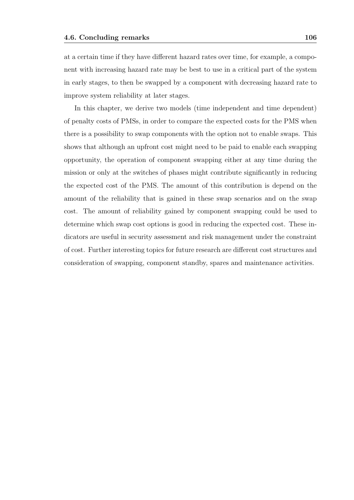at a certain time if they have different hazard rates over time, for example, a component with increasing hazard rate may be best to use in a critical part of the system in early stages, to then be swapped by a component with decreasing hazard rate to improve system reliability at later stages.

In this chapter, we derive two models (time independent and time dependent) of penalty costs of PMSs, in order to compare the expected costs for the PMS when there is a possibility to swap components with the option not to enable swaps. This shows that although an upfront cost might need to be paid to enable each swapping opportunity, the operation of component swapping either at any time during the mission or only at the switches of phases might contribute significantly in reducing the expected cost of the PMS. The amount of this contribution is depend on the amount of the reliability that is gained in these swap scenarios and on the swap cost. The amount of reliability gained by component swapping could be used to determine which swap cost options is good in reducing the expected cost. These indicators are useful in security assessment and risk management under the constraint of cost. Further interesting topics for future research are different cost structures and consideration of swapping, component standby, spares and maintenance activities.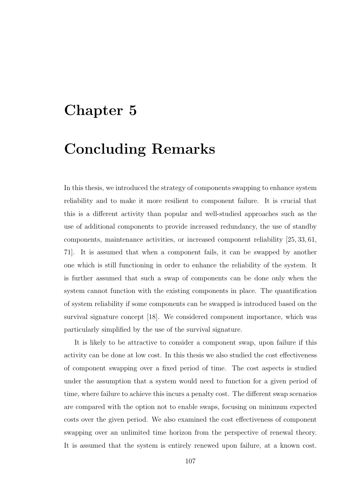## Chapter 5

## Concluding Remarks

In this thesis, we introduced the strategy of components swapping to enhance system reliability and to make it more resilient to component failure. It is crucial that this is a different activity than popular and well-studied approaches such as the use of additional components to provide increased redundancy, the use of standby components, maintenance activities, or increased component reliability [25, 33, 61, 71]. It is assumed that when a component fails, it can be swapped by another one which is still functioning in order to enhance the reliability of the system. It is further assumed that such a swap of components can be done only when the system cannot function with the existing components in place. The quantification of system reliability if some components can be swapped is introduced based on the survival signature concept [18]. We considered component importance, which was particularly simplified by the use of the survival signature.

It is likely to be attractive to consider a component swap, upon failure if this activity can be done at low cost. In this thesis we also studied the cost effectiveness of component swapping over a fixed period of time. The cost aspects is studied under the assumption that a system would need to function for a given period of time, where failure to achieve this incurs a penalty cost. The different swap scenarios are compared with the option not to enable swaps, focusing on minimum expected costs over the given period. We also examined the cost effectiveness of component swapping over an unlimited time horizon from the perspective of renewal theory. It is assumed that the system is entirely renewed upon failure, at a known cost.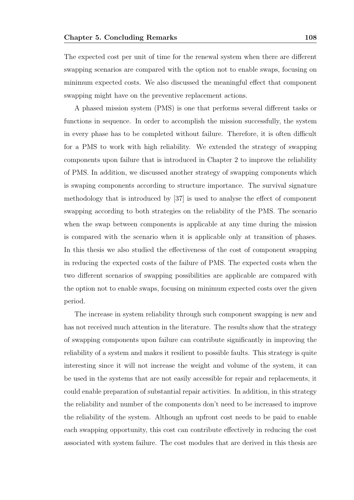The expected cost per unit of time for the renewal system when there are different swapping scenarios are compared with the option not to enable swaps, focusing on minimum expected costs. We also discussed the meaningful effect that component swapping might have on the preventive replacement actions.

A phased mission system (PMS) is one that performs several different tasks or functions in sequence. In order to accomplish the mission successfully, the system in every phase has to be completed without failure. Therefore, it is often difficult for a PMS to work with high reliability. We extended the strategy of swapping components upon failure that is introduced in Chapter 2 to improve the reliability of PMS. In addition, we discussed another strategy of swapping components which is swaping components according to structure importance. The survival signature methodology that is introduced by [37] is used to analyse the effect of component swapping according to both strategies on the reliability of the PMS. The scenario when the swap between components is applicable at any time during the mission is compared with the scenario when it is applicable only at transition of phases. In this thesis we also studied the effectiveness of the cost of component swapping in reducing the expected costs of the failure of PMS. The expected costs when the two different scenarios of swapping possibilities are applicable are compared with the option not to enable swaps, focusing on minimum expected costs over the given period.

The increase in system reliability through such component swapping is new and has not received much attention in the literature. The results show that the strategy of swapping components upon failure can contribute significantly in improving the reliability of a system and makes it resilient to possible faults. This strategy is quite interesting since it will not increase the weight and volume of the system, it can be used in the systems that are not easily accessible for repair and replacements, it could enable preparation of substantial repair activities. In addition, in this strategy the reliability and number of the components don't need to be increased to improve the reliability of the system. Although an upfront cost needs to be paid to enable each swapping opportunity, this cost can contribute effectively in reducing the cost associated with system failure. The cost modules that are derived in this thesis are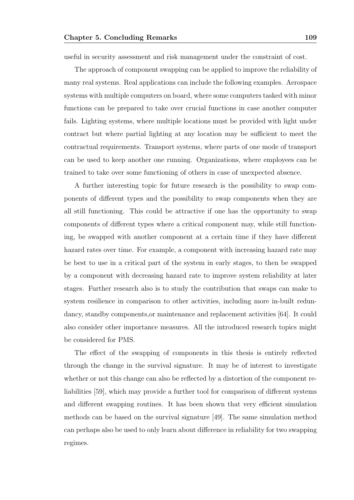useful in security assessment and risk management under the constraint of cost.

The approach of component swapping can be applied to improve the reliability of many real systems. Real applications can include the following examples. Aerospace systems with multiple computers on board, where some computers tasked with minor functions can be prepared to take over crucial functions in case another computer fails. Lighting systems, where multiple locations must be provided with light under contract but where partial lighting at any location may be sufficient to meet the contractual requirements. Transport systems, where parts of one mode of transport can be used to keep another one running. Organizations, where employees can be trained to take over some functioning of others in case of unexpected absence.

A further interesting topic for future research is the possibility to swap components of different types and the possibility to swap components when they are all still functioning. This could be attractive if one has the opportunity to swap components of different types where a critical component may, while still functioning, be swapped with another component at a certain time if they have different hazard rates over time. For example, a component with increasing hazard rate may be best to use in a critical part of the system in early stages, to then be swapped by a component with decreasing hazard rate to improve system reliability at later stages. Further research also is to study the contribution that swaps can make to system resilience in comparison to other activities, including more in-built redundancy, standby components,or maintenance and replacement activities [64]. It could also consider other importance measures. All the introduced research topics might be considered for PMS.

The effect of the swapping of components in this thesis is entirely reflected through the change in the survival signature. It may be of interest to investigate whether or not this change can also be reflected by a distortion of the component reliabilities [59], which may provide a further tool for comparison of different systems and different swapping routines. It has been shown that very efficient simulation methods can be based on the survival signature [49]. The same simulation method can perhaps also be used to only learn about difference in reliability for two swapping regimes.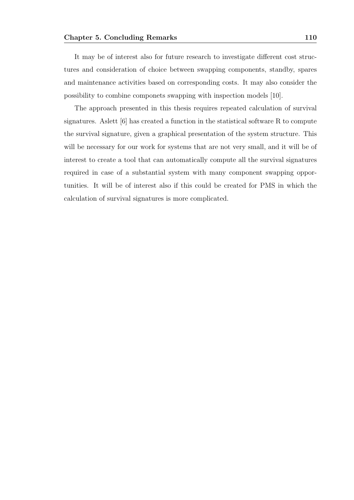It may be of interest also for future research to investigate different cost structures and consideration of choice between swapping components, standby, spares and maintenance activities based on corresponding costs. It may also consider the possibility to combine componets swapping with inspection models [10].

The approach presented in this thesis requires repeated calculation of survival signatures. Aslett [6] has created a function in the statistical software R to compute the survival signature, given a graphical presentation of the system structure. This will be necessary for our work for systems that are not very small, and it will be of interest to create a tool that can automatically compute all the survival signatures required in case of a substantial system with many component swapping opportunities. It will be of interest also if this could be created for PMS in which the calculation of survival signatures is more complicated.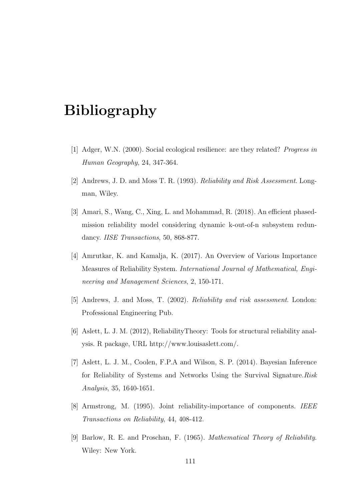## Bibliography

- [1] Adger, W.N. (2000). Social ecological resilience: are they related? Progress in Human Geography, 24, 347-364.
- [2] Andrews, J. D. and Moss T. R. (1993). Reliability and Risk Assessment. Longman, Wiley.
- [3] Amari, S., Wang, C., Xing, L. and Mohammad, R. (2018). An efficient phasedmission reliability model considering dynamic k-out-of-n subsystem redundancy. IISE Transactions, 50, 868-877.
- [4] Amrutkar, K. and Kamalja, K. (2017). An Overview of Various Importance Measures of Reliability System. International Journal of Mathematical, Engineering and Management Sciences, 2, 150-171.
- [5] Andrews, J. and Moss, T. (2002). Reliability and risk assessment. London: Professional Engineering Pub.
- [6] Aslett, L. J. M. (2012), ReliabilityTheory: Tools for structural reliability analysis. R package, URL http://www.louisaslett.com/.
- [7] Aslett, L. J. M., Coolen, F.P.A and Wilson, S. P. (2014). Bayesian Inference for Reliability of Systems and Networks Using the Survival Signature. Risk Analysis, 35, 1640-1651.
- [8] Armstrong, M. (1995). Joint reliability-importance of components. IEEE Transactions on Reliability, 44, 408-412.
- [9] Barlow, R. E. and Proschan, F. (1965). Mathematical Theory of Reliability. Wiley: New York.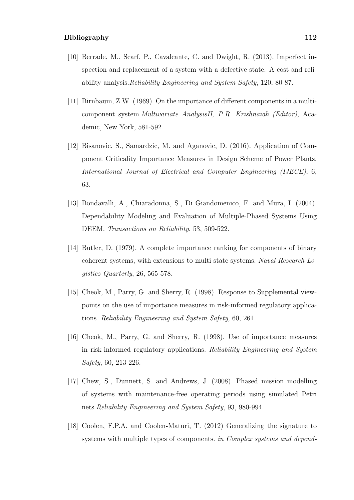- [10] Berrade, M., Scarf, P., Cavalcante, C. and Dwight, R. (2013). Imperfect inspection and replacement of a system with a defective state: A cost and reliability analysis.Reliability Engineering and System Safety, 120, 80-87.
- [11] Birnbaum, Z.W. (1969). On the importance of different components in a multicomponent system.Multivariate AnalysisII, P.R. Krishnaiah (Editor), Academic, New York, 581-592.
- [12] Bisanovic, S., Samardzic, M. and Aganovic, D. (2016). Application of Component Criticality Importance Measures in Design Scheme of Power Plants. International Journal of Electrical and Computer Engineering (IJECE), 6, 63.
- [13] Bondavalli, A., Chiaradonna, S., Di Giandomenico, F. and Mura, I. (2004). Dependability Modeling and Evaluation of Multiple-Phased Systems Using DEEM. Transactions on Reliability, 53, 509-522.
- [14] Butler, D. (1979). A complete importance ranking for components of binary coherent systems, with extensions to multi-state systems. Naval Research Logistics Quarterly, 26, 565-578.
- [15] Cheok, M., Parry, G. and Sherry, R. (1998). Response to Supplemental viewpoints on the use of importance measures in risk-informed regulatory applications. Reliability Engineering and System Safety, 60, 261.
- [16] Cheok, M., Parry, G. and Sherry, R. (1998). Use of importance measures in risk-informed regulatory applications. Reliability Engineering and System Safety, 60, 213-226.
- [17] Chew, S., Dunnett, S. and Andrews, J. (2008). Phased mission modelling of systems with maintenance-free operating periods using simulated Petri nets.Reliability Engineering and System Safety, 93, 980-994.
- [18] Coolen, F.P.A. and Coolen-Maturi, T. (2012) Generalizing the signature to systems with multiple types of components. in Complex systems and depend-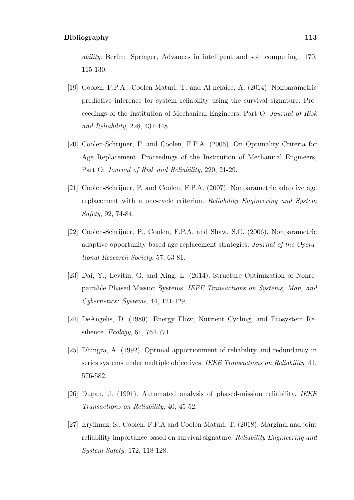ability. Berlin: Springer, Advances in intelligent and soft computing., 170, 115-130.

- [19] Coolen, F.P.A., Coolen-Maturi, T. and Al-nefaiee, A. (2014). Nonparametric predictive inference for system reliability using the survival signature. Proceedings of the Institution of Mechanical Engineers, Part O: Journal of Risk and Reliability, 228, 437-448.
- [20] Coolen-Schrijner, P. and Coolen, F.P.A. (2006). On Optimality Criteria for Age Replacement. Proceedings of the Institution of Mechanical Engineers, Part O: Journal of Risk and Reliability, 220, 21-29.
- [21] Coolen-Schrijner, P. and Coolen, F.P.A. (2007). Nonparametric adaptive age replacement with a one-cycle criterion. Reliability Engineering and System Safety, 92, 74-84.
- [22] Coolen-Schrijner, P., Coolen, F.P.A. and Shaw, S.C. (2006). Nonparametric adaptive opportunity-based age replacement strategies. Journal of the Operational Research Society, 57, 63-81.
- [23] Dai, Y., Levitin, G. and Xing, L. (2014). Structure Optimization of Nonrepairable Phased Mission Systems. IEEE Transactions on Systems, Man, and Cybernetics: Systems, 44, 121-129.
- [24] DeAngelis, D. (1980). Energy Flow, Nutrient Cycling, and Ecosystem Resilience. Ecology, 61, 764-771.
- [25] Dhingra, A. (1992). Optimal apportionment of reliability and redundancy in series systems under multiple objectives. IEEE Transactions on Reliability, 41, 576-582.
- [26] Dugan, J. (1991). Automated analysis of phased-mission reliability. IEEE Transactions on Reliability, 40, 45-52.
- [27] Eryilmaz, S., Coolen, F.P.A and Coolen-Maturi, T. (2018). Marginal and joint reliability importance based on survival signature. Reliability Engineering and System Safety, 172, 118-128.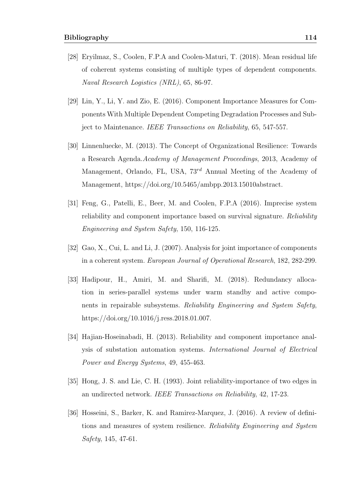- [28] Eryilmaz, S., Coolen, F.P.A and Coolen-Maturi, T. (2018). Mean residual life of coherent systems consisting of multiple types of dependent components. Naval Research Logistics (NRL), 65, 86-97.
- [29] Lin, Y., Li, Y. and Zio, E. (2016). Component Importance Measures for Components With Multiple Dependent Competing Degradation Processes and Subject to Maintenance. IEEE Transactions on Reliability, 65, 547-557.
- [30] Linnenluecke, M. (2013). The Concept of Organizational Resilience: Towards a Research Agenda.Academy of Management Proceedings, 2013, Academy of Management, Orlando, FL, USA,  $73^{rd}$  Annual Meeting of the Academy of Management, https://doi.org/10.5465/ambpp.2013.15010abstract.
- [31] Feng, G., Patelli, E., Beer, M. and Coolen, F.P.A (2016). Imprecise system reliability and component importance based on survival signature. Reliability Engineering and System Safety, 150, 116-125.
- [32] Gao, X., Cui, L. and Li, J. (2007). Analysis for joint importance of components in a coherent system. European Journal of Operational Research, 182, 282-299.
- [33] Hadipour, H., Amiri, M. and Sharifi, M. (2018). Redundancy allocation in series-parallel systems under warm standby and active components in repairable subsystems. Reliability Engineering and System Safety, https://doi.org/10.1016/j.ress.2018.01.007.
- [34] Hajian-Hoseinabadi, H. (2013). Reliability and component importance analysis of substation automation systems. International Journal of Electrical Power and Energy Systems, 49, 455-463.
- [35] Hong, J. S. and Lie, C. H. (1993). Joint reliability-importance of two edges in an undirected network. IEEE Transactions on Reliability, 42, 17-23.
- [36] Hosseini, S., Barker, K. and Ramirez-Marquez, J. (2016). A review of definitions and measures of system resilience. Reliability Engineering and System Safety, 145, 47-61.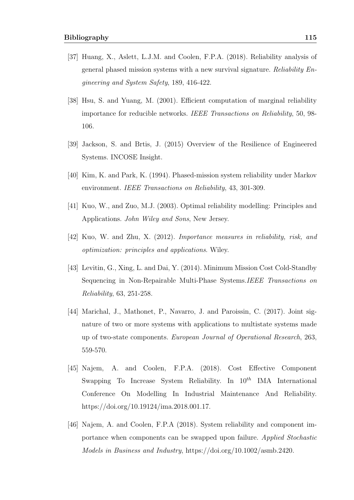- [37] Huang, X., Aslett, L.J.M. and Coolen, F.P.A. (2018). Reliability analysis of general phased mission systems with a new survival signature. Reliability Engineering and System Safety, 189, 416-422.
- [38] Hsu, S. and Yuang, M. (2001). Efficient computation of marginal reliability importance for reducible networks. IEEE Transactions on Reliability, 50, 98- 106.
- [39] Jackson, S. and Brtis, J. (2015) Overview of the Resilience of Engineered Systems. INCOSE Insight.
- [40] Kim, K. and Park, K. (1994). Phased-mission system reliability under Markov environment. IEEE Transactions on Reliability, 43, 301-309.
- [41] Kuo, W., and Zuo, M.J. (2003). Optimal reliability modelling: Principles and Applications. John Wiley and Sons, New Jersey.
- [42] Kuo, W. and Zhu, X. (2012). Importance measures in reliability, risk, and optimization: principles and applications. Wiley.
- [43] Levitin, G., Xing, L. and Dai, Y. (2014). Minimum Mission Cost Cold-Standby Sequencing in Non-Repairable Multi-Phase Systems.IEEE Transactions on Reliability, 63, 251-258.
- [44] Marichal, J., Mathonet, P., Navarro, J. and Paroissin, C. (2017). Joint signature of two or more systems with applications to multistate systems made up of two-state components. European Journal of Operational Research, 263, 559-570.
- [45] Najem, A. and Coolen, F.P.A. (2018). Cost Effective Component Swapping To Increase System Reliability. In  $10^{th}$  IMA International Conference On Modelling In Industrial Maintenance And Reliability. https://doi.org/10.19124/ima.2018.001.17.
- [46] Najem, A. and Coolen, F.P.A (2018). System reliability and component importance when components can be swapped upon failure. Applied Stochastic Models in Business and Industry, https://doi.org/10.1002/asmb.2420.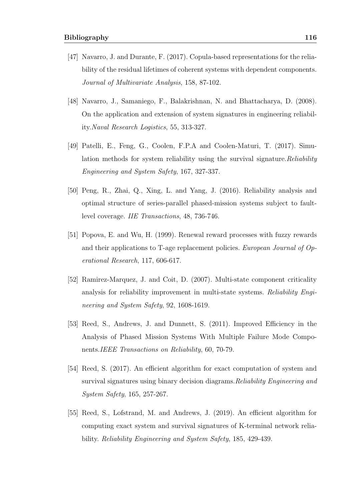- [47] Navarro, J. and Durante, F. (2017). Copula-based representations for the reliability of the residual lifetimes of coherent systems with dependent components. Journal of Multivariate Analysis, 158, 87-102.
- [48] Navarro, J., Samaniego, F., Balakrishnan, N. and Bhattacharya, D. (2008). On the application and extension of system signatures in engineering reliability.Naval Research Logistics, 55, 313-327.
- [49] Patelli, E., Feng, G., Coolen, F.P.A and Coolen-Maturi, T. (2017). Simulation methods for system reliability using the survival signature.Reliability Engineering and System Safety, 167, 327-337.
- [50] Peng, R., Zhai, Q., Xing, L. and Yang, J. (2016). Reliability analysis and optimal structure of series-parallel phased-mission systems subject to faultlevel coverage. IIE Transactions, 48, 736-746.
- [51] Popova, E. and Wu, H. (1999). Renewal reward processes with fuzzy rewards and their applications to T-age replacement policies. European Journal of Operational Research, 117, 606-617.
- [52] Ramirez-Marquez, J. and Coit, D. (2007). Multi-state component criticality analysis for reliability improvement in multi-state systems. Reliability Engineering and System Safety, 92, 1608-1619.
- [53] Reed, S., Andrews, J. and Dunnett, S. (2011). Improved Efficiency in the Analysis of Phased Mission Systems With Multiple Failure Mode Components.IEEE Transactions on Reliability, 60, 70-79.
- [54] Reed, S. (2017). An efficient algorithm for exact computation of system and survival signatures using binary decision diagrams.Reliability Engineering and System Safety, 165, 257-267.
- [55] Reed, S., Lofstrand, M. and Andrews, J. (2019). An efficient algorithm for computing exact system and survival signatures of K-terminal network reliability. Reliability Engineering and System Safety, 185, 429-439.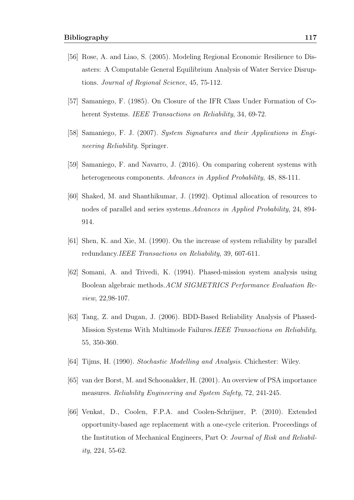- [56] Rose, A. and Liao, S. (2005). Modeling Regional Economic Resilience to Disasters: A Computable General Equilibrium Analysis of Water Service Disruptions. Journal of Regional Science, 45, 75-112.
- [57] Samaniego, F. (1985). On Closure of the IFR Class Under Formation of Coherent Systems. *IEEE Transactions on Reliability*, 34, 69-72.
- [58] Samaniego, F. J. (2007). System Signatures and their Applications in Engineering Reliability. Springer.
- [59] Samaniego, F. and Navarro, J. (2016). On comparing coherent systems with heterogeneous components. Advances in Applied Probability, 48, 88-111.
- [60] Shaked, M. and Shanthikumar, J. (1992). Optimal allocation of resources to nodes of parallel and series systems.Advances in Applied Probability, 24, 894- 914.
- [61] Shen, K. and Xie, M. (1990). On the increase of system reliability by parallel redundancy.*IEEE Transactions on Reliability*, 39, 607-611.
- [62] Somani, A. and Trivedi, K. (1994). Phased-mission system analysis using Boolean algebraic methods.ACM SIGMETRICS Performance Evaluation Review, 22,98-107.
- [63] Tang, Z. and Dugan, J. (2006). BDD-Based Reliability Analysis of Phased-Mission Systems With Multimode Failures.IEEE Transactions on Reliability, 55, 350-360.
- [64] Tijms, H. (1990). Stochastic Modelling and Analysis. Chichester: Wiley.
- [65] van der Borst, M. and Schoonakker, H. (2001). An overview of PSA importance measures. Reliability Engineering and System Safety, 72, 241-245.
- [66] Venkat, D., Coolen, F.P.A. and Coolen-Schrijner, P. (2010). Extended opportunity-based age replacement with a one-cycle criterion. Proceedings of the Institution of Mechanical Engineers, Part O: Journal of Risk and Reliability, 224, 55-62.